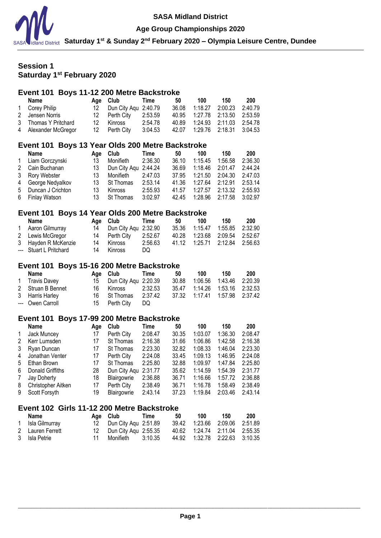

### **Age Group Championships 2020**

**Saturday 1st & Sunday 2nd February 2020 – Olympia Leisure Centre, Dundee**

# **Session 1 Saturday 1st February 2020**

# **Event 101 Boys 11-12 200 Metre Backstroke**

|   | =<br>TE EVY MON V BUUNUN UNV                     |     |                      |         |       |         |         |         |  |  |  |
|---|--------------------------------------------------|-----|----------------------|---------|-------|---------|---------|---------|--|--|--|
|   | Name                                             | Age | Club                 | Time    | 50    | 100     | 150     | 200     |  |  |  |
|   | Corey Philip                                     | 12  | Dun City Aqu         | 2:40.79 | 36.08 | 1:18.27 | 2:00.23 | 2:40.79 |  |  |  |
| 2 | Jensen Norris                                    | 12  | Perth City           | 2:53.59 | 40.95 | 1:27.78 | 2:13.50 | 2:53.59 |  |  |  |
| 3 | Thomas Y Pritchard                               | 12  | <b>Kinross</b>       | 2:54.78 | 40.89 | 1:24.93 | 2:11.03 | 2:54.78 |  |  |  |
| 4 | Alexander McGregor                               | 12  | Perth City           | 3:04.53 | 42.07 | 1:29.76 | 2:18.31 | 3:04.53 |  |  |  |
|   |                                                  |     |                      |         |       |         |         |         |  |  |  |
|   | Event 101 Boys 13 Year Olds 200 Metre Backstroke |     |                      |         |       |         |         |         |  |  |  |
|   | <b>Name</b>                                      | Age | Club                 | Time    | 50    | 100     | 150     | 200     |  |  |  |
|   | Liam Gorczynski                                  | 13  | Monifieth            | 2:36.30 | 36.10 | 1:15.45 | 1:56.58 |         |  |  |  |
|   |                                                  |     |                      |         |       |         |         | 2:36.30 |  |  |  |
| 2 | Cain Buchanan                                    | 13  | Dun City Agu 2:44.24 |         | 36.69 | 1:18.46 | 2:01.47 | 2:44.24 |  |  |  |
| 3 | Rory Webster                                     | 13  | Monifieth            | 2:47.03 | 37.95 | 1:21.50 | 2:04.30 | 2:47.03 |  |  |  |
| 4 | George Nedyalkov                                 | 13  | St Thomas            | 2:53.14 | 41.36 | 1:27.64 | 2:12.91 | 2:53.14 |  |  |  |

#### 5 Duncan J Crichton 13 Kinross 2:55.93 41.57 1:27.57 2:13.32 2:55.93 6 Finlay Watson 13 St Thomas 3:02.97 42.45 1:28.96 2:17.58 3:02.97

### **Event 101 Boys 14 Year Olds 200 Metre Backstroke**

| Name                   |    | Age Club Time           |         | 50 | 100                              | 150 | 200 |
|------------------------|----|-------------------------|---------|----|----------------------------------|-----|-----|
| 1 Aaron Gilmurray      |    | 14 Dun City Agu 2:32.90 |         |    | 35.36  1:15.47  1:55.85  2:32.90 |     |     |
| 2 Lewis McGregor       |    | 14 Perth City           | 2:52.67 |    | 40.28  1:23.68  2:09.54  2:52.67 |     |     |
| 3 Hayden R McKenzie    |    | 14 Kinross              | 2:56.63 |    | 41.12 1:25.71 2:12.84 2:56.63    |     |     |
| --- Stuart L Pritchard | 14 | Kinross                 | DQ      |    |                                  |     |     |

# **Event 101 Boys 15-16 200 Metre Backstroke**

| Name              |      | Age Club Time           |         | 50 | 100 | 150                              | 200 |
|-------------------|------|-------------------------|---------|----|-----|----------------------------------|-----|
| 1 Travis Davey    |      | 15 Dun City Agu 2:20.39 |         |    |     | 30.88 1:06.56 1:43.46 2:20.39    |     |
| 2 Struan B Bennet | 16 - | Kinross                 | 2:32.53 |    |     | 35.47 1:14.26 1:53.16 2:32.53    |     |
| 3 Harris Harley   |      | 16 St Thomas 2:37.42    |         |    |     | 37.32  1:17.41  1:57.98  2:37.42 |     |
| --- Owen Carroll  |      | 15 Perth City           | DQ.     |    |     |                                  |     |

### **Event 101 Boys 17-99 200 Metre Backstroke**

|   | <b>Name</b>        | Aae | Club                 | Time    | 50    | 100     | 150     | 200     |
|---|--------------------|-----|----------------------|---------|-------|---------|---------|---------|
| 1 | Jack Muncey        | 17  | Perth City           | 2:08.47 | 30.35 | 1:03.07 | 1:36.30 | 2:08.47 |
| 2 | Kerr Lumsden       | 17  | St Thomas            | 2:16.38 | 31.66 | 1:06.86 | 1:42.58 | 2:16.38 |
| 3 | Ryan Duncan        | 17  | St Thomas            | 2:23.30 | 32.82 | 1:08.33 | 1:46.04 | 2:23.30 |
| 4 | Jonathan Venter    | 17  | Perth City           | 2:24.08 | 33.45 | 1:09.13 | 1:46.95 | 2:24.08 |
| 5 | Ethan Brown        | 17  | St Thomas            | 2:25.80 | 32.88 | 1:09.97 | 1:47.84 | 2:25.80 |
| 6 | Donald Griffiths   | 28  | Dun City Agu 2:31.77 |         | 35.62 | 1:14.59 | 1:54.39 | 2:31.77 |
| 7 | Jay Doherty        | 18  | Blairgowrie          | 2:36.88 | 36.71 | 1:16.66 | 1:57.72 | 2:36.88 |
| 8 | Christopher Aitken | 17  | Perth City           | 2:38.49 | 36.71 | 1:16.78 | 1:58.49 | 2:38.49 |
| 9 | Scott Forsyth      | 19  | Blairgowrie          | 2:43.14 | 37.23 | 1:19.84 | 2:03.46 | 2:43.14 |

### **Event 102 Girls 11-12 200 Metre Backstroke**

|   | Name             | Age Club Time           | 50 | 100 | 150                           | 200 |
|---|------------------|-------------------------|----|-----|-------------------------------|-----|
| 1 | Isla Gilmurray   | 12 Dun City Agu 2:51.89 |    |     | 39.42 1:23.66 2:09.06 2:51.89 |     |
|   | 2 Lauren Ferrett | 12 Dun City Agu 2:55.35 |    |     | 40.62 1:24.74 2:11.04 2:55.35 |     |
|   | 3 Isla Petrie    | Monifieth 3:10.35       |    |     | 44.92 1:32.78 2:22.63 3:10.35 |     |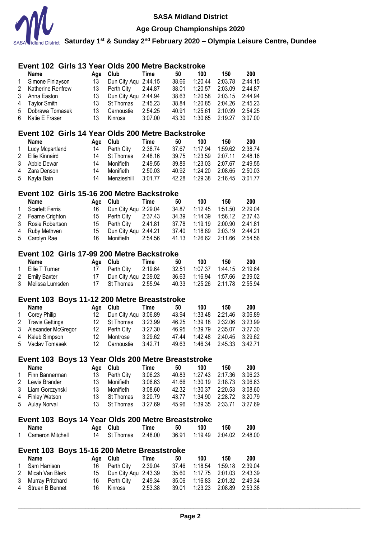

**Age Group Championships 2020**

**Saturday 1st & Sunday 2nd February 2020 – Olympia Leisure Centre, Dundee**

### \_\_\_\_\_\_\_\_\_\_\_\_\_\_\_\_\_\_\_\_\_\_\_\_\_\_\_\_\_\_\_\_\_\_\_\_\_\_\_\_\_\_\_\_\_\_\_\_\_\_\_\_\_\_\_\_\_\_\_\_\_\_\_\_\_\_\_\_\_\_\_\_\_\_\_\_\_\_\_\_\_\_\_\_\_\_\_\_\_\_\_\_\_\_\_\_\_\_\_\_\_\_\_\_\_\_\_ **Page 2 Event 102 Girls 13 Year Olds 200 Metre Backstroke Name Age Club Time 50 100 150 200** 1 Simone Finlayson 13 Dun City Aqu 2:44.15 38.66 1:20.44 2:03.78 2:44.15 2 Katherine Renfrew 13<br>3 **Anna Faston** 13 3 Anna Easton 13 Dun City Aqu 2:44.94 38.63 1:20.58 2:03.15 2:44.94 4 Taylor Smith 13 St Thomas 2:45.23 38.84 1:20.85 2:04.26 2:45.23 5 Dobrawa Tomasek 13 Carnoustie 2:54.25 40.91 1:25.61 2:10.99 2:54.25 6 Katie E Fraser 13 Kinross 3:07.00 43.30 1:30.65 2:19.27 3:07.00 **Event 102 Girls 14 Year Olds 200 Metre Backstroke Name Age Club Time 50 100 150 200** 1 Lucy Mcpartland 14 Perth City 2:38.74 37.67 1:17.94 1:59.62 2:38.74 2 Ellie Kinnaird 14 St Thomas 2:48.16 39.75 1:23.59 2:07.11 2:48.16 3 Abbie Dewar 14 Monifieth 2:49.55 39.89 1:23.03 2:07.67 2:49.55 4 Zara Denson 14 Monifieth 2:50.03 40.92 1:24.20 2:08.65 2:50.03 5 Kayla Bain 14 Menzieshill 3:01.77 42.28 1:29.38 2:16.45 3:01.77 **Event 102 Girls 15-16 200 Metre Backstroke Name Age Club Time 50 100 150 200** 1 Scarlett Ferris 16 Dun City Aqu 2:29.04 34.87 1:12.45 1:51.50 2:29.04<br>2 Fearne Crighton 15 Perth City 2:37.43 34.39 1:14.39 1:56.12 2:37.43 2 Fearne Crighton 15 Perth City 2:37.43 34.39 1:14.39 1:56.12 2:37.43 3 Rosie Robertson 15 Perth City 2:41.81 37.78 1:19.19 2:00.90 2:41.81 4 Ruby Methven 15 Dun City Aqu 2:44.21 37.40 1:18.89 2:03.19 2:44.21 5 Carolyn Rae 16 Monifieth 2:54.56 41.13 1:26.62 2:11.66 2:54.56 **Event 102 Girls 17-99 200 Metre Backstroke Name Age Club Time 50 100 150 200** 1 Ellie T Turner 17 Perth City 2:19.64 32.51 1:07.37 1:44.15 2:19.64 2 Emily Baxter 17 Dun City Aqu 2:39.02 36.63 1:16.94 1:57.66 2:39.02 3 Melissa Lumsden 17 St Thomas 2:55.94 40.33 1:25.26 2:11.78 2:55.94 **Event 103 Boys 11-12 200 Metre Breaststroke Name Age Club Time 50 100 150 200** 1 Corey Philip 12 Dun City Aqu 3:06.89 43.94 1:33.48 2:21.46 3:06.89 2 Travis Gettings 12 St Thomas 3:23.99 46.25 1:39.18 2:32.06 3:23.99 3 Alexander McGregor 12 Perth City 3:27.30 46.95 1:39.79 2:35.07 3:27.30 4 Kaleb Simpson 12 Montrose 3:29.62 47.44 1:42.48 2:40.45 3:29.62 5 Vaclav Tomasek 12 Carnoustie 3:42.71 49.63 1:46.34 2:45.33 3:42.71 **Event 103 Boys 13 Year Olds 200 Metre Breaststroke Name Age Club Time 50 100 150 200** 1 Finn Bannerman 13 Perth City 3:06.23 40.83 1:27.43 2:17.36 3:06.23 2 Lewis Brander 13 Monifieth 3:06.63 41.66 1:30.19 2:18.73 3:06.63 3 Liam Gorczynski 13 Monifieth 3:08.60 42.32 1:30.37 2:20.53 3:08.60 4 Finlay Watson 13 St Thomas 3:20.79 43.77 1:34.90 2:28.72 3:20.79 5 Aulay Norval 13 St Thomas 3:27.69 45.96 1:39.35 2:33.71 3:27.69 **Event 103 Boys 14 Year Olds 200 Metre Breaststroke Name Age Club Time 50 100 150 200** 1 Cameron Mitchell 14 St Thomas 2:48.00 36.91 1:19.49 2:04.02 2:48.00 **Event 103 Boys 15-16 200 Metre Breaststroke Name Age Club Time 50 100 150 200** 1 Sam Harrison 16 Perth City 2:39.04 37.46 1:18.54 1:59.18 2:39.04 2 Micah Van Blerk 15 Dun City Aqu 2:43.39 35.60 1:17.75 2:01.03 2:43.39 3 Murray Pritchard 16 Perth City 2:49.34 35.06 1:16.83 2:01.32 2:49.34 4 Struan B Bennet 16 Kinross 2:53.38 39.01 1:23.23 2:08.89 2:53.38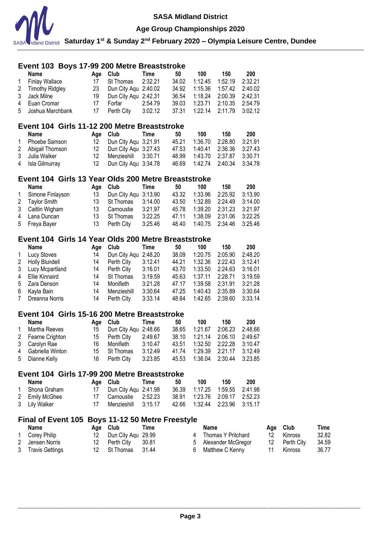

**Age Group Championships 2020**

**Saturday 1st & Sunday 2nd February 2020 – Olympia Leisure Centre, Dundee**

|   | Event 103 Boys 17-99 200 Metre Breaststroke         |     |                                      |             |       |             |                    |         |         |            |       |
|---|-----------------------------------------------------|-----|--------------------------------------|-------------|-------|-------------|--------------------|---------|---------|------------|-------|
|   | <b>Name</b>                                         |     | Age Club                             | Time        | 50    | 100         | 150                | 200     |         |            |       |
| 1 | <b>Finlay Wallace</b>                               | 17  | St Thomas                            | 2:32.21     | 34.02 | 1:12.45     | 1:52.19            | 2:32.21 |         |            |       |
| 2 | <b>Timothy Ridgley</b>                              | 23  | Dun City Aqu 2:40.02                 |             | 34.92 | 1:15.36     | 1:57.42            | 2:40.02 |         |            |       |
| 3 | Jack Milne                                          | 19  | Dun City Aqu 2:42.31                 |             | 36.54 | 1:18.24     | 2:00.39            | 2:42.31 |         |            |       |
| 4 | Euan Cromar                                         | 17  | Forfar                               | 2:54.79     | 39.03 | 1:23.71     | 2:10.35            | 2:54.79 |         |            |       |
| 5 | Joshua Marchbank                                    | 17  | Perth City                           | 3:02.12     | 37.31 | 1:22.14     | 2:11.79            | 3:02.12 |         |            |       |
|   |                                                     |     |                                      |             |       |             |                    |         |         |            |       |
|   | Event 104 Girls 11-12 200 Metre Breaststroke        |     |                                      |             |       |             |                    |         |         |            |       |
|   | <b>Name</b>                                         | Age | Club                                 | Time        | 50    | 100         | 150                | 200     |         |            |       |
| 1 | Phoebe Samson                                       | 12  | Dun City Aqu 3:21.91                 |             | 45.21 | 1:36.70     | 2:28.80            | 3:21.91 |         |            |       |
| 2 | Abigail Thomson                                     | 12  | Dun City Aqu 3:27.43                 |             | 47.53 | 1:40.41     | 2:36.36            | 3:27.43 |         |            |       |
| 3 | Julia Walker                                        | 12  | Menzieshill                          | 3:30.71     | 48.99 | 1:43.70     | 2:37.87            | 3:30.71 |         |            |       |
| 4 | Isla Gilmurray                                      | 12  | Dun City Aqu 3:34.78                 |             | 46.69 | 1:42.74     | 2:40.34            | 3:34.78 |         |            |       |
|   | Event 104 Girls 13 Year Olds 200 Metre Breaststroke |     |                                      |             |       |             |                    |         |         |            |       |
|   | <b>Name</b>                                         | Age | Club                                 | Time        | 50    | 100         | 150                | 200     |         |            |       |
| 1 | Simone Finlayson                                    | 13  | Dun City Aqu                         | 3:13.90     | 43.32 | 1:33.96     | 2:25.92            | 3:13.90 |         |            |       |
| 2 | <b>Taylor Smith</b>                                 | 13  | St Thomas                            | 3:14.00     | 43.50 | 1:32.89     | 2:24.49            | 3:14.00 |         |            |       |
| 3 | Caitlin Wigham                                      | 13  | Carnoustie                           | 3:21.97     | 45.78 | 1:39.20     | 2:31.23            | 3:21.97 |         |            |       |
|   |                                                     | 13  |                                      | 3:22.25     | 47.11 | 1:38.09     | 2:31.06            | 3:22.25 |         |            |       |
| 4 | Lana Duncan                                         | 13  | St Thomas                            |             |       | 1:40.75     | 2:34.46            |         |         |            |       |
| 5 | Freya Bayer                                         |     | Perth City                           | 3:25.46     | 48.40 |             |                    | 3:25.46 |         |            |       |
|   | Event 104 Girls 14 Year Olds 200 Metre Breaststroke |     |                                      |             |       |             |                    |         |         |            |       |
|   | Name                                                | Age | Club                                 | <b>Time</b> | 50    | 100         | 150                | 200     |         |            |       |
| 1 | Lucy Stoves                                         | 14  | Dun City Aqu 2:48.20                 |             | 38.09 | 1:20.75     | 2:05.90            | 2:48.20 |         |            |       |
| 2 | <b>Holly Blundell</b>                               | 14  | Perth City                           | 3:12.41     | 44.21 | 1:32.36     | 2:22.43            | 3:12.41 |         |            |       |
| 3 | Lucy Mcpartland                                     | 14  | Perth City                           | 3:16.01     | 43.70 | 1:33.50     | 2:24.63            | 3:16.01 |         |            |       |
| 4 | <b>Ellie Kinnaird</b>                               | 14  | St Thomas                            | 3:19.59     | 45.63 | 1:37.11     | 2:28.71            | 3:19.59 |         |            |       |
| 5 | Zara Denson                                         | 14  | Monifieth                            | 3:21.28     | 47.17 | 1:39.58     | 2:31.91            | 3:21.28 |         |            |       |
| 6 | Kayla Bain                                          | 14  | Menzieshill                          | 3:30.64     | 47.25 | 1:40.43     | 2:35.89            | 3:30.64 |         |            |       |
| 7 | Dreanna Norris                                      | 14  | Perth City                           | 3:33.14     | 48.64 | 1:42.65     | 2:39.60            | 3:33.14 |         |            |       |
|   |                                                     |     |                                      |             |       |             |                    |         |         |            |       |
|   | Event 104 Girls 15-16 200 Metre Breaststroke        |     |                                      |             |       |             |                    |         |         |            |       |
|   | <b>Name</b>                                         |     | Age Club                             | Time        | 50    | 100         | 150                | 200     |         |            |       |
| 1 | Martha Reeves                                       | 15  | Dun City Aqu 2:48.66                 |             | 38.65 | 1:21.67     | 2:06.23            | 2:48.66 |         |            |       |
| 2 | Fearne Crighton                                     | 15  | Perth City                           | 2:49.67     | 38.10 | 1:21.14     | 2:06.10            | 2:49.67 |         |            |       |
| 3 | Carolyn Rae                                         | 16  | Monifieth                            | 3:10.47     | 43.51 | 1:32.50     | 2:22.28            | 3:10.47 |         |            |       |
| 4 | Gabriella Winton                                    | 15  | St Thomas                            | 3:12.49     | 41.74 | 1:29.39     | 2:21.17            | 3:12.49 |         |            |       |
| 5 | Dianne Kelly                                        | 16  | Perth City                           | 3:23.85     | 45.53 | 1:36.04     | 2:30.44            | 3:23.85 |         |            |       |
|   |                                                     |     |                                      |             |       |             |                    |         |         |            |       |
|   | Event 104 Girls 17-99 200 Metre Breaststroke        |     |                                      |             |       |             |                    |         |         |            |       |
|   | <b>Name</b>                                         | Age | Club                                 | <b>Time</b> | 50    | 100         | 150                | 200     |         |            |       |
| 1 | Shona Graham                                        | 17  | Dun City Agu                         | 2:41.98     | 36.39 | 1:17.25     | 1:59.55            | 2:41.98 |         |            |       |
| 2 | <b>Emily McGhee</b>                                 | 17  | Carnoustie                           | 2:52.23     | 38.91 | 1:23.76     | 2:09.17            | 2:52.23 |         |            |       |
| 3 | <b>Lily Walker</b>                                  | 17  | Menzieshill                          | 3:15.17     | 42.66 | 1:32.44     | 2:23.96            | 3:15.17 |         |            |       |
|   | <b>Final of Event 105</b>                           |     | <b>Boys 11-12 50 Metre Freestyle</b> |             |       |             |                    |         |         |            |       |
|   | <b>Name</b>                                         | Age | Club                                 | Time        |       | <b>Name</b> |                    |         | Age     | Club       | Time  |
| 1 | Corey Philip                                        | 12  | Dun City Aqu                         | 29.99       |       | 4           | Thomas Y Pritchard |         | $12 \,$ | Kinross    | 32.82 |
| 2 | Jensen Norris                                       | 12  | Perth City                           | 30.81       |       | 5           | Alexander McGregor |         | 12      | Perth City | 34.5  |
| 3 | <b>Travis Gettings</b>                              | 12  | St Thomas                            | 31.44       |       | 6           | Matthew C Kenny    |         | 11      | Kinross    | 36.77 |
|   |                                                     |     |                                      |             |       |             |                    |         |         |            |       |

32.82 34.59 36.77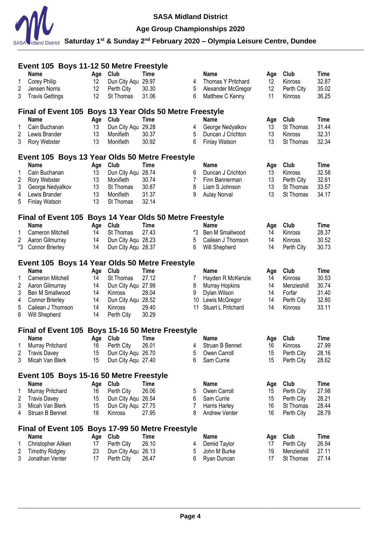

# **Age Group Championships 2020**

|        | Event 105 Boys 11-12 50 Metre Freestyle                 |           |                        |                                      |        |                      |                   |             |             |
|--------|---------------------------------------------------------|-----------|------------------------|--------------------------------------|--------|----------------------|-------------------|-------------|-------------|
|        | Name                                                    | Age       | Club                   | <b>Time</b>                          |        | <b>Name</b>          | Age               | Club        | Time        |
| 1      | Corey Philip                                            | 12        | Dun City Aqu           | 29.97                                | 4      | Thomas Y Pritchard   | $12 \overline{ }$ | Kinross     | 32.87       |
| 2      | Jensen Norris                                           | 12        | Perth City             | 30.30                                | 5      | Alexander McGregor   | 12                | Perth City  | 35.02       |
| 3      | <b>Travis Gettings</b>                                  | 12        | St Thomas              | 31.06                                | 6      | Matthew C Kenny      | 11                | Kinross     | 36.25       |
|        | Final of Event 105 Boys 13 Year Olds 50 Metre Freestyle |           |                        |                                      |        |                      |                   |             |             |
|        | <b>Name</b>                                             | Age       | Club                   | <b>Time</b>                          |        | <b>Name</b>          | Age               | Club        | Time        |
| 1      | Cain Buchanan                                           | 13        | Dun City Aqu 29.28     |                                      | 4      | George Nedyalkov     | 13                | St Thomas   | 31.44       |
| 2      | Lewis Brander                                           | 13        | Monifieth              | 30.37                                | 5      | Duncan J Crichton    | 13                | Kinross     | 32.31       |
| 3      | Rory Webster                                            | 13        | Monifieth              | 30.92                                | 6      | <b>Finlay Watson</b> | 13                | St Thomas   | 32.34       |
|        | Event 105 Boys 13 Year Olds 50 Metre Freestyle          |           |                        |                                      |        |                      |                   |             |             |
|        | <b>Name</b>                                             |           | Club                   | <b>Time</b>                          |        | <b>Name</b>          |                   | Club        | <b>Time</b> |
| 1      | Cain Buchanan                                           | Age<br>13 | Dun City Aqu 28.74     |                                      | 6      | Duncan J Crichton    | Age<br>13         | Kinross     | 32.58       |
|        |                                                         |           |                        | 30.74                                |        |                      |                   |             | 32.61       |
| 2      | Rory Webster                                            | 13        | Monifieth              |                                      | 7      | Finn Bannerman       | 13                | Perth City  |             |
| 3      | George Nedyalkov                                        | 13        | St Thomas              | 30.87                                | 8<br>9 | Liam S Johnson       | 13<br>13          | St Thomas   | 33.57       |
| 4<br>5 | Lewis Brander<br><b>Finlay Watson</b>                   | 13<br>13  | Monifieth<br>St Thomas | 31.37<br>32.14                       |        | <b>Aulay Norval</b>  |                   | St Thomas   | 34.17       |
|        |                                                         |           |                        |                                      |        |                      |                   |             |             |
|        | Final of Event 105 Boys 14 Year Olds 50 Metre Freestyle |           |                        |                                      |        |                      |                   |             |             |
|        | Name                                                    | Age       | Club                   | <b>Time</b>                          |        | <b>Name</b>          | Age               | Club        | <b>Time</b> |
| 1      | Cameron Mitchell                                        | 14        | St Thomas              | 27.43                                | *3     | Ben M Smallwood      | 14                | Kinross     | 28.37       |
| 2      | Aaron Gilmurray                                         | 14        | Dun City Aqu 28.23     |                                      | 5      | Cailean J Thomson    | 14                | Kinross     | 30.52       |
| *3     | <b>Connor Brierley</b>                                  | 14        | Dun City Aqu 28.37     |                                      | 6      | Will Shepherd        | 14                | Perth City  | 30.73       |
|        | Event 105 Boys 14 Year Olds 50 Metre Freestyle          |           |                        |                                      |        |                      |                   |             |             |
|        | <b>Name</b>                                             | Age       | Club                   | <b>Time</b>                          |        | <b>Name</b>          | Age               | Club        | <b>Time</b> |
| 1      | Cameron Mitchell                                        | 14        | St Thomas              | 27.12                                | 7      | Hayden R McKenzie    | 14                | Kinross     | 30.53       |
| 2      | Aaron Gilmurray                                         | 14        | Dun City Aqu 27.99     |                                      | 8      | Murray Hopkins       | 14                | Menzieshill | 30.74       |
| 3      | Ben M Smallwood                                         | 14        | <b>Kinross</b>         | 28.04                                | 9      | Dylan Wilson         | 14                | Forfar      | 31.40       |
| 4      | <b>Connor Brierley</b>                                  | 14        | Dun City Aqu 28.52     |                                      |        | 10 Lewis McGregor    | 14                | Perth City  | 32.80       |
| 5      | Cailean J Thomson                                       | 14        | Kinross                | 29.40                                | 11     | Stuart L Pritchard   | 14                | Kinross     | 33.11       |
| 6      | Will Shepherd                                           | 14        | Perth City             | 30.29                                |        |                      |                   |             |             |
|        | <b>Final of Event 105</b>                               |           |                        | Boys 15-16 50 Metre Freestyle        |        |                      |                   |             |             |
|        | <b>Name</b>                                             | Age       | Club                   | <b>Time</b>                          |        | Name                 | Age               | Club        | Time        |
| 1      | Murray Pritchard                                        | 16        | Perth City             | 26.01                                | 4      | Struan B Bennet      | 16                | Kinross     | 27.99       |
| 2      | <b>Travis Davey</b>                                     | 15        | Dun City Aqu 26.70     |                                      | 5      | Owen Carroll         | 15                | Perth City  | 28.16       |
| 3      | Micah Van Blerk                                         | 15        | Dun City Aqu 27.40     |                                      | 6      | Sam Currie           | 15                | Perth City  | 28.62       |
|        | Event 105 Boys 15-16 50 Metre Freestyle                 |           |                        |                                      |        |                      |                   |             |             |
|        | <b>Name</b>                                             | Age       | Club                   | <b>Time</b>                          |        | <b>Name</b>          | Age               | Club        | <b>Time</b> |
| 1      | Murray Pritchard                                        | 16        | Perth City             | 26.06                                | 5      | Owen Carroll         | 15                | Perth City  | 27.98       |
| 2      | <b>Travis Davey</b>                                     | 15        | Dun City Aqu 26.54     |                                      | 6      | Sam Currie           | 15                | Perth City  | 28.21       |
| 3      | Micah Van Blerk                                         | 15        | Dun City Aqu 27.75     |                                      | 7      | Harris Harley        | 16                | St Thomas   | 28.44       |
| 4      | Struan B Bennet                                         | 16        | Kinross                | 27.95                                | 8      | <b>Andrew Venter</b> | 16                | Perth City  | 28.79       |
|        | <b>Final of Event 105</b>                               |           |                        | <b>Boys 17-99 50 Metre Freestyle</b> |        |                      |                   |             |             |
|        | <b>Name</b>                                             |           | Club                   | Time                                 |        | <b>Name</b>          |                   | Club        | Time        |
| 1      | Christopher Aitken                                      | Age<br>17 | Perth City             | 26.10                                | 4      | Demid Taylor         | Age<br>17         | Perth City  | 26.94       |
| 2      | <b>Timothy Ridgley</b>                                  | 23        | Dun City Aqu 26.13     |                                      | 5      | John M Burke         | 19                | Menzieshill | 27.11       |
| 3      | Jonathan Venter                                         | 17        | Perth City             | 26.47                                | 6      | Ryan Duncan          | 17                | St Thomas   | 27.14       |
|        |                                                         |           |                        |                                      |        |                      |                   |             |             |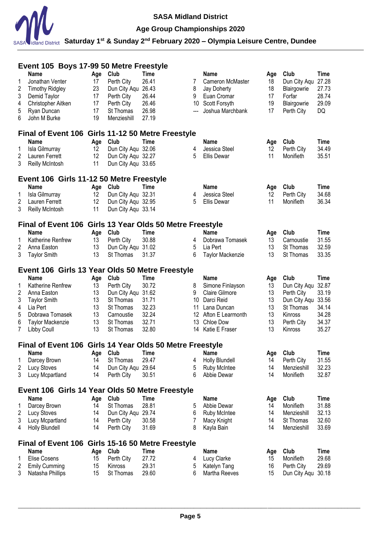

# **Age Group Championships 2020**

|   | Event 105 Boys 17-99 50 Metre Freestyle                  |     |                    |             |       |                       |     |              |             |  |  |
|---|----------------------------------------------------------|-----|--------------------|-------------|-------|-----------------------|-----|--------------|-------------|--|--|
|   | <b>Name</b>                                              | Age | Club               | <b>Time</b> |       | <b>Name</b>           | Age | Club         | <b>Time</b> |  |  |
| 1 | Jonathan Venter                                          | 17  | Perth City         | 26.41       | 7     | Cameron McMaster      | 18  | Dun City Aqu | 27.28       |  |  |
| 2 | <b>Timothy Ridgley</b>                                   | 23  | Dun City Aqu       | 26.43       | 8     | Jay Doherty           | 18  | Blairgowrie  | 27.73       |  |  |
| 3 | Demid Taylor                                             | 17  | Perth City         | 26.44       | 9     | Euan Cromar           | 17  | Forfar       | 28.74       |  |  |
| 4 | Christopher Aitken                                       | 17  | Perth City         | 26.46       |       | 10 Scott Forsyth      | 19  | Blairgowrie  | 29.09       |  |  |
| 5 | Ryan Duncan                                              | 17  | St Thomas          | 26.98       | $---$ | Joshua Marchbank      | 17  | Perth City   | DQ          |  |  |
| 6 | John M Burke                                             | 19  | Menzieshill        | 27.19       |       |                       |     |              |             |  |  |
|   | Final of Event 106 Girls 11-12 50 Metre Freestyle        |     |                    |             |       |                       |     |              |             |  |  |
|   | <b>Name</b>                                              | Age | Club               | Time        |       | Name                  | Age | Club         | Time        |  |  |
| 1 | Isla Gilmurray                                           | 12  | Dun City Aqu 32.06 |             | 4     | Jessica Steel         | 12  | Perth City   | 34.49       |  |  |
| 2 | Lauren Ferrett                                           | 12  | Dun City Aqu 32.27 |             | 5     | <b>Ellis Dewar</b>    | 11  | Monifieth    | 35.51       |  |  |
| 3 | <b>Reilly McIntosh</b>                                   | 11  | Dun City Aqu 33.65 |             |       |                       |     |              |             |  |  |
|   | Event 106 Girls 11-12 50 Metre Freestyle                 |     |                    |             |       |                       |     |              |             |  |  |
|   | <b>Name</b>                                              | Age | Club               | <b>Time</b> |       | <b>Name</b>           | Age | Club         | Time        |  |  |
| 1 | Isla Gilmurray                                           | 12  | Dun City Aqu 32.31 |             | 4     | Jessica Steel         | 12  | Perth City   | 34.68       |  |  |
| 2 | Lauren Ferrett                                           | 12  | Dun City Aqu 32.95 |             | 5     | <b>Ellis Dewar</b>    | 11  | Monifieth    | 36.34       |  |  |
| 3 | <b>Reilly McIntosh</b>                                   | 11  | Dun City Aqu 33.14 |             |       |                       |     |              |             |  |  |
|   | Final of Event 106 Girls 13 Year Olds 50 Metre Freestyle |     |                    |             |       |                       |     |              |             |  |  |
|   | <b>Name</b>                                              | Age | Club               | <b>Time</b> |       | <b>Name</b>           | Age | Club         | <b>Time</b> |  |  |
| 1 | Katherine Renfrew                                        | 13  | Perth City         | 30.88       | 4     | Dobrawa Tomasek       | 13  | Carnoustie   | 31.55       |  |  |
| 2 | Anna Easton                                              | 13  | Dun City Aqu 31.02 |             | 5     | Lia Pert              | 13  | St Thomas    | 32.59       |  |  |
| 3 | <b>Taylor Smith</b>                                      | 13  | St Thomas          | 31.37       | 6     | Taylor Mackenzie      | 13  | St Thomas    | 33.35       |  |  |
|   | Event 106 Girls 13 Year Olds 50 Metre Freestyle          |     |                    |             |       |                       |     |              |             |  |  |
|   | <b>Name</b>                                              | Age | Club               | <b>Time</b> |       | <b>Name</b>           | Age | Club         | <b>Time</b> |  |  |
| 1 | Katherine Renfrew                                        | 13  | Perth City         | 30.72       | 8     | Simone Finlayson      | 13  | Dun City Aqu | 32.87       |  |  |
| 2 | Anna Easton                                              | 13  | Dun City Aqu 31.62 |             | 9     | <b>Claire Gilmore</b> | 13  | Perth City   | 33.19       |  |  |
| 3 | <b>Taylor Smith</b>                                      | 13  | St Thomas          | 31.71       |       | 10 Darci Reid         | 13  | Dun City Aqu | 33.56       |  |  |
| 4 | Lia Pert                                                 | 13  | St Thomas          | 32.23       | 11    | Lana Duncan           | 13  | St Thomas    | 34.14       |  |  |
| 5 | Dobrawa Tomasek                                          | 13  | Carnoustie         | 32.24       |       | 12 Afton E Learmonth  | 13  | Kinross      | 34.28       |  |  |
| 6 | Taylor Mackenzie                                         | 13  | St Thomas          | 32.71       | 13    | Chloe Dow             | 13  | Perth City   | 34.37       |  |  |
| 7 | Libby Coull                                              | 13  | St Thomas          | 32.80       |       | 14 Katie E Fraser     | 13  | Kinross      | 35.27       |  |  |
|   | Final of Event 106 Girls 14 Year Olds 50 Metre Freestyle |     |                    |             |       |                       |     |              |             |  |  |
|   | Name                                                     | Age | Club               | Time        |       | Name                  | Age | Club         | Time        |  |  |
|   | Darcey Brown                                             | 14  | St Thomas          | 29.47       | 4     | <b>Holly Blundell</b> | 14  | Perth City   | 31.55       |  |  |
| 2 | Lucy Stoves                                              | 14  | Dun City Aqu 29.64 |             | 5     | <b>Ruby McIntee</b>   | 14  | Menzieshill  | 32.23       |  |  |
| 3 | Lucy Mcpartland                                          | 14  | Perth City         | 30.51       | 6     | Abbie Dewar           | 14  | Monifieth    | 32.87       |  |  |
|   | Event 106 Girls 14 Year Olds 50 Metre Freestyle          |     |                    |             |       |                       |     |              |             |  |  |
|   | Name                                                     | Age | Club               | <b>Time</b> |       | <b>Name</b>           | Age | Club         | Time        |  |  |
| 1 | Darcey Brown                                             | 14  | St Thomas          | 28.81       | 5     | Abbie Dewar           | 14  | Monifieth    | 31.88       |  |  |
| 2 | Lucy Stoves                                              | 14  | Dun City Aqu 29.74 |             | 6     | Ruby McIntee          | 14  | Menzieshill  | 32.13       |  |  |
| 3 | Lucy Mcpartland                                          | 14  | Perth City         | 30.58       | 7     | Macy Knight           | 14  | St Thomas    | 32.60       |  |  |
| 4 | <b>Holly Blundell</b>                                    | 14  | Perth City         | 31.69       | 8     | Kayla Bain            | 14  | Menzieshill  | 33.69       |  |  |
|   | Final of Event 106 Girls 15-16 50 Metre Freestyle        |     |                    |             |       |                       |     |              |             |  |  |
|   | <b>Name</b>                                              | Age | Club               | <b>Time</b> |       | <b>Name</b>           | Age | Club         | Time        |  |  |
| 1 | <b>Elise Cosens</b>                                      | 15  | Perth City         | 27.72       | 4     | Lucy Clarke           | 15  | Monifieth    | 29.68       |  |  |
| 2 | <b>Emily Cumming</b>                                     | 15  | Kinross            | 29.31       | 5     | Katelyn Tang          | 16  | Perth City   | 29.69       |  |  |
| 3 | Natasha Phillips                                         | 15  | St Thomas          | 29.60       | 6     | Martha Reeves         | 15  | Dun City Aqu | 30.18       |  |  |
|   |                                                          |     |                    |             |       |                       |     |              |             |  |  |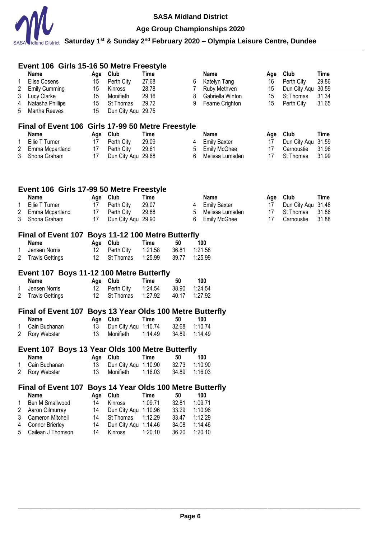

# **Age Group Championships 2020**

|                | Event 106 Girls 15-16 50 Metre Freestyle                                  |           |                                       |                    |       |                |                                    |           |                      |                      |
|----------------|---------------------------------------------------------------------------|-----------|---------------------------------------|--------------------|-------|----------------|------------------------------------|-----------|----------------------|----------------------|
| 1              | <b>Name</b><br><b>Elise Cosens</b>                                        | Age<br>15 | Club<br>Perth City                    | Time<br>27.68      |       | 6              | Name<br>Katelyn Tang               | Age<br>16 | Club<br>Perth City   | <b>Time</b><br>29.86 |
| 2              | <b>Emily Cumming</b>                                                      | 15        | Kinross                               | 28.78              |       | $\overline{7}$ | Ruby Methven                       | 15        | Dun City Aqu         | 30.59                |
| 3              | Lucy Clarke                                                               | 15        | Monifieth                             | 29.16              |       | 8              | Gabriella Winton                   | 15        | St Thomas            | 31.34                |
| 4              | Natasha Phillips                                                          | 15        | St Thomas                             | 29.72              |       | 9              | Fearne Crighton                    | 15        | Perth City           | 31.65                |
| 5              | Martha Reeves                                                             | 15        | Dun City Aqu 29.75                    |                    |       |                |                                    |           |                      |                      |
|                | Final of Event 106 Girls 17-99 50 Metre Freestyle                         |           |                                       |                    |       |                |                                    |           |                      |                      |
|                | <b>Name</b>                                                               | Age       | Club                                  | Time               |       |                | <b>Name</b>                        | Age       | Club                 | Time                 |
| 1              | Ellie T Turner                                                            | 17        | Perth City                            | 29.09              |       | 4              | <b>Emily Baxter</b>                | 17        | Dun City Agu         | 31.59                |
| $\overline{2}$ | Emma Mcpartland                                                           | 17        | Perth City                            | 29.61              |       | 5              | <b>Emily McGhee</b>                | 17        | Carnoustie           | 31.96                |
| 3              | Shona Graham                                                              | 17        | Dun City Aqu 29.68                    |                    |       | 6              | Melissa Lumsden                    | 17        | St Thomas            | 31.99                |
| 1              | Event 106 Girls 17-99 50 Metre Freestyle<br><b>Name</b><br>Ellie T Turner | Age<br>17 | Club<br>Perth City                    | Time<br>29.07      |       | 4              | <b>Name</b><br><b>Emily Baxter</b> | Age<br>17 | Club<br>Dun City Aqu | Time<br>31.48        |
| $\overline{2}$ | Emma Mcpartland                                                           | 17        | Perth City                            | 29.88              |       | 5              | Melissa Lumsden                    | 17        | St Thomas            | 31.86                |
| 3              | Shona Graham                                                              | 17        | Dun City Agu 29.90                    |                    |       | 6              | <b>Emily McGhee</b>                | 17        | Carnoustie           | 31.88                |
|                |                                                                           |           |                                       |                    |       |                |                                    |           |                      |                      |
|                | Final of Event 107 Boys 11-12 100 Metre Butterfly                         |           |                                       |                    |       |                |                                    |           |                      |                      |
|                | Name                                                                      | Age       | Club                                  | Time               | 50    |                | 100                                |           |                      |                      |
| 1              | Jensen Norris                                                             | 12<br>12  | Perth City                            | 1:21.58<br>1:25.99 | 36.81 |                | 1:21.58<br>1:25.99                 |           |                      |                      |
| 2              | <b>Travis Gettings</b>                                                    |           | St Thomas                             |                    | 39.77 |                |                                    |           |                      |                      |
|                | Event 107 Boys 11-12 100 Metre Butterfly                                  |           |                                       |                    |       |                |                                    |           |                      |                      |
|                | Name                                                                      | Age       | Club                                  | Time               | 50    |                | 100                                |           |                      |                      |
| 1              | Jensen Norris                                                             | 12        | Perth City                            | 1:24.54            | 38.90 |                | 1:24.54                            |           |                      |                      |
| 2              | <b>Travis Gettings</b>                                                    | 12        | St Thomas                             | 1:27.92            | 40.17 |                | 1:27.92                            |           |                      |                      |
|                | Final of Event 107 Boys 13 Year Olds 100 Metre Butterfly                  |           |                                       |                    |       |                |                                    |           |                      |                      |
|                | Name                                                                      |           | Age Club                              | <b>Time</b>        | 50    |                | 100                                |           |                      |                      |
| 1              | Cain Buchanan                                                             | 13        | Dun City Aqu 1:10.74                  |                    | 32.68 |                | 1:10.74                            |           |                      |                      |
| 2              | Rory Webster                                                              | 13        | Monifieth                             | 1:14.49            | 34.89 |                | 1:14.49                            |           |                      |                      |
|                | Event 107 Boys 13 Year Olds 100 Metre Butterfly                           |           |                                       |                    |       |                |                                    |           |                      |                      |
|                | Name                                                                      |           | Age Club                              | Time               | 50    |                | 100                                |           |                      |                      |
| 1              | Cain Buchanan                                                             | 13        | Dun City Aqu 1:10.90                  |                    | 32.73 |                | 1:10.90                            |           |                      |                      |
| 2              | Rory Webster                                                              | 13        | Monifieth                             | 1:16.03            | 34.89 |                | 1:16.03                            |           |                      |                      |
|                | <b>Final of Event 107</b>                                                 |           | Boys 14 Year Olds 100 Metre Butterfly |                    |       |                |                                    |           |                      |                      |
|                | <b>Name</b>                                                               |           | Age Club                              | Time               | 50    |                | 100                                |           |                      |                      |
| 1              | Ben M Smallwood                                                           | 14        | Kinross                               | 1:09.71            | 32.81 |                | 1:09.71                            |           |                      |                      |
| 2              | Aaron Gilmurray                                                           | 14        | Dun City Aqu 1:10.96                  |                    | 33.29 |                | 1:10.96                            |           |                      |                      |
| 3              | Cameron Mitchell                                                          | 14        | St Thomas                             | 1:12.29            | 33.47 |                | 1:12.29                            |           |                      |                      |
| 4              | <b>Connor Brierley</b>                                                    | 14        | Dun City Aqu 1:14.46                  |                    | 34.08 |                | 1:14.46                            |           |                      |                      |
| 5              | Cailean J Thomson                                                         | 14        | Kinross                               | 1:20.10            | 36.20 |                | 1:20.10                            |           |                      |                      |
|                |                                                                           |           |                                       |                    |       |                |                                    |           |                      |                      |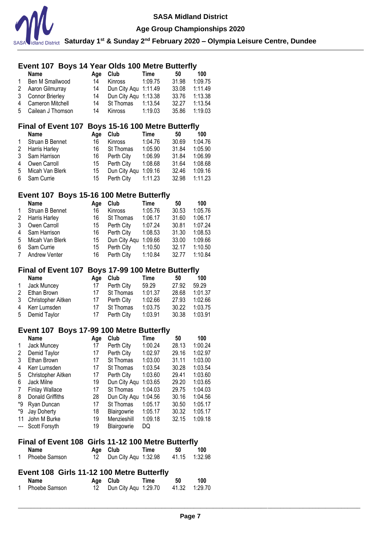

### **Age Group Championships 2020**

**Saturday 1st & Sunday 2nd February 2020 – Olympia Leisure Centre, Dundee**

# **Event 107 Boys 14 Year Olds 100 Metre Butterfly**

|   | <b>Name</b>         | Aae | Club                 | Time    | 50    | 100     |
|---|---------------------|-----|----------------------|---------|-------|---------|
| 1 | Ben M Smallwood     | 14  | Kinross              | 1:09.75 | 31.98 | 1:09.75 |
|   | 2 Aaron Gilmurray   | 14  | Dun City Aqu 1:11.49 |         | 33.08 | 1:11.49 |
|   | 3 Connor Brierley   | 14  | Dun City Agu 1:13.38 |         | 33.76 | 1:13.38 |
|   | 4 Cameron Mitchell  | 14  | St Thomas            | 1:13.54 | 32.27 | 1:13.54 |
|   | 5 Cailean J Thomson | 14  | Kinross              | 1:19.03 | 35.86 | 1:19.03 |

### **Final of Event 107 Boys 15-16 100 Metre Butterfly**

|              | <b>Name</b>     | Aae | Club               | Time    | 50    | 100     |
|--------------|-----------------|-----|--------------------|---------|-------|---------|
| $\mathbf{1}$ | Struan B Bennet | 16  | <b>Kinross</b>     | 1:04.76 | 30.69 | 1:04.76 |
|              | 2 Harris Harley | 16  | <b>St Thomas</b>   | 1:05.90 | 31.84 | 1:05.90 |
|              | 3 Sam Harrison  | 16  | Perth City         | 1:06.99 | 31.84 | 1:06.99 |
| 4            | Owen Carroll    | 15  | Perth City         | 1:08.68 | 31.64 | 1:08.68 |
| 5            | Micah Van Blerk | 15  | Dun City Agu       | 1:09.16 | 32.46 | 1:09.16 |
|              | 6 Sam Currie    | 15  | Perth City 1:11.23 |         | 32.98 | 1:11.23 |

### **Event 107 Boys 15-16 100 Metre Butterfly**

|                | Name              | Age | Club           | Time    | 50    | 100     |
|----------------|-------------------|-----|----------------|---------|-------|---------|
| $\mathbf{1}$   | Struan B Bennet   | 16  | <b>Kinross</b> | 1:05.76 | 30.53 | 1:05.76 |
|                | 2 Harris Harley   | 16  | St Thomas      | 1:06.17 | 31.60 | 1:06.17 |
| 3              | Owen Carroll      | 15  | Perth City     | 1:07.24 | 30.81 | 1:07.24 |
|                | 4 Sam Harrison    | 16  | Perth City     | 1:08.53 | 31.30 | 1:08.53 |
|                | 5 Micah Van Blerk | 15  | Dun City Agu   | 1:09.66 | 33.00 | 1:09.66 |
| 6              | Sam Currie        | 15  | Perth City     | 1:10.50 | 32.17 | 1:10.50 |
| $7\phantom{.}$ | Andrew Venter     | 16  | Perth City     | 1:10.84 | 32.77 | 1:10.84 |

### **Final of Event 107 Boys 17-99 100 Metre Butterfly**

|              | <b>Name</b>          | Aae | Club       | Time    | 50    | 100     |
|--------------|----------------------|-----|------------|---------|-------|---------|
| $\mathbf{1}$ | Jack Muncey          | 17  | Perth City | 59.29   | 27.92 | 59.29   |
| 2            | Ethan Brown          | 17  | St Thomas  | 1:01.37 | 28.68 | 1:01.37 |
|              | 3 Christopher Aitken | 17  | Perth City | 1:02.66 | 27.93 | 1:02.66 |
|              | 4 Kerr Lumsden       | 17  | St Thomas  | 1:03.75 | 30.22 | 1:03.75 |
|              | 5 Demid Taylor       | 17  | Perth City | 1:03.91 | 30.38 | 1:03.91 |

### **Event 107 Boys 17-99 100 Metre Butterfly**

|                          | <b>Name</b>           | Age | Club               | Time    | 50    | 100     |
|--------------------------|-----------------------|-----|--------------------|---------|-------|---------|
| 1                        | Jack Muncey           | 17  | Perth City         | 1:00.24 | 28.13 | 1:00.24 |
| 2                        | Demid Taylor          | 17  | Perth City         | 1:02.97 | 29.16 | 1:02.97 |
| 3                        | Ethan Brown           | 17  | St Thomas          | 1:03.00 | 31.11 | 1:03.00 |
| 4                        | Kerr Lumsden          | 17  | St Thomas          | 1:03.54 | 30.28 | 1:03.54 |
| 5                        | Christopher Aitken    | 17  | Perth City         | 1:03.60 | 29.41 | 1:03.60 |
| 6                        | Jack Milne            | 19  | Dun City Aqu       | 1:03.65 | 29.20 | 1:03.65 |
| 7                        | <b>Finlay Wallace</b> | 17  | St Thomas          | 1:04.03 | 29.75 | 1:04.03 |
| 8                        | Donald Griffiths      | 28  | Dun City Aqu       | 1:04.56 | 30.16 | 1:04.56 |
| *9                       | Ryan Duncan           | 17  | St Thomas          | 1:05.17 | 30.50 | 1:05.17 |
| *9                       | Jay Doherty           | 18  | Blairgowrie        | 1:05.17 | 30.32 | 1:05.17 |
| 11                       | John M Burke          | 19  | Menzieshill        | 1:09.18 | 32.15 | 1:09.18 |
| $\hspace{0.05cm} \ldots$ | Scott Forsyth         | 19  | <b>Blairgowrie</b> | DQ      |       |         |

### **Final of Event 108 Girls 11-12 100 Metre Butterfly**

| Name          | Age Club                | Time | 50 | 100           |
|---------------|-------------------------|------|----|---------------|
| Phoebe Samson | 12 Dun City Agu 1:32.98 |      |    | 41.15 1.32.98 |

### **Event 108 Girls 11-12 100 Metre Butterfly**

| Name          | Age Club                | Time | 50 | 100 |
|---------------|-------------------------|------|----|-----|
| Phoebe Samson | 12 Dun City Agu 1:29.70 |      |    |     |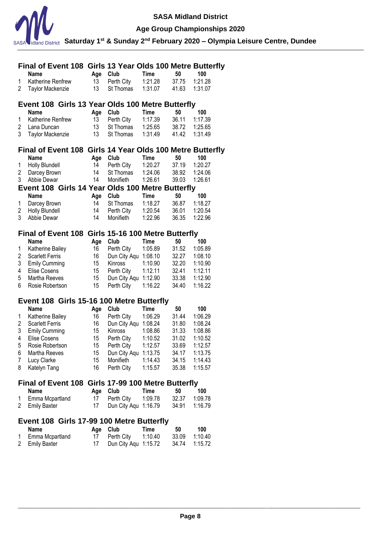

**Age Group Championships 2020**

|                | Final of Event 108 Girls 13 Year Olds 100 Metre Butterfly |          |                                    |             |                |                    |
|----------------|-----------------------------------------------------------|----------|------------------------------------|-------------|----------------|--------------------|
|                | <b>Name</b>                                               | Age Club |                                    | <b>Time</b> | 50             | 100                |
| 1              | Katherine Renfrew                                         | 13       | Perth City                         | 1:21.28     | 37.75          | 1:21.28            |
| 2              | <b>Taylor Mackenzie</b>                                   | 13       | St Thomas                          | 1:31.07     | 41.63          | 1:31.07            |
|                |                                                           |          |                                    |             |                |                    |
|                | Event 108 Girls 13 Year Olds 100 Metre Butterfly          |          |                                    |             |                |                    |
|                | Name                                                      | Age      | Club                               | <b>Time</b> | 50             | 100                |
| 1              | Katherine Renfrew                                         | 13       | Perth City                         | 1:17.39     | 36.11          | 1:17.39            |
| 2              | Lana Duncan                                               | 13       | St Thomas                          | 1:25.65     | 38.72          | 1:25.65            |
| 3              | <b>Taylor Mackenzie</b>                                   | 13       | St Thomas                          | 1:31.49     | 41.42          | 1:31.49            |
|                |                                                           |          |                                    |             |                |                    |
|                | Final of Event 108 Girls 14 Year Olds 100 Metre Butterfly |          |                                    |             |                |                    |
|                | <b>Name</b>                                               | Age Club |                                    | Time        | 50             | 100                |
| 1              | Holly Blundell                                            | 14       | Perth City                         | 1:20.27     | 37.19          | 1:20.27            |
| $\overline{2}$ | Darcey Brown                                              | 14       | St Thomas                          | 1:24.06     | 38.92          | 1:24.06            |
| 3              | Abbie Dewar                                               | 14       | Monifieth                          | 1:26.61     | 39.03          | 1:26.61            |
|                | Event 108 Girls 14 Year Olds 100 Metre Butterfly          |          |                                    |             |                |                    |
|                | <b>Name</b>                                               | Age Club |                                    | Time        | 50             | 100                |
| 1              | Darcey Brown                                              | 14       | St Thomas                          | 1:18.27     | 36.87          | 1:18.27            |
| $\overline{2}$ | <b>Holly Blundell</b>                                     | 14       | Perth City                         | 1:20.54     | 36.01          | 1:20.54            |
| 3              | Abbie Dewar                                               | 14       | Monifieth                          | 1:22.96     | 36.35          | 1:22.96            |
|                |                                                           |          |                                    |             |                |                    |
|                | Final of Event 108 Girls 15-16 100 Metre Butterfly        |          |                                    |             |                |                    |
|                | <b>Name</b>                                               | Age      | Club                               | <b>Time</b> | 50             | 100                |
| 1              | Katherine Bailey                                          | 16       | Perth City                         | 1:05.89     | 31.52          | 1:05.89            |
| 2              | <b>Scarlett Ferris</b>                                    | 16       | Dun City Aqu 1:08.10               |             | 32.27          | 1:08.10            |
| 3              | <b>Emily Cumming</b>                                      | 15       | Kinross                            | 1:10.90     | 32.20          | 1:10.90            |
| 4              | Elise Cosens                                              | 15       | Perth City                         | 1:12.11     | 32.41          | 1:12.11            |
| 5              | Martha Reeves                                             | 15       | Dun City Aqu 1:12.90               |             | 33.38          | 1:12.90            |
| 6              | Rosie Robertson                                           | 15       | Perth City                         | 1:16.22     | 34.40          | 1:16.22            |
|                |                                                           |          |                                    |             |                |                    |
|                |                                                           |          |                                    |             |                |                    |
|                |                                                           |          |                                    |             |                |                    |
|                | Event 108 Girls 15-16 100 Metre Butterfly                 |          |                                    |             |                |                    |
|                | Name                                                      | Age      | Club                               | Time        | 50             | 100                |
| 1              | Katherine Bailey                                          | 16       | Perth City                         | 1:06.29     | 31.44          | 1:06.29            |
| $\overline{c}$ | <b>Scarlett Ferris</b>                                    | 16       | Dun City Aqu 1:08.24               |             | 31.80          | 1:08.24            |
| 3              | <b>Emily Cumming</b>                                      | 15       | Kinross                            | 1:08.86     | 31.33          | 1:08.86            |
| 4              | Elise Cosens                                              | 15       | Perth City                         | 1:10.52     | 31.02          | 1:10.52            |
| 5              | Rosie Robertson                                           | 15       | Perth City                         | 1:12.57     | 33.69          | 1:12.57            |
| 6              | Martha Reeves                                             | 15       | Dun City Aqu 1:13.75               |             | 34.17          | 1:13.75            |
| 7              | Lucy Clarke                                               | 15       | Monifieth                          | 1:14.43     | 34.15          | 1:14.43            |
| 8              | Katelyn Tang                                              | 16       | Perth City                         | 1:15.57     | 35.38          | 1:15.57            |
|                |                                                           |          |                                    |             |                |                    |
|                | Final of Event 108 Girls 17-99 100 Metre Butterfly        |          |                                    |             |                |                    |
|                | <b>Name</b>                                               | Age      | Club                               | Time        | 50             | 100                |
| 1              | Emma Mcpartland                                           | 17       | Perth City                         | 1:09.78     | 32.37          | 1:09.78            |
| 2              | <b>Emily Baxter</b>                                       | 17       | Dun City Aqu 1:16.79               |             | 34.91          | 1:16.79            |
|                |                                                           |          |                                    |             |                |                    |
|                | Event 108 Girls 17-99 100 Metre Butterfly                 |          |                                    |             |                |                    |
|                | <b>Name</b>                                               | Age      | Club                               | Time        | 50             | 100                |
| 1<br>2         | Emma Mcpartland<br><b>Emily Baxter</b>                    | 17<br>17 | Perth City<br>Dun City Aqu 1:15.72 | 1:10.40     | 33.09<br>34.74 | 1:10.40<br>1:15.72 |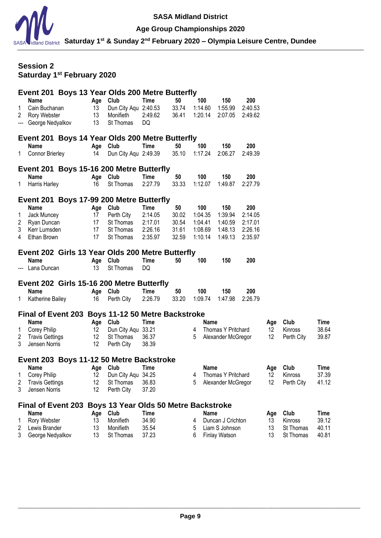

#### **Age Group Championships 2020**

**Saturday 1st & Sunday 2nd February 2020 – Olympia Leisure Centre, Dundee**

# **Session 2 Saturday 1st February 2020**

| Age Club<br>50<br>100<br><b>Name</b><br>Time<br>150<br>200<br>Dun City Aqu 2:40.53<br>33.74<br>1:14.60<br>1:55.99<br>2:40.53<br>Cain Buchanan<br>13<br>13<br>2<br>Rory Webster<br>Monifieth<br>2:49.62<br>36.41<br>1:20.14<br>2:07.05<br>2:49.62<br>13<br>George Nedyalkov<br>St Thomas<br>DQ<br>Event 201 Boys 14 Year Olds 200 Metre Butterfly<br>100<br>Age Club<br><b>Time</b><br>50<br><b>Name</b><br>150<br>200<br><b>Connor Brierley</b><br>Dun City Aqu 2:49.39<br>35.10<br>1:17.24<br>2:06.27<br>14<br>2:49.39<br>1.<br>Event 201 Boys 15-16 200 Metre Butterfly<br>Age Club<br><b>Time</b><br>50<br>100<br>200<br>150<br>Name<br>1:12.07<br>Harris Harley<br>St Thomas<br>2:27.79<br>33.33<br>1:49.87<br>16<br>2:27.79<br>1.<br>Event 201 Boys 17-99 200 Metre Butterfly<br>Age Club<br>50<br>100<br><b>Name</b><br>Time<br>150<br>200<br>2:14.05<br>1:39.94<br>Jack Muncey<br>17<br>Perth City<br>30.02<br>1:04.35<br>2:14.05<br>1<br>30.54<br>2<br>Ryan Duncan<br>17<br>St Thomas<br>2:17.01<br>1:04.41<br>1:40.59<br>2:17.01<br>3<br>Kerr Lumsden<br>17<br>St Thomas<br>2:26.16<br>31.61<br>1:08.69<br>1:48.13<br>2:26.16<br>17<br>2:35.97<br>32.59<br>1:10.14<br>1:49.13<br>Ethan Brown<br>St Thomas<br>2:35.97<br>4<br>Event 202 Girls 13 Year Olds 200 Metre Butterfly<br>100<br>Name<br>Club<br>Time<br>50<br>150<br>200<br>Age<br>St Thomas<br>DQ<br>--- Lana Duncan<br>13<br>Event 202 Girls 15-16 200 Metre Butterfly<br>100<br>150<br>200<br><b>Name</b><br>Age Club<br>Time<br>50<br>Katherine Bailey<br>Perth City<br>2:26.79<br>33.20<br>1:09.74<br>1:47.98<br>2:26.79<br>16<br>1.<br>Final of Event 203 Boys 11-12 50 Metre Backstroke<br><b>Name</b><br>Age Club<br>Time<br>Club<br>Name<br>Age<br>Corey Philip<br>Dun City Aqu 33.21<br>12<br>Thomas Y Pritchard<br>12<br>Kinross<br>4<br>1<br>12<br>2<br><b>Travis Gettings</b><br>$12 \,$<br>St Thomas<br>36.37<br>5<br>Alexander McGregor<br>Perth City<br>3<br>Jensen Norris<br>12<br>Perth City<br>38.39 |  |  | Event 201 Boys 13 Year Olds 200 Metre Butterfly |  |  |  |                |
|------------------------------------------------------------------------------------------------------------------------------------------------------------------------------------------------------------------------------------------------------------------------------------------------------------------------------------------------------------------------------------------------------------------------------------------------------------------------------------------------------------------------------------------------------------------------------------------------------------------------------------------------------------------------------------------------------------------------------------------------------------------------------------------------------------------------------------------------------------------------------------------------------------------------------------------------------------------------------------------------------------------------------------------------------------------------------------------------------------------------------------------------------------------------------------------------------------------------------------------------------------------------------------------------------------------------------------------------------------------------------------------------------------------------------------------------------------------------------------------------------------------------------------------------------------------------------------------------------------------------------------------------------------------------------------------------------------------------------------------------------------------------------------------------------------------------------------------------------------------------------------------------------------------------------------------------------------------------------------------|--|--|-------------------------------------------------|--|--|--|----------------|
|                                                                                                                                                                                                                                                                                                                                                                                                                                                                                                                                                                                                                                                                                                                                                                                                                                                                                                                                                                                                                                                                                                                                                                                                                                                                                                                                                                                                                                                                                                                                                                                                                                                                                                                                                                                                                                                                                                                                                                                          |  |  |                                                 |  |  |  |                |
|                                                                                                                                                                                                                                                                                                                                                                                                                                                                                                                                                                                                                                                                                                                                                                                                                                                                                                                                                                                                                                                                                                                                                                                                                                                                                                                                                                                                                                                                                                                                                                                                                                                                                                                                                                                                                                                                                                                                                                                          |  |  |                                                 |  |  |  |                |
|                                                                                                                                                                                                                                                                                                                                                                                                                                                                                                                                                                                                                                                                                                                                                                                                                                                                                                                                                                                                                                                                                                                                                                                                                                                                                                                                                                                                                                                                                                                                                                                                                                                                                                                                                                                                                                                                                                                                                                                          |  |  |                                                 |  |  |  |                |
|                                                                                                                                                                                                                                                                                                                                                                                                                                                                                                                                                                                                                                                                                                                                                                                                                                                                                                                                                                                                                                                                                                                                                                                                                                                                                                                                                                                                                                                                                                                                                                                                                                                                                                                                                                                                                                                                                                                                                                                          |  |  |                                                 |  |  |  |                |
|                                                                                                                                                                                                                                                                                                                                                                                                                                                                                                                                                                                                                                                                                                                                                                                                                                                                                                                                                                                                                                                                                                                                                                                                                                                                                                                                                                                                                                                                                                                                                                                                                                                                                                                                                                                                                                                                                                                                                                                          |  |  |                                                 |  |  |  |                |
|                                                                                                                                                                                                                                                                                                                                                                                                                                                                                                                                                                                                                                                                                                                                                                                                                                                                                                                                                                                                                                                                                                                                                                                                                                                                                                                                                                                                                                                                                                                                                                                                                                                                                                                                                                                                                                                                                                                                                                                          |  |  |                                                 |  |  |  |                |
|                                                                                                                                                                                                                                                                                                                                                                                                                                                                                                                                                                                                                                                                                                                                                                                                                                                                                                                                                                                                                                                                                                                                                                                                                                                                                                                                                                                                                                                                                                                                                                                                                                                                                                                                                                                                                                                                                                                                                                                          |  |  |                                                 |  |  |  |                |
|                                                                                                                                                                                                                                                                                                                                                                                                                                                                                                                                                                                                                                                                                                                                                                                                                                                                                                                                                                                                                                                                                                                                                                                                                                                                                                                                                                                                                                                                                                                                                                                                                                                                                                                                                                                                                                                                                                                                                                                          |  |  |                                                 |  |  |  |                |
|                                                                                                                                                                                                                                                                                                                                                                                                                                                                                                                                                                                                                                                                                                                                                                                                                                                                                                                                                                                                                                                                                                                                                                                                                                                                                                                                                                                                                                                                                                                                                                                                                                                                                                                                                                                                                                                                                                                                                                                          |  |  |                                                 |  |  |  |                |
|                                                                                                                                                                                                                                                                                                                                                                                                                                                                                                                                                                                                                                                                                                                                                                                                                                                                                                                                                                                                                                                                                                                                                                                                                                                                                                                                                                                                                                                                                                                                                                                                                                                                                                                                                                                                                                                                                                                                                                                          |  |  |                                                 |  |  |  |                |
|                                                                                                                                                                                                                                                                                                                                                                                                                                                                                                                                                                                                                                                                                                                                                                                                                                                                                                                                                                                                                                                                                                                                                                                                                                                                                                                                                                                                                                                                                                                                                                                                                                                                                                                                                                                                                                                                                                                                                                                          |  |  |                                                 |  |  |  |                |
|                                                                                                                                                                                                                                                                                                                                                                                                                                                                                                                                                                                                                                                                                                                                                                                                                                                                                                                                                                                                                                                                                                                                                                                                                                                                                                                                                                                                                                                                                                                                                                                                                                                                                                                                                                                                                                                                                                                                                                                          |  |  |                                                 |  |  |  |                |
|                                                                                                                                                                                                                                                                                                                                                                                                                                                                                                                                                                                                                                                                                                                                                                                                                                                                                                                                                                                                                                                                                                                                                                                                                                                                                                                                                                                                                                                                                                                                                                                                                                                                                                                                                                                                                                                                                                                                                                                          |  |  |                                                 |  |  |  |                |
|                                                                                                                                                                                                                                                                                                                                                                                                                                                                                                                                                                                                                                                                                                                                                                                                                                                                                                                                                                                                                                                                                                                                                                                                                                                                                                                                                                                                                                                                                                                                                                                                                                                                                                                                                                                                                                                                                                                                                                                          |  |  |                                                 |  |  |  |                |
|                                                                                                                                                                                                                                                                                                                                                                                                                                                                                                                                                                                                                                                                                                                                                                                                                                                                                                                                                                                                                                                                                                                                                                                                                                                                                                                                                                                                                                                                                                                                                                                                                                                                                                                                                                                                                                                                                                                                                                                          |  |  |                                                 |  |  |  |                |
|                                                                                                                                                                                                                                                                                                                                                                                                                                                                                                                                                                                                                                                                                                                                                                                                                                                                                                                                                                                                                                                                                                                                                                                                                                                                                                                                                                                                                                                                                                                                                                                                                                                                                                                                                                                                                                                                                                                                                                                          |  |  |                                                 |  |  |  |                |
|                                                                                                                                                                                                                                                                                                                                                                                                                                                                                                                                                                                                                                                                                                                                                                                                                                                                                                                                                                                                                                                                                                                                                                                                                                                                                                                                                                                                                                                                                                                                                                                                                                                                                                                                                                                                                                                                                                                                                                                          |  |  |                                                 |  |  |  | Time           |
|                                                                                                                                                                                                                                                                                                                                                                                                                                                                                                                                                                                                                                                                                                                                                                                                                                                                                                                                                                                                                                                                                                                                                                                                                                                                                                                                                                                                                                                                                                                                                                                                                                                                                                                                                                                                                                                                                                                                                                                          |  |  |                                                 |  |  |  | 38.64          |
|                                                                                                                                                                                                                                                                                                                                                                                                                                                                                                                                                                                                                                                                                                                                                                                                                                                                                                                                                                                                                                                                                                                                                                                                                                                                                                                                                                                                                                                                                                                                                                                                                                                                                                                                                                                                                                                                                                                                                                                          |  |  |                                                 |  |  |  | 39.87          |
|                                                                                                                                                                                                                                                                                                                                                                                                                                                                                                                                                                                                                                                                                                                                                                                                                                                                                                                                                                                                                                                                                                                                                                                                                                                                                                                                                                                                                                                                                                                                                                                                                                                                                                                                                                                                                                                                                                                                                                                          |  |  |                                                 |  |  |  |                |
| Event 203 Boys 11-12 50 Metre Backstroke<br>Age Club<br>Club<br>Name<br>Time<br><b>Name</b><br>Age                                                                                                                                                                                                                                                                                                                                                                                                                                                                                                                                                                                                                                                                                                                                                                                                                                                                                                                                                                                                                                                                                                                                                                                                                                                                                                                                                                                                                                                                                                                                                                                                                                                                                                                                                                                                                                                                                       |  |  |                                                 |  |  |  | Time           |
| 1 Corey Philip<br>Dun City Aqu 34.25<br>Thomas Y Pritchard<br>Kinross<br>$12 \overline{ }$<br>$4\overline{ }$<br>12                                                                                                                                                                                                                                                                                                                                                                                                                                                                                                                                                                                                                                                                                                                                                                                                                                                                                                                                                                                                                                                                                                                                                                                                                                                                                                                                                                                                                                                                                                                                                                                                                                                                                                                                                                                                                                                                      |  |  |                                                 |  |  |  | 37.39          |
| 12<br>12<br>2<br><b>Travis Gettings</b><br>St Thomas<br>36.83<br>5<br>Perth City<br>Alexander McGregor                                                                                                                                                                                                                                                                                                                                                                                                                                                                                                                                                                                                                                                                                                                                                                                                                                                                                                                                                                                                                                                                                                                                                                                                                                                                                                                                                                                                                                                                                                                                                                                                                                                                                                                                                                                                                                                                                   |  |  |                                                 |  |  |  | 41.12          |
| 12<br>37.20<br>3<br>Jensen Norris<br>Perth City                                                                                                                                                                                                                                                                                                                                                                                                                                                                                                                                                                                                                                                                                                                                                                                                                                                                                                                                                                                                                                                                                                                                                                                                                                                                                                                                                                                                                                                                                                                                                                                                                                                                                                                                                                                                                                                                                                                                          |  |  |                                                 |  |  |  |                |
| Final of Event 203 Boys 13 Year Olds 50 Metre Backstroke                                                                                                                                                                                                                                                                                                                                                                                                                                                                                                                                                                                                                                                                                                                                                                                                                                                                                                                                                                                                                                                                                                                                                                                                                                                                                                                                                                                                                                                                                                                                                                                                                                                                                                                                                                                                                                                                                                                                 |  |  |                                                 |  |  |  |                |
| <b>Name</b><br>Club<br><b>Time</b><br><b>Name</b><br>Club<br>Age<br>Age                                                                                                                                                                                                                                                                                                                                                                                                                                                                                                                                                                                                                                                                                                                                                                                                                                                                                                                                                                                                                                                                                                                                                                                                                                                                                                                                                                                                                                                                                                                                                                                                                                                                                                                                                                                                                                                                                                                  |  |  |                                                 |  |  |  | <b>Time</b>    |
| Rory Webster<br>Monifieth<br>34.90<br>13<br>Duncan J Crichton<br>Kinross<br>4<br>13<br>1                                                                                                                                                                                                                                                                                                                                                                                                                                                                                                                                                                                                                                                                                                                                                                                                                                                                                                                                                                                                                                                                                                                                                                                                                                                                                                                                                                                                                                                                                                                                                                                                                                                                                                                                                                                                                                                                                                 |  |  |                                                 |  |  |  | 39.12          |
| 13<br>35.54<br>Liam S Johnson<br>13<br>2<br>Lewis Brander<br>Monifieth<br>5<br>St Thomas<br>3<br>13<br>37.23<br>6<br>13<br>George Nedyalkov<br>St Thomas<br><b>Finlay Watson</b><br>St Thomas                                                                                                                                                                                                                                                                                                                                                                                                                                                                                                                                                                                                                                                                                                                                                                                                                                                                                                                                                                                                                                                                                                                                                                                                                                                                                                                                                                                                                                                                                                                                                                                                                                                                                                                                                                                            |  |  |                                                 |  |  |  | 40.11<br>40.81 |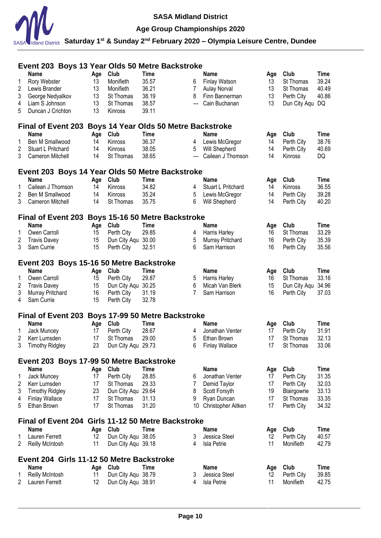

# **Age Group Championships 2020**

|                  | Event 203 Boys 13 Year Olds 50 Metre Backstroke          |          |                    |                                       |       |                       |          |              |               |
|------------------|----------------------------------------------------------|----------|--------------------|---------------------------------------|-------|-----------------------|----------|--------------|---------------|
|                  | <b>Name</b>                                              | Age      | Club               | <b>Time</b>                           |       | <b>Name</b>           | Age      | Club         | Time          |
| 1                | Rory Webster                                             | 13       | Monifieth          | 35.57                                 | 6     | Finlay Watson         | 13       | St Thomas    | 39.24         |
| 2                | Lewis Brander                                            | 13       | Monifieth          | 36.21                                 | 7     | <b>Aulay Norval</b>   | 13       | St Thomas    | 40.49         |
| 3                | George Nedyalkov                                         | 13       | St Thomas          | 38.19                                 | 8     | Finn Bannerman        | 13       | Perth City   | 40.86         |
| 4                | Liam S Johnson                                           | 13       | St Thomas          | 38.57                                 | $---$ | Cain Buchanan         | 13       | Dun City Aqu | DQ            |
| 5                | Duncan J Crichton                                        | 13       | Kinross            | 39.11                                 |       |                       |          |              |               |
|                  | <b>Final of Event 203</b>                                |          |                    | Boys 14 Year Olds 50 Metre Backstroke |       |                       |          |              |               |
|                  | Name                                                     | Age      | Club               | <b>Time</b>                           |       | Name                  | Age      | Club         | <b>Time</b>   |
| 1                | Ben M Smallwood                                          | 14       | Kinross            | 36.37                                 | 4     | Lewis McGregor        | 14       | Perth City   | 38.76         |
| 2                | Stuart L Pritchard                                       | 14       | Kinross            | 38.05                                 | 5     | Will Shepherd         | 14       | Perth City   | 40.69         |
| 3                | Cameron Mitchell                                         | 14       | St Thomas          | 38.65                                 | $---$ | Cailean J Thomson     | 14       | Kinross      | DQ            |
|                  | Event 203 Boys 14 Year Olds 50 Metre Backstroke          |          |                    |                                       |       |                       |          |              |               |
|                  | Name                                                     | Age      | Club               | Time                                  |       | Name                  | Age      | Club         | Time          |
| 1                | Cailean J Thomson                                        | 14       | <b>Kinross</b>     | 34.82                                 | 4     | Stuart L Pritchard    | 14       | Kinross      | 36.55         |
| 2                | Ben M Smallwood                                          | 14       | Kinross            | 35.24                                 | 5     | Lewis McGregor        | 14       | Perth City   | 39.28         |
| 3                | Cameron Mitchell                                         | 14       | St Thomas          | 35.75                                 | 6     | Will Shepherd         | 14       | Perth City   | 40.20         |
|                  |                                                          |          |                    |                                       |       |                       |          |              |               |
|                  | Final of Event 203 Boys 15-16 50 Metre Backstroke        |          |                    |                                       |       |                       |          |              |               |
|                  | <b>Name</b>                                              | Age      | Club               | <b>Time</b>                           |       | <b>Name</b>           | Age      | Club         | Time          |
| 1                | Owen Carroll                                             | 15       | Perth City         | 29.85                                 | 4     | Harris Harley         | 16       | St Thomas    | 33.29         |
| 2                | <b>Travis Davey</b>                                      | 15       | Dun City Aqu 30.00 |                                       | 5     | Murray Pritchard      | 16       | Perth City   | 35.39         |
| 3                | Sam Currie                                               | 15       | Perth City         | 32.51                                 | 6     | Sam Harrison          | 16       | Perth City   | 35.56         |
|                  | Event 203 Boys 15-16 50 Metre Backstroke                 |          |                    |                                       |       |                       |          |              |               |
|                  | <b>Name</b>                                              | Age      | Club               | <b>Time</b>                           |       | <b>Name</b>           | Age      | Club         | <b>Time</b>   |
| 1                | Owen Carroll                                             | 15       | Perth City         | 29.87                                 | 5     | Harris Harley         | 16       | St Thomas    | 33.16         |
| $\boldsymbol{2}$ | <b>Travis Davey</b>                                      | 15       | Dun City Aqu 30.25 |                                       | 6     | Micah Van Blerk       | 15       | Dun City Aqu | 34.96         |
| 3                | Murray Pritchard                                         | 16       | Perth City         | 31.19                                 | 7     | Sam Harrison          | 16       | Perth City   | 37.03         |
| 4                | Sam Currie                                               | 15       | Perth City         | 32.78                                 |       |                       |          |              |               |
|                  | Final of Event 203 Boys 17-99 50 Metre Backstroke        |          |                    |                                       |       |                       |          |              |               |
|                  | <b>Name</b>                                              | Age      | Club               | Time                                  |       | <b>Name</b>           | Age      | Club         | Time          |
| 1                | Jack Muncey                                              | 17       | Perth City         | 28.67                                 | 4     | Jonathan Venter       | 17       | Perth City   | 31.91         |
| 2                | Kerr Lumsden                                             | 17       | St Thomas          | 29.00                                 | 5     | Ethan Brown           | 17       | St Thomas    | 32.13         |
| 3                | <b>Timothy Ridgley</b>                                   | 23       | Dun City Aqu 29.73 |                                       | 6.    | <b>Finlay Wallace</b> | 17       | St Thomas    | 33.06         |
|                  | Event 203 Boys 17-99 50 Metre Backstroke                 |          |                    |                                       |       |                       |          |              |               |
|                  | <b>Name</b>                                              | Age      | Club               | Time                                  |       | <b>Name</b>           | Age      | Club         | Time          |
| 1                | Jack Muncey                                              | 17       | Perth City         | 28.85                                 | 6     | Jonathan Venter       | 17       | Perth City   | 31.35         |
| 2                | Kerr Lumsden                                             | 17       | St Thomas          | 29.33                                 | 7     | Demid Taylor          | 17       | Perth City   | 32.03         |
| 3                | <b>Timothy Ridgley</b>                                   | 23       | Dun City Aqu 29.64 |                                       | 8     | Scott Forsyth         | 19       | Blairgowrie  | 33.13         |
| 4                | <b>Finlay Wallace</b>                                    | 17       | St Thomas          | 31.13                                 | 9     | Ryan Duncan           | 17       | St Thomas    | 33.35         |
| 5                | Ethan Brown                                              | 17       | St Thomas          | 31.20                                 | 10    | Christopher Aitken    | 17       | Perth City   | 34.32         |
|                  | Final of Event 204 Girls 11-12 50 Metre Backstroke       |          |                    |                                       |       |                       |          |              |               |
|                  | <b>Name</b>                                              | Age      | Club               | Time                                  |       | <b>Name</b>           | Age      | Club         | Time          |
| 1                | Lauren Ferrett                                           | 12       | Dun City Aqu 38.05 |                                       | 3     | Jessica Steel         | 12       | Perth City   | 40.57         |
| 2                | Reilly McIntosh                                          | 11       | Dun City Aqu 39.18 |                                       | 4     | <b>Isla Petrie</b>    | 11       | Monifieth    | 42.79         |
|                  |                                                          |          |                    |                                       |       |                       |          |              |               |
|                  | Event 204 Girls 11-12 50 Metre Backstroke<br><b>Name</b> |          | Club               | Time                                  |       | <b>Name</b>           |          |              |               |
|                  |                                                          | Age      | Dun City Aqu 38.79 |                                       |       | Jessica Steel         | Age      | Club         | Time<br>39.85 |
| 1                | Reilly McIntosh                                          | 11<br>12 |                    |                                       | 3     |                       | 12<br>11 | Perth City   |               |
| 2                | Lauren Ferrett                                           |          | Dun City Aqu 38.91 |                                       | 4     | <b>Isla Petrie</b>    |          | Monifieth    | 42.75         |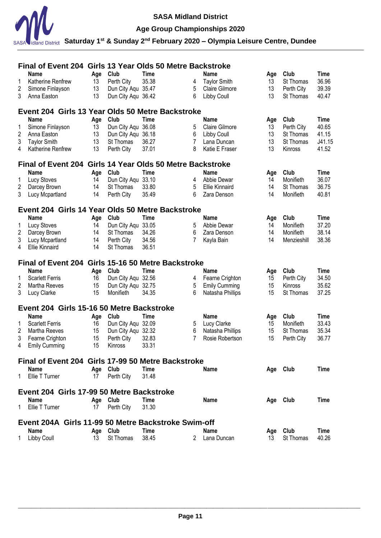

# **Age Group Championships 2020**

|                | Final of Event 204 Girls 13 Year Olds 50 Metre Backstroke |           |                    |                      |   |                       |     |             |                      |
|----------------|-----------------------------------------------------------|-----------|--------------------|----------------------|---|-----------------------|-----|-------------|----------------------|
|                | <b>Name</b>                                               | Age       | Club               | <b>Time</b>          |   | <b>Name</b>           | Age | Club        | <b>Time</b>          |
| 1              | Katherine Renfrew                                         | 13        | Perth City         | 35.38                | 4 | <b>Taylor Smith</b>   | 13  | St Thomas   | 36.96                |
| 2              | Simone Finlayson                                          | 13        | Dun City Aqu 35.47 |                      | 5 | Claire Gilmore        | 13  | Perth City  | 39.39                |
| 3              | Anna Easton                                               | 13        | Dun City Aqu 36.42 |                      | 6 | Libby Coull           | 13  | St Thomas   | 40.47                |
|                | Event 204 Girls 13 Year Olds 50 Metre Backstroke          |           |                    |                      |   |                       |     |             |                      |
|                | <b>Name</b>                                               | Age       | Club               | <b>Time</b>          |   | <b>Name</b>           | Age | Club        | <b>Time</b>          |
| 1              | Simone Finlayson                                          | 13        | Dun City Aqu 36.08 |                      | 5 | <b>Claire Gilmore</b> | 13  | Perth City  | 40.65                |
| $\overline{2}$ | Anna Easton                                               | 13        | Dun City Aqu 36.18 |                      | 6 | Libby Coull           | 13  | St Thomas   | 41.15                |
| 3              | <b>Taylor Smith</b>                                       | 13        | St Thomas          | 36.27                | 7 | Lana Duncan           | 13  | St Thomas   | J41.15               |
| 4              | Katherine Renfrew                                         | 13        | Perth City         | 37.01                | 8 | Katie E Fraser        | 13  | Kinross     | 41.52                |
|                | Final of Event 204 Girls 14 Year Olds 50 Metre Backstroke |           |                    |                      |   |                       |     |             |                      |
|                |                                                           |           | Club               |                      |   |                       |     | Club        |                      |
|                | Name                                                      | Age       |                    | <b>Time</b><br>33.10 |   | Name                  | Age |             | <b>Time</b><br>36.07 |
| 1              | Lucy Stoves                                               | 14        | Dun City Aqu       |                      | 4 | Abbie Dewar           | 14  | Monifieth   |                      |
| $\overline{2}$ | Darcey Brown                                              | 14        | St Thomas          | 33.80                | 5 | <b>Ellie Kinnaird</b> | 14  | St Thomas   | 36.75                |
| 3              | Lucy Mcpartland                                           | 14        | Perth City         | 35.49                | 6 | Zara Denson           | 14  | Monifieth   | 40.81                |
|                | Event 204 Girls 14 Year Olds 50 Metre Backstroke          |           |                    |                      |   |                       |     |             |                      |
|                | <b>Name</b>                                               | Age       | Club               | <b>Time</b>          |   | <b>Name</b>           | Age | Club        | <b>Time</b>          |
| 1              | <b>Lucy Stoves</b>                                        | 14        | Dun City Aqu       | 33.05                | 5 | Abbie Dewar           | 14  | Monifieth   | 37.20                |
| $\overline{2}$ | Darcey Brown                                              | 14        | St Thomas          | 34.26                | 6 | Zara Denson           | 14  | Monifieth   | 38.14                |
| 3              | Lucy Mcpartland                                           | 14        | Perth City         | 34.56                | 7 | Kayla Bain            | 14  | Menzieshill | 38.36                |
| 4              | <b>Ellie Kinnaird</b>                                     | 14        | St Thomas          | 36.51                |   |                       |     |             |                      |
|                | Final of Event 204 Girls 15-16 50 Metre Backstroke        |           |                    |                      |   |                       |     |             |                      |
|                | <b>Name</b>                                               | Age       | Club               | Time                 |   | <b>Name</b>           | Age | Club        | Time                 |
| 1              | <b>Scarlett Ferris</b>                                    | 16        | Dun City Aqu 32.56 |                      | 4 | Fearne Crighton       | 15  | Perth City  | 34.50                |
| 2              | Martha Reeves                                             | 15        | Dun City Aqu 32.75 |                      | 5 | <b>Emily Cumming</b>  | 15  | Kinross     | 35.62                |
| 3              | Lucy Clarke                                               | 15        | Monifieth          | 34.35                | 6 | Natasha Phillips      | 15  | St Thomas   | 37.25                |
|                | Event 204 Girls 15-16 50 Metre Backstroke                 |           |                    |                      |   |                       |     |             |                      |
|                | Name                                                      | Age       | Club               | <b>Time</b>          |   | <b>Name</b>           | Age | Club        | <b>Time</b>          |
| 1              | <b>Scarlett Ferris</b>                                    | 16        | Dun City Aqu 32.09 |                      | 5 | Lucy Clarke           | 15  | Monifieth   | 33.43                |
| $\overline{2}$ | Martha Reeves                                             | 15        | Dun City Aqu 32.32 |                      | 6 | Natasha Phillips      | 15  | St Thomas   | 35.34                |
| 3              | Fearne Crighton                                           | 15        | Perth City         | 32.83                | 7 | Rosie Robertson       | 15  | Perth City  | 36.77                |
| 4              | <b>Emily Cumming</b>                                      | 15        | Kinross            | 33.31                |   |                       |     |             |                      |
|                | Final of Event 204 Girls 17-99 50 Metre Backstroke        |           |                    |                      |   |                       |     |             |                      |
|                | <b>Name</b>                                               |           | Club               | Time                 |   | <b>Name</b>           |     |             | Time                 |
| 1              | Ellie T Turner                                            | Age<br>17 | Perth City         | 31.48                |   |                       |     | Age Club    |                      |
|                |                                                           |           |                    |                      |   |                       |     |             |                      |
|                | Event 204 Girls 17-99 50 Metre Backstroke                 |           |                    |                      |   |                       |     |             |                      |
|                | <b>Name</b>                                               | Age       | Club               | <b>Time</b>          |   | <b>Name</b>           |     | Age Club    | Time                 |
| 1.             | Ellie T Turner                                            | 17        | Perth City         | 31.30                |   |                       |     |             |                      |
|                | Event 204A Girls 11-99 50 Metre Backstroke Swim-off       |           |                    |                      |   |                       |     |             |                      |
|                | Name                                                      |           | Age Club           | <b>Time</b>          |   | <b>Name</b>           |     | Age Club    | Time                 |
| 1.             | <b>Libby Coull</b>                                        | 13        | St Thomas          | 38.45                | 2 | Lana Duncan           | 13  | St Thomas   | 40.26                |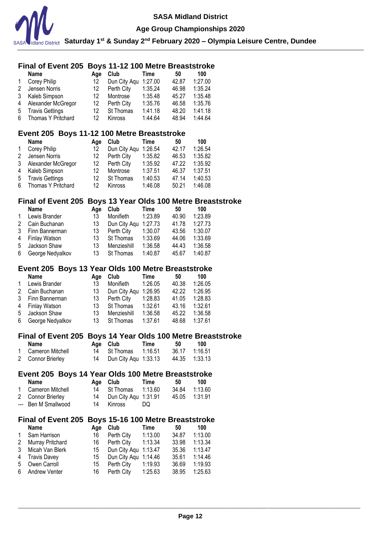

#### **Age Group Championships 2020**

**Saturday 1st & Sunday 2nd February 2020 – Olympia Leisure Centre, Dundee**

### **Final of Event 205 Boys 11-12 100 Metre Breaststroke**

|    | <b>Name</b>        | Aae | Club         | Time    | 50    | 100     |
|----|--------------------|-----|--------------|---------|-------|---------|
|    | Corey Philip       | 12  | Dun City Aqu | 1:27.00 | 42.87 | 1:27.00 |
| 2  | Jensen Norris      | 12  | Perth City   | 1:35.24 | 46.98 | 1:35.24 |
| 3  | Kaleb Simpson      | 12  | Montrose     | 1:35.48 | 45.27 | 1:35.48 |
| 4  | Alexander McGregor | 12. | Perth City   | 1:35.76 | 46.58 | 1:35.76 |
| -5 | Travis Gettings    | 12. | St Thomas    | 1:41.18 | 48.20 | 1:41.18 |
| 6  | Thomas Y Pritchard | 12  | Kinross      | 1:44.64 | 48.94 | 1:44.64 |

# **Event 205 Boys 11-12 100 Metre Breaststroke**

|   | <b>Name</b>            | Aae | Club         | Time    | 50    | 100     |
|---|------------------------|-----|--------------|---------|-------|---------|
|   | Corey Philip           | 12  | Dun City Agu | 1:26.54 | 42.17 | 1:26.54 |
| 2 | Jensen Norris          | 12  | Perth City   | 1:35.82 | 46.53 | 1:35.82 |
| 3 | Alexander McGregor     | 12  | Perth City   | 1:35.92 | 47.22 | 1:35.92 |
| 4 | Kaleb Simpson          | 12  | Montrose     | 1:37.51 | 46.37 | 1:37.51 |
| 5 | <b>Travis Gettings</b> | 12  | St Thomas    | 1:40.53 | 47.14 | 1:40.53 |
| 6 | Thomas Y Pritchard     | 12  | Kinross      | 1:46.08 | 50.21 | 1:46.08 |

### **Final of Event 205 Boys 13 Year Olds 100 Metre Breaststroke**

|                | <b>Name</b>      | Aae | Club                 | Time    | 50    | 100     |
|----------------|------------------|-----|----------------------|---------|-------|---------|
| $\mathbf{1}$   | Lewis Brander    | 13  | Monifieth            | 1:23.89 | 40.90 | 1:23.89 |
| 2              | Cain Buchanan    | 13  | Dun City Aqu 1:27.73 |         | 41.78 | 1:27.73 |
| 3              | Finn Bannerman   | 13  | Perth City           | 1:30.07 | 43.56 | 1:30.07 |
| $\overline{4}$ | Finlay Watson    | 13  | St Thomas            | 1:33.69 | 44.06 | 1:33.69 |
| .5             | Jackson Shaw     | 13  | Menzieshill          | 1:36.58 | 44.43 | 1:36.58 |
| 6              | George Nedyalkov | 13  | St Thomas            | 1:40.87 | 45.67 | 1:40.87 |

#### **Event 205 Boys 13 Year Olds 100 Metre Breaststroke**

|   | <b>Name</b>      | Aae | Club                 | Time    | 50    | 100     |
|---|------------------|-----|----------------------|---------|-------|---------|
| 1 | Lewis Brander    | 13  | Monifieth            | 1:26.05 | 40.38 | 1:26.05 |
| 2 | Cain Buchanan    | 13  | Dun City Agu 1:26.95 |         | 42.22 | 1:26.95 |
| 3 | Finn Bannerman   | 13  | Perth City           | 1:28.83 | 41.05 | 1:28.83 |
| 4 | Finlay Watson    | 13  | St Thomas            | 1:32.61 | 43.16 | 1:32.61 |
| 5 | Jackson Shaw     | 13  | Menzieshill          | 1:36.58 | 45.22 | 1:36.58 |
| 6 | George Nedyalkov | 13  | St Thomas            | 1:37.61 | 48.68 | 1:37.61 |

#### **Final of Event 205 Boys 14 Year Olds 100 Metre Breaststroke**

| Name               | Age Club                | Time | - 50          | 100 |
|--------------------|-------------------------|------|---------------|-----|
| 1 Cameron Mitchell |                         |      | 36.17 1:16.51 |     |
| 2 Connor Brierley  | 14 Dun City Agu 1:33.13 |      | 44.35 1:33.13 |     |

### **Event 205 Boys 14 Year Olds 100 Metre Breaststroke**

| Name                |    | Age Club             | Time    | 50    | 100     |
|---------------------|----|----------------------|---------|-------|---------|
| 1 Cameron Mitchell  |    | 14 St Thomas         | 1:13.60 | 34.84 | 1:13.60 |
| 2 Connor Brierley   | 14 | Dun City Agu 1:31.91 |         |       |         |
| --- Ben M Smallwood |    | 14 Kinross           | DQ.     |       |         |

### **Final of Event 205 Boys 15-16 100 Metre Breaststroke**

|              | <b>Name</b>        | Aae | Club                 | Time    | 50    | 100     |
|--------------|--------------------|-----|----------------------|---------|-------|---------|
| $\mathbf{1}$ | Sam Harrison       | 16  | Perth City           | 1:13.00 | 34.87 | 1:13.00 |
|              | 2 Murray Pritchard | 16  | Perth City           | 1:13.34 | 33.98 | 1:13.34 |
| 3            | Micah Van Blerk    | 15  | Dun City Agu 1:13.47 |         | 35.36 | 1:13.47 |
|              | 4 Travis Davey     | 15  | Dun City Aqu 1:14.46 |         | 35.61 | 1:14.46 |
| 5            | Owen Carroll       | 15  | Perth City           | 1:19.93 | 36.69 | 1:19.93 |
|              | 6 Andrew Venter    | 16  | Perth City           | 1:25.63 | 38.95 | 1:25.63 |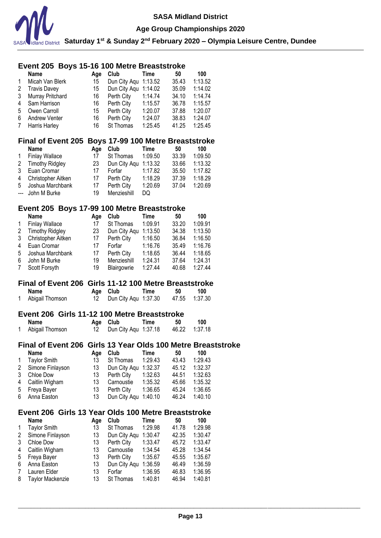

**Saturday 1st & Sunday 2nd February 2020 – Olympia Leisure Centre, Dundee**

# **Event 205 Boys 15-16 100 Metre Breaststroke**

|                 | <b>Name</b>          | Aae | Club                 | Time    | 50    | 100     |
|-----------------|----------------------|-----|----------------------|---------|-------|---------|
| $\mathbf{1}$    | Micah Van Blerk      | 15  | Dun City Agu 1:13.52 |         | 35.43 | 1:13.52 |
|                 | 2 Travis Davey       | 15  | Dun City Agu 1:14.02 |         | 35.09 | 1:14.02 |
| 3               | Murray Pritchard     | 16  | Perth City           | 1:14.74 | 34.10 | 1:14.74 |
| 4               | Sam Harrison         | 16  | Perth City           | 1:15.57 | 36.78 | 1:15.57 |
| 5               | Owen Carroll         | 15  | Perth City           | 1:20.07 | 37.88 | 1:20.07 |
| 6               | <b>Andrew Venter</b> | 16  | Perth City           | 1:24.07 | 38.83 | 1:24.07 |
| $7\phantom{.0}$ | <b>Harris Harley</b> | 16  | St Thomas            | 1:25.45 | 41.25 | 1:25.45 |

#### **Final of Event 205 Boys 17-99 100 Metre Breaststroke**

|                | <b>Name</b>            | Aae | Club                 | Time    | 50    | 100     |
|----------------|------------------------|-----|----------------------|---------|-------|---------|
| $\mathbf{1}$   | <b>Finlay Wallace</b>  | 17  | St Thomas            | 1:09.50 | 33.39 | 1:09.50 |
| 2              | <b>Timothy Ridgley</b> | 23  | Dun City Aqu 1:13.32 |         | 33.66 | 1:13.32 |
| 3              | Euan Cromar            | 17  | Forfar               | 1:17.82 | 35.50 | 1:17.82 |
| $\overline{4}$ | Christopher Aitken     | 17  | Perth City           | 1:18.29 | 37.39 | 1:18.29 |
| 5              | Joshua Marchbank       | 17  | Perth City           | 1:20.69 | 37.04 | 1:20.69 |
|                | --- John M Burke       | 19  | Menzieshill          | DQ      |       |         |

### **Event 205 Boys 17-99 100 Metre Breaststroke**

| <b>Name</b>            | Age | Club         | Time    | 50    | 100     |
|------------------------|-----|--------------|---------|-------|---------|
| <b>Finlay Wallace</b>  | 17  | St Thomas    | 1:09.91 | 33.20 | 1:09.91 |
| <b>Timothy Ridgley</b> | 23  | Dun City Aqu | 1:13.50 | 34.38 | 1:13.50 |
| Christopher Aitken     | 17  | Perth City   | 1:16.50 | 36.84 | 1:16.50 |
| Euan Cromar            | 17  | Forfar       | 1:16.76 | 35.49 | 1:16.76 |
| Joshua Marchbank       | 17  | Perth City   | 1:18.65 | 36.44 | 1:18.65 |
| John M Burke           | 19  | Menzieshill  | 1:24.31 | 37.64 | 1:24.31 |
| Scott Forsyth          | 19  | Blairgowrie  | 1:27.44 | 40.68 | 1:27.44 |
|                        |     |              |         |       |         |

#### **Final of Event 206 Girls 11-12 100 Metre Breaststroke**

| Name            | Age Club                | Time | 50 | 100           |
|-----------------|-------------------------|------|----|---------------|
| Abigail Thomson | 12 Dun City Agu 1:37.30 |      |    | 47.55 1:37.30 |

#### **Event 206 Girls 11-12 100 Metre Breaststroke**

| Name            | Age Club                | Time | 50 | 100 |
|-----------------|-------------------------|------|----|-----|
| Abigail Thomson | 12 Dun City Agu 1:37.18 |      |    |     |

### **Final of Event 206 Girls 13 Year Olds 100 Metre Breaststroke**

|   | <b>Name</b>         | Aae | Club                 | Time    | 50    | 100     |
|---|---------------------|-----|----------------------|---------|-------|---------|
| 1 | <b>Taylor Smith</b> | 13  | St Thomas            | 1:29.43 | 43.43 | 1:29.43 |
|   | 2 Simone Finlayson  | 13. | Dun City Aqu 1:32.37 |         | 45.12 | 1:32.37 |
| 3 | Chloe Dow           | 13  | Perth City           | 1:32.63 | 44.51 | 1:32.63 |
|   | 4 Caitlin Wigham    | 13  | Carnoustie 1:35.32   |         | 45.66 | 1:35.32 |
|   | 5 Freya Bayer       | 13. | Perth City           | 1:36.65 | 45.24 | 1:36.65 |
|   | 6 Anna Easton       | 13. | Dun City Aqu 1:40.10 |         | 46.24 | 1:40.10 |

# **Event 206 Girls 13 Year Olds 100 Metre Breaststroke**

|              | <b>Name</b>             | Age | Club             | Time    | 50    | 100     |
|--------------|-------------------------|-----|------------------|---------|-------|---------|
| $\mathbf{1}$ | <b>Taylor Smith</b>     | 13  | St Thomas        | 1:29.98 | 41.78 | 1:29.98 |
| 2            | Simone Finlayson        | 13  | Dun City Aqu     | 1:30.47 | 42.35 | 1:30.47 |
| 3            | Chloe Dow               | 13  | Perth City       | 1:33.47 | 45.72 | 1:33.47 |
| 4            | Caitlin Wigham          | 13  | Carnoustie       | 1:34.54 | 45.28 | 1:34.54 |
| 5            | Freya Bayer             | 13  | Perth City       | 1:35.67 | 45.55 | 1:35.67 |
| 6            | Anna Easton             | 13  | Dun City Aqu     | 1:36.59 | 46.49 | 1:36.59 |
| 7            | Lauren Elder            | 13  | Forfar           | 1:36.95 | 46.83 | 1:36.95 |
| 8            | <b>Taylor Mackenzie</b> | 13  | <b>St Thomas</b> | 1:40.81 | 46.94 | 1:40.81 |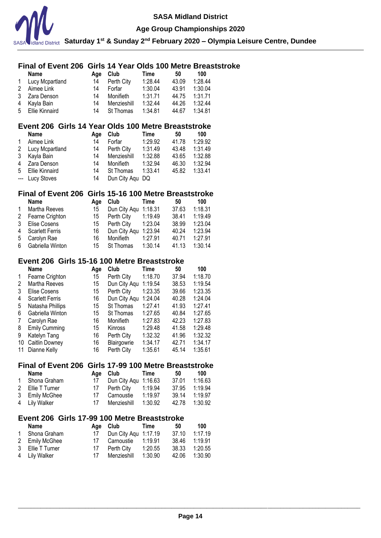

#### **Age Group Championships 2020**

**Saturday 1st & Sunday 2nd February 2020 – Olympia Leisure Centre, Dundee**

### **Final of Event 206 Girls 14 Year Olds 100 Metre Breaststroke**

|   | <b>Name</b>       | Aae | Club        | Time    | 50    | 100     |
|---|-------------------|-----|-------------|---------|-------|---------|
|   | 1 Lucy Mcpartland | 14  | Perth City  | 1:28.44 | 43.09 | 1:28.44 |
| 2 | Aimee Link        | 14  | Forfar      | 1:30.04 | 43.91 | 1:30.04 |
|   | 3 Zara Denson     | 14  | Monifieth   | 1:31.71 | 44.75 | 1:31.71 |
| 4 | Kayla Bain        | 14  | Menzieshill | 1:32.44 | 44.26 | 1:32.44 |
|   | 5 Ellie Kinnaird  | 14  | St Thomas   | 1:34.81 | 44.67 | 1:34.81 |

### **Event 206 Girls 14 Year Olds 100 Metre Breaststroke**

|   | <b>Name</b>     | Aae | Club            | Time    | 50    | 100     |
|---|-----------------|-----|-----------------|---------|-------|---------|
| 1 | Aimee Link      | 14  | Forfar          | 1:29.92 | 41.78 | 1:29.92 |
| 2 | Lucy Mcpartland | 14  | Perth City      | 1:31.49 | 43.48 | 1:31.49 |
| 3 | Kayla Bain      | 14  | Menzieshill     | 1:32.88 | 43.65 | 1:32.88 |
| 4 | Zara Denson     | 14  | Monifieth       | 1:32.94 | 46.30 | 1:32.94 |
| 5 | Ellie Kinnaird  | 14  | St Thomas       | 1:33.41 | 45.82 | 1:33.41 |
|   | --- Lucy Stoves | 14  | Dun City Aqu DQ |         |       |         |

### **Final of Event 206 Girls 15-16 100 Metre Breaststroke**

|              | <b>Name</b>            | Aae | <b>Club</b>          | Time    | 50    | 100     |
|--------------|------------------------|-----|----------------------|---------|-------|---------|
| $\mathbf{1}$ | Martha Reeves          | 15  | Dun City Agu 1:18.31 |         | 37.63 | 1:18.31 |
|              | 2 Fearne Crighton      | 15  | Perth City           | 1:19.49 | 38.41 | 1:19.49 |
| 3            | Elise Cosens           | 15  | Perth City           | 1:23.04 | 38.99 | 1:23.04 |
| 4            | <b>Scarlett Ferris</b> | 16  | Dun City Agu 1:23.94 |         | 40.24 | 1:23.94 |
| 5            | Carolyn Rae            | 16  | Monifieth            | 1:27.91 | 40.71 | 1:27.91 |
| 6            | Gabriella Winton       | 15  | St Thomas            | 1:30.14 | 41.13 | 1:30.14 |

#### **Event 206 Girls 15-16 100 Metre Breaststroke**

|    | Name                   | Age | Club           | Time    | 50    | 100     |
|----|------------------------|-----|----------------|---------|-------|---------|
| 1  | Fearne Crighton        | 15  | Perth City     | 1:18.70 | 37.94 | 1:18.70 |
| 2  | Martha Reeves          | 15  | Dun City Aqu   | 1:19.54 | 38.53 | 1:19.54 |
| 3  | Elise Cosens           | 15  | Perth City     | 1:23.35 | 39.66 | 1:23.35 |
| 4  | <b>Scarlett Ferris</b> | 16  | Dun City Aqu   | 1:24.04 | 40.28 | 1:24.04 |
| 5  | Natasha Phillips       | 15  | St Thomas      | 1:27.41 | 41.93 | 1:27.41 |
| 6  | Gabriella Winton       | 15  | St Thomas      | 1:27.65 | 40.84 | 1:27.65 |
| 7  | Carolyn Rae            | 16  | Monifieth      | 1:27.83 | 42.23 | 1:27.83 |
| 8  | <b>Emily Cumming</b>   | 15  | <b>Kinross</b> | 1:29.48 | 41.58 | 1:29.48 |
| 9  | Katelyn Tang           | 16  | Perth City     | 1:32.32 | 41.96 | 1:32.32 |
| 10 | Caitlin Downey         | 16  | Blairgowrie    | 1:34.17 | 42.71 | 1:34.17 |
| 11 | Dianne Kelly           | 16  | Perth City     | 1:35.61 | 45.14 | 1:35.61 |

### **Final of Event 206 Girls 17-99 100 Metre Breaststroke**

| Name             |    | Age Club                | Time    | 50    | 100     |
|------------------|----|-------------------------|---------|-------|---------|
| 1 Shona Graham   |    | 17 Dun City Agu 1:16.63 |         | 37.01 | 1:16.63 |
| 2 Ellie T Turner | 17 | Perth City              | 1:19.94 | 37.95 | 1:19.94 |
| 3 Emily McGhee   | 17 | Carnoustie              | 1:19.97 | 39 14 | 1:19.97 |
| 4 Lily Walker    | 17 | Menzieshill             | 1:30.92 | 42.78 | 1:30.92 |

#### **Event 206 Girls 17-99 100 Metre Breaststroke**

| Name             |    | Age Club             | Time    | 50    | 100     |
|------------------|----|----------------------|---------|-------|---------|
| 1 Shona Graham   | 17 | Dun City Agu 1:17.19 |         | 37.10 | 1:17.19 |
| 2 Emily McGhee   | 17 | Carnoustie           | 1:19.91 | 38.46 | 1:19.91 |
| 3 Ellie T Turner | 17 | Perth City           | 1:20.55 | 38.33 | 1:20.55 |
| 4 Lily Walker    | 17 | Menzieshill          | 1:30.90 | 42.06 | 1:30.90 |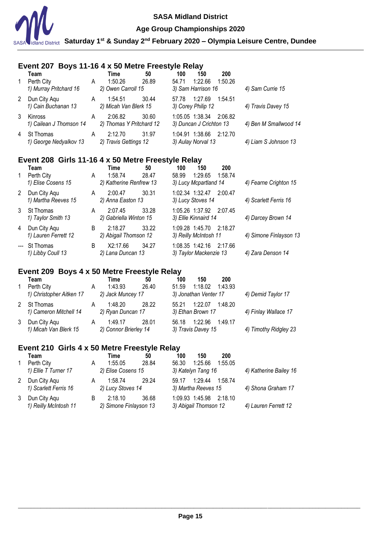

### **Age Group Championships 2020**

**Saturday 1st & Sunday 2nd February 2020 – Olympia Leisure Centre, Dundee**

# **Event 207 Boys 11-16 4 x 50 Metre Freestyle Relay**

|   | Team                                 |   | Time                                | 50    | 100   | 150                                                | 200     |                       |
|---|--------------------------------------|---|-------------------------------------|-------|-------|----------------------------------------------------|---------|-----------------------|
|   | Perth City<br>1) Murray Pritchard 16 | A | 1:50.26<br>2) Owen Carroll 15       | 26.89 | 54.71 | 1:22.66<br>3) Sam Harrison 16                      | 1:50.26 | 4) Sam Currie 15      |
| 2 | Dun City Aqu<br>1) Cain Buchanan 13  | A | 1:54.51<br>2) Micah Van Blerk 15    | 30.44 | 57.78 | 1:27.69 1:54.51<br>3) Corey Philip 12              |         | 4) Travis Davey 15    |
| 3 | Kinross<br>1) Cailean J Thomson 14   | A | 2:06.82<br>2) Thomas Y Pritchard 12 | 30.60 |       | 1:05.05 1:38.34 2:06.82<br>3) Duncan J Crichton 13 |         | 4) Ben M Smallwood 14 |
| 4 | St Thomas<br>1) George Nedyalkov 13  | A | 2:12.70<br>2) Travis Gettings 12    | 31.97 |       | 1:04.91 1:38.66 2:12.70<br>3) Aulay Norval 13      |         | 4) Liam S Johnson 13  |

### **Event 208 Girls 11-16 4 x 50 Metre Freestyle Relay**

|   | Team<br>Perth City                   | A | Time<br>1:58.74                   | 50<br>28.47 | 100<br>58.99                                     | 150<br>1:29.65 | 200<br>1:58.74 |                        |
|---|--------------------------------------|---|-----------------------------------|-------------|--------------------------------------------------|----------------|----------------|------------------------|
|   | 1) Elise Cosens 15                   |   | 2) Katherine Renfrew 13           |             | 3) Lucy Mcpartland 14                            |                |                | 4) Fearne Crighton 15  |
| 2 | Dun City Agu<br>1) Martha Reeves 15  | A | 2:00.47<br>2) Anna Easton 13      | 30.31       | 1:02.34 1:32.47<br>3) Lucy Stoves 14             |                | 2:00.47        | 4) Scarlett Ferris 16  |
| 3 | St Thomas<br>1) Taylor Smith 13      | A | 2:07.45<br>2) Gabriella Winton 15 | 33.28       | 1:05.26 1:37.92 2:07.45<br>3) Ellie Kinnaird 14  |                |                | 4) Darcey Brown 14     |
| 4 | Dun City Agu<br>1) Lauren Ferrett 12 | B | 2:18.27<br>2) Abigail Thomson 12  | 33.22       | 1:09.28 1:45.70 2:18.27<br>3) Reilly McIntosh 11 |                |                | 4) Simone Finlayson 13 |
|   | --- St Thomas<br>1) Libby Coull 13   | B | X2:17.66<br>2) Lana Duncan 13     | 34.27       | 1:08.35 1:42.16<br>3) Taylor Mackenzie 13        |                | 2:17.66        | 4) Zara Denson 14      |

# **Event 209 Boys 4 x 50 Metre Freestyle Relay**

|   | Team                                  |   | Time                             | 50    | 100   | 150                           | 200     |                       |
|---|---------------------------------------|---|----------------------------------|-------|-------|-------------------------------|---------|-----------------------|
|   | Perth City                            | A | 1:43.93                          | 26.40 | 51.59 | 1:18.02                       | 1:43.93 |                       |
|   | 1) Christopher Aitken 17              |   | 2) Jack Muncey 17                |       |       | 3) Jonathan Venter 17         |         | 4) Demid Taylor 17    |
| 2 | St Thomas<br>1) Cameron Mitchell 14   | A | 1:48.20<br>2) Ryan Duncan 17     | 28.22 | 55.21 | 1:2207<br>3) Ethan Brown 17   | 1:48.20 | 4) Finlay Wallace 17  |
| 3 | Dun City Agu<br>1) Micah Van Blerk 15 | A | 1:49.17<br>2) Connor Brierley 14 | 28 O1 | 56.18 | 1:22.96<br>3) Travis Davey 15 | 1:49.17 | 4) Timothy Ridgley 23 |

# **Event 210 Girls 4 x 50 Metre Freestyle Relay**

| Team                                  |   | Time                              | 50    | 100   | 150                                              | 200     |                        |
|---------------------------------------|---|-----------------------------------|-------|-------|--------------------------------------------------|---------|------------------------|
| Perth City                            | Α | 1:55.05                           | 28.84 | 56.30 | 1:25.66                                          | 1:55.05 |                        |
| 1) Ellie T Turner 17                  |   | 2) Elise Cosens 15                |       |       | 3) Katelyn Tang 16                               |         | 4) Katherine Bailey 16 |
| Dun City Aqu<br>1) Scarlett Ferris 16 | Α | 1:58.74<br>2) Lucy Stoves 14      | 29.24 | 59.17 | 1:29.44 1:58.74<br>3) Martha Reeves 15           |         | 4) Shona Graham 17     |
| Dun City Agu<br>1) Reilly McIntosh 11 | B | 2:18.10<br>2) Simone Finlayson 13 | 36.68 |       | 1:09.93 1:45.98 2:18.10<br>3) Abigail Thomson 12 |         | 4) Lauren Ferrett 12   |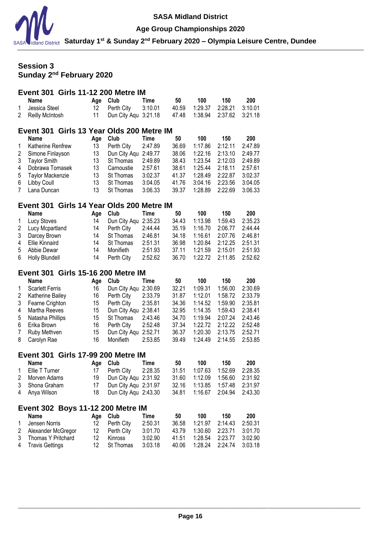

#### **Age Group Championships 2020**

**Saturday 1st & Sunday 2nd February 2020 – Olympia Leisure Centre, Dundee**

# **Session 3 Sunday 2nd February 2020**

#### **Event 301 Girls 11-12 200 Metre IM Name Age Club Time 50 100 150 200**<br> **Perchaps** 12 Perth City 3:10.01 40.59 1:29.37 2:28.21 3:10.0 Jessica Steel 12 Perth City 3:10.01 40.59 1:29.37 2:28.21 3:10.01 Reilly McIntosh 11 Dun City Aqu 3:21.18 47.48 1:38.94 2:37.62 3:21.18

# **Event 301 Girls 13 Year Olds 200 Metre IM**

|              | <b>Name</b>         | Age | Club                 | Time    | 50    | 100     | 150     | 200     |
|--------------|---------------------|-----|----------------------|---------|-------|---------|---------|---------|
| $\mathbf{1}$ | Katherine Renfrew   | 13  | Perth City           | 2:47.89 | 36.69 | 1:17.86 | 2:12.11 | 2:47.89 |
| 2            | Simone Finlayson    | 13  | Dun City Aqu 2:49.77 |         | 38.06 | 1:22.16 | 2:13.10 | 2:49.77 |
| 3            | <b>Taylor Smith</b> | 13  | St Thomas            | 2:49.89 | 38.43 | 1:23.54 | 2:12.03 | 2:49.89 |
| 4            | Dobrawa Tomasek     | 13  | Carnoustie           | 2:57.61 | 38.61 | 1:25.44 | 2:18.11 | 2:57.61 |
|              | 5 Taylor Mackenzie  | 13  | St Thomas            | 3:02.37 | 41.37 | 1:28.49 | 2:22.87 | 3:02.37 |
| 6            | Libby Coull         | 13  | St Thomas            | 3:04.05 | 41.76 | 3:04.16 | 2:23.56 | 3:04.05 |
| 7            | Lana Duncan         | 13  | St Thomas            | 3:06.33 | 39.37 | 1:28.89 | 2:22.69 | 3:06.33 |

# **Event 301 Girls 14 Year Olds 200 Metre IM**

|   | Name               | Aae | <b>Club</b>          | Time    | 50    | 100             | 150     | 200     |
|---|--------------------|-----|----------------------|---------|-------|-----------------|---------|---------|
| 1 | <b>Lucy Stoves</b> | 14  | Dun City Agu 2:35.23 |         | 34.43 | 1:13.98         | 1:59.43 | 2:35.23 |
|   | 2 Lucy Mcpartland  | 14  | Perth City           | 2:44.44 | 35.19 | 1:16.70         | 2:06.77 | 2.44.44 |
|   | 3 Darcey Brown     | 14  | St Thomas            | 2:46.81 | 34.18 | 1:16.61 2:07.76 |         | 2:46.81 |
|   | 4 Ellie Kinnaird   | 14  | St Thomas            | 2:51.31 | 36.98 | 1:20.84 2:12.25 |         | 2:51.31 |
|   | 5 Abbie Dewar      | 14  | Monifieth            | 2:51.93 | 37.11 | 1:21.59         | 2:15.01 | 2:51.93 |
|   | 6 Holly Blundell   | 14  | Perth City           | 2:52.62 | 36.70 | 1:22.72 2:11.85 |         | 2:52.62 |

### **Event 301 Girls 15-16 200 Metre IM**

|              | Name                   | Age | Club         | Time    | 50    | 100     | 150     | 200     |
|--------------|------------------------|-----|--------------|---------|-------|---------|---------|---------|
| $\mathbf{1}$ | <b>Scarlett Ferris</b> | 16  | Dun City Aqu | 2:30.69 | 32.21 | 1:09.31 | 1:56.00 | 2:30.69 |
| $\mathbf{2}$ | Katherine Bailey       | 16  | Perth City   | 2:33.79 | 31.87 | 1:12.01 | 1:58.72 | 2:33.79 |
| 3            | Fearne Crighton        | 15  | Perth City   | 2:35.81 | 34.36 | 1:14.52 | 1:59.90 | 2:35.81 |
| 4            | Martha Reeves          | 15  | Dun City Agu | 2:38.41 | 32.95 | 1:14.35 | 1:59.43 | 2:38.41 |
| 5            | Natasha Phillips       | 15  | St Thomas    | 2:43.46 | 34.70 | 1:19.94 | 2:07.24 | 2:43.46 |
| 6.           | Erika Brown            | 16  | Perth City   | 2:52.48 | 37.34 | 1:22.72 | 2:12.22 | 2:52.48 |
| $7^{\circ}$  | Ruby Methven           | 15  | Dun City Agu | 2:52.71 | 36.37 | 1:20.30 | 2:13.75 | 2:52.71 |
| 8.           | Carolyn Rae            | 16  | Monifieth    | 2:53.85 | 39.49 | 1:24.49 | 2:14.55 | 2:53.85 |
|              |                        |     |              |         |       |         |         |         |

# **Event 301 Girls 17-99 200 Metre IM**

|              | Name           |      | Age Club              | Time | 50    | 100 | 150                              | 200 |
|--------------|----------------|------|-----------------------|------|-------|-----|----------------------------------|-----|
| $\mathbf{1}$ | Ellie T Turner |      | 17 Perth City 2:28.35 |      | 31.51 |     | 1:07.63  1:52.69  2:28.35        |     |
|              | 2 Morven Adams |      | Dun City Agu 2:31.92  |      |       |     | 31.60  1:12.09  1:56.60  2:31.92 |     |
|              | 3 Shona Graham |      | Dun City Agu 2:31.97  |      |       |     |                                  |     |
|              | 4 Anya Wilson  | 18 - | Dun City Agu 2:43.30  |      |       |     | 34.81  1:16.67  2:04.94  2:43.30 |     |

#### **Event 302 Boys 11-12 200 Metre IM Name Age Club Time 50 100 150 200**

| namc                 | <b>AVE VIUD</b> | I IIII G | ູບບ | 1 U U                            | LUU |
|----------------------|-----------------|----------|-----|----------------------------------|-----|
| 1 Jensen Norris      | 12 Perth City   | 2:50.31  |     | 36.58  1:21.97  2:14.43  2:50.31 |     |
| 2 Alexander McGregor | 12 Perth City   | 3:01.70  |     |                                  |     |
| 3 Thomas Y Pritchard | 12 Kinross      | 3:02.90  |     | 41.51  1:28.54  2:23.77  3:02.90 |     |
| 4 Travis Gettings    | 12 St Thomas    | 3:03.18  |     | 40.06 1:28.24 2:24.74 3:03.18    |     |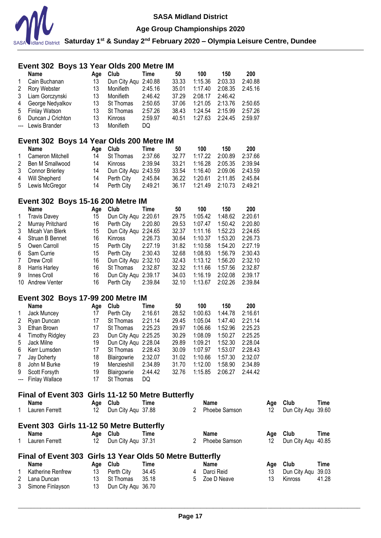

**Age Group Championships 2020**

**Saturday 1st & Sunday 2nd February 2020 – Olympia Leisure Centre, Dundee**

### **Event 302 Boys 13 Year Olds 200 Metre IM Name Age Club Time 50 100 150 200** Cain Buchanan 13 Dun City Aqu 2:40.88 33.33 1:15.36 2:03.33 2:40.88 Rory Webster 13 Monifieth 2:45.16 35.01 Liam Gorczynski 13 Monifieth 2:46.42 37.29 2:08.17 2:46.42 George Nedyalkov 13 St Thomas 2:50.65 37.06 1:21.05 2:13.76 2:50.65 Finlay Watson 13 St Thomas 2:57.26 38.43 1:24.54 2:15.99 2:57.26 Duncan J Crichton 13 Kinross 2:59.97 40.51 1:27.63 2:24.45 2:59.97 Lewis Brander 13 Monifieth DQ **Event 302 Boys 14 Year Olds 200 Metre IM Name Age Club Time 50 100 150 200** Cameron Mitchell 14 St Thomas 2:37.66 32.77 1:17.22 2:00.89 2:37.66 Ben M Smallwood 14 Kinross 2:39.94 33.21 1:16.28 2:05.35 2:39.94 Connor Brierley 14 Dun City Aqu 2:43.59 33.54 1:16.40 2:09.06 2:43.59 Will Shepherd 14 Perth City 2:45.84 36.22 1:20.61 2:11.85 2:45.84 Lewis McGregor 14 Perth City 2:49.21 36.17 1:21.49 2:10.73 2:49.21 **Event 302 Boys 15-16 200 Metre IM Name Age Club Time 50 100 150 200** Travis Davey 15 Dun City Aqu 2:20.61 29.75 1:05.42 1:48.62 2:20.61 Murray Pritchard 16 Perth City 2:20.80 29.53 1:07.47 1:50.42 2:20.80 Micah Van Blerk 15 Dun City Aqu 2:24.65 32.37 1:11.16 1:52.23 2:24.65 Struan B Bennet 16 Kinross 2:26.73 30.64 1:10.37 1:53.20 2:26.73 Owen Carroll 15 Perth City 2:27.19 31.82 1:10.58 1:54.20 2:27.19 Sam Currie 15 Perth City 2:30.43 32.68 1:08.93 1:56.79 2:30.43 Drew Croll 16 Dun City Aqu 2:32.10 32.43 1:13.12 1:56.20 2:32.10 Harris Harley 16 St Thomas 2:32.87 32.32 1:11.66 1:57.56 2:32.87 Innes Croll 16 Dun City Aqu 2:39.17 34.03 1:16.19 2:02.08 2:39.17 Andrew Venter 16 Perth City 2:39.84 32.10 1:13.67 2:02.26 2:39.84 **Event 302 Boys 17-99 200 Metre IM Name Age Club Time 50 100 150 200** Jack Muncey 17 Perth City 2:16.61 28.52 1:00.63 1:44.78 2:16.61 Ryan Duncan 17 St Thomas 2:21.14 29.45 1:05.04 1:47.40 2:21.14 Ethan Brown 17 St Thomas 2:25.23 29.97 1:06.66 1:52.96 2:25.23 Timothy Ridgley 23 Dun City Aqu 2:25.25 30.29 1:08.09 1:50.27 2:25.25 Jack Milne 19 Dun City Aqu 2:28.04 29.89 1:09.21 1:52.30 2:28.04 Kerr Lumsden 17 St Thomas 2:28.43 30.09 1:07.97 1:53.07 2:28.43 Jay Doherty 18 Blairgowrie 2:32.07 31.02 1:10.66 1:57.30 2:32.07 John M Burke 19 Menzieshill 2:34.89 31.70 1:12.00 1:58.90 2:34.89 Scott Forsyth 19 Blairgowrie 2:44.42 32.76 1:15.85 2:06.27 2:44.42 --- Finlay Wallace 17 St Thomas DQ **Final of Event 303 Girls 11-12 50 Metre Butterfly Name Age Club Time Name Age Club Time** Lauren Ferrett 12 Dun City Aqu 37.88 2 Phoebe Samson 12 Dun City Aqu 39.60 **Event 303 Girls 11-12 50 Metre Butterfly Name Age Club Time Name Age Club Time** Lauren Ferrett 12 Dun City Aqu 37.31 2 Phoebe Samson 12 Dun City Aqu 40.85 **Final of Event 303 Girls 13 Year Olds 50 Metre Butterfly**

| <b>Name</b>         |    | Age Club           | Time  |   | Name          |    | Age Club              | Time  |
|---------------------|----|--------------------|-------|---|---------------|----|-----------------------|-------|
| 1 Katherine Renfrew |    | 13 Perth City      | 34.45 | 4 | Darci Reid    |    | 13 Dun City Agu 39.03 |       |
| 2 Lana Duncan       |    | 13 St Thomas       | 35.18 |   | 5 Zoe D Neave | 13 | Kinross               | 41.28 |
| 3 Simone Finlayson  | 13 | Dun City Agu 36.70 |       |   |               |    |                       |       |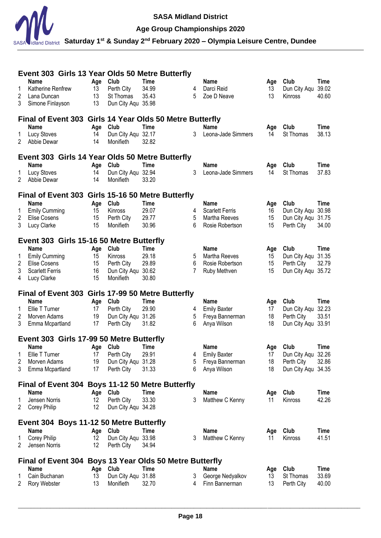

# **Age Group Championships 2020**

|    | Event 303 Girls 13 Year Olds 50 Metre Butterfly          |          |                    |             |   |                        |     |                    |             |
|----|----------------------------------------------------------|----------|--------------------|-------------|---|------------------------|-----|--------------------|-------------|
|    | Name                                                     | Age      | Club               | <b>Time</b> |   | <b>Name</b>            | Age | Club               | Time        |
|    | Katherine Renfrew                                        | 13       | Perth City         | 34.99       | 4 | Darci Reid             | 13  | Dun City Aqu       | 39.02       |
| 2  | Lana Duncan                                              | 13<br>13 | St Thomas          | 35.43       | 5 | Zoe D Neave            | 13  | Kinross            | 40.60       |
| 3  | Simone Finlayson                                         |          | Dun City Aqu 35.98 |             |   |                        |     |                    |             |
|    | Final of Event 303 Girls 14 Year Olds 50 Metre Butterfly |          |                    |             |   |                        |     |                    |             |
|    | <b>Name</b>                                              | Age      | Club               | Time        |   | <b>Name</b>            | Age | Club               | <b>Time</b> |
| 1  | <b>Lucy Stoves</b>                                       | 14       | Dun City Aqu 32.17 |             | 3 | Leona-Jade Simmers     | 14  | St Thomas          | 38.13       |
| 2  | Abbie Dewar                                              | 14       | Monifieth          | 32.82       |   |                        |     |                    |             |
|    | Event 303 Girls 14 Year Olds 50 Metre Butterfly          |          |                    |             |   |                        |     |                    |             |
|    | <b>Name</b>                                              | Age      | Club               | Time        |   | <b>Name</b>            | Age | Club               | Time        |
| 1  | <b>Lucy Stoves</b>                                       | 14       | Dun City Aqu 32.94 |             | 3 | Leona-Jade Simmers     | 14  | St Thomas          | 37.83       |
| 2  | Abbie Dewar                                              | 14       | Monifieth          | 33.20       |   |                        |     |                    |             |
|    | Final of Event 303 Girls 15-16 50 Metre Butterfly        |          |                    |             |   |                        |     |                    |             |
|    | <b>Name</b>                                              | Age      | Club               | Time        |   | <b>Name</b>            | Age | Club               | Time        |
| 1  | <b>Emily Cumming</b>                                     | 15       | Kinross            | 29.07       | 4 | <b>Scarlett Ferris</b> | 16  | Dun City Aqu       | 30.98       |
| 2  | Elise Cosens                                             | 15       | Perth City         | 29.77       | 5 | Martha Reeves          | 15  | Dun City Aqu       | 31.75       |
| 3  | Lucy Clarke                                              | 15       | Monifieth          | 30.96       | 6 | Rosie Robertson        | 15  | Perth City         | 34.00       |
|    | Event 303 Girls 15-16 50 Metre Butterfly                 |          |                    |             |   |                        |     |                    |             |
|    | Name                                                     | Age      | Club               | <b>Time</b> |   | <b>Name</b>            | Age | Club               | <b>Time</b> |
| 1  | <b>Emily Cumming</b>                                     | 15       | Kinross            | 29.18       | 5 | Martha Reeves          | 15  | Dun City Aqu       | 31.35       |
| 2  | <b>Elise Cosens</b>                                      | 15       | Perth City         | 29.89       | 6 | Rosie Robertson        | 15  | Perth City         | 32.79       |
| 3  | <b>Scarlett Ferris</b>                                   | 16       | Dun City Aqu 30.62 |             | 7 | Ruby Methven           | 15  | Dun City Aqu 35.72 |             |
| 4  | Lucy Clarke                                              | 15       | Monifieth          | 30.80       |   |                        |     |                    |             |
|    | Final of Event 303 Girls 17-99 50 Metre Butterfly        |          |                    |             |   |                        |     |                    |             |
|    | <b>Name</b>                                              | Age      | Club               | <b>Time</b> |   | Name                   | Age | Club               | Time        |
| 1  | Ellie T Turner                                           | 17       | Perth City         | 29.90       | 4 | <b>Emily Baxter</b>    | 17  | Dun City Aqu       | 32.23       |
| 2  | Morven Adams                                             | 19       | Dun City Aqu 31.26 |             | 5 | Freya Bannerman        | 18  | Perth City         | 33.51       |
| 3  | Emma Mcpartland                                          | 17       | Perth City         | 31.82       | 6 | Anya Wilson            | 18  | Dun City Aqu       | 33.91       |
|    | Event 303 Girls 17-99 50 Metre Butterfly                 |          |                    |             |   |                        |     |                    |             |
|    | <b>Name</b>                                              | Age      | <b>Club</b>        | Time        |   | <b>Name</b>            | Age | Club               | Time        |
|    | 1 Ellie T Turner                                         | 17       | Perth City         | 29.91       |   | 4 Emily Baxter         | 17  | Dun City Aqu 32.26 |             |
| 2  | Morven Adams                                             | 19       | Dun City Aqu 31.28 |             | 5 | Freya Bannerman        | 18  | Perth City         | 32.86       |
| 3  | Emma Mcpartland                                          | 17       | Perth City         | 31.33       | 6 | Anya Wilson            | 18  | Dun City Aqu 34.35 |             |
|    | Final of Event 304 Boys 11-12 50 Metre Butterfly         |          |                    |             |   |                        |     |                    |             |
|    | <b>Name</b>                                              | Age      | Club               | Time        |   | Name                   | Age | Club               | Time        |
| 1  | Jensen Norris                                            | 12       | Perth City         | 33.30       | 3 | Matthew C Kenny        | 11  | Kinross            | 42.26       |
| 2  | Corey Philip                                             | 12       | Dun City Aqu 34.28 |             |   |                        |     |                    |             |
|    | Event 304 Boys 11-12 50 Metre Butterfly                  |          |                    |             |   |                        |     |                    |             |
|    | <b>Name</b>                                              | Age      | Club               | Time        |   | <b>Name</b>            | Age | Club               | Time        |
| 1. | Corey Philip                                             | 12       | Dun City Aqu 33.98 |             | 3 | Matthew C Kenny        | 11  | Kinross            | 41.51       |
| 2  | Jensen Norris                                            | 12       | Perth City         | 34.94       |   |                        |     |                    |             |
|    | Final of Event 304 Boys 13 Year Olds 50 Metre Butterfly  |          |                    |             |   |                        |     |                    |             |
|    | <b>Name</b>                                              | Age      | Club               | <b>Time</b> |   | <b>Name</b>            | Age | Club               | Time        |
|    | Cain Buchanan                                            | 13       | Dun City Aqu 31.88 |             | 3 | George Nedyalkov       | 13  | St Thomas          | 33.69       |
| 2  | Rory Webster                                             | 13       | Monifieth          | 32.70       | 4 | Finn Bannerman         | 13  | Perth City         | 40.00       |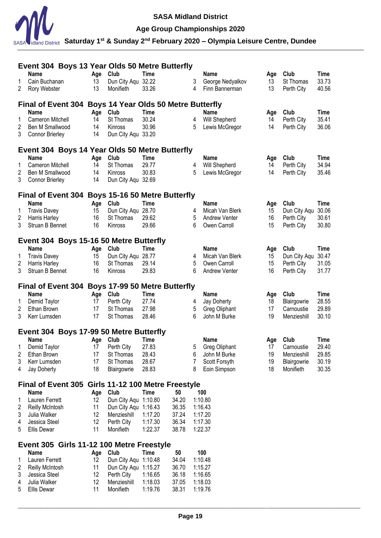

# **Age Group Championships 2020**

|        | Event 304 Boys 13 Year Olds 50 Metre Butterfly                    |           |                                    |             |                |   |                      |           |              |             |
|--------|-------------------------------------------------------------------|-----------|------------------------------------|-------------|----------------|---|----------------------|-----------|--------------|-------------|
|        | <b>Name</b>                                                       | Age       | Club                               | <b>Time</b> |                |   | <b>Name</b>          | Age       | Club         | <b>Time</b> |
| 1      | Cain Buchanan                                                     | 13        | Dun City Aqu 32.22                 |             |                | 3 | George Nedyalkov     | 13        | St Thomas    | 33.73       |
| 2      | Rory Webster                                                      | 13        | Monifieth                          | 33.26       |                | 4 | Finn Bannerman       | 13        | Perth City   | 40.56       |
|        | Final of Event 304 Boys 14 Year Olds 50 Metre Butterfly           |           |                                    |             |                |   |                      |           |              |             |
|        | <b>Name</b>                                                       | Age       | Club                               | <b>Time</b> |                |   | <b>Name</b>          | Age       | Club         | Time        |
| 1      | Cameron Mitchell                                                  | 14        | St Thomas                          | 30.24       |                | 4 | Will Shepherd        | 14        | Perth City   | 35.41       |
| 2      | Ben M Smallwood                                                   | 14        | Kinross                            | 30.96       |                | 5 | Lewis McGregor       | 14        | Perth City   | 36.06       |
| 3      | <b>Connor Brierley</b>                                            | 14        | Dun City Agu 33.20                 |             |                |   |                      |           |              |             |
|        | Event 304 Boys 14 Year Olds 50 Metre Butterfly                    |           |                                    |             |                |   |                      |           |              |             |
|        | <b>Name</b>                                                       | Age       | Club                               | <b>Time</b> |                |   | <b>Name</b>          | Age       | Club         | <b>Time</b> |
| 1      | Cameron Mitchell                                                  | 14        | St Thomas                          | 29.77       |                | 4 | Will Shepherd        | 14        | Perth City   | 34.94       |
| 2      | Ben M Smallwood                                                   | 14        | Kinross                            | 30.83       |                | 5 | Lewis McGregor       | 14        | Perth City   | 35.46       |
| 3      | <b>Connor Brierley</b>                                            | 14        | Dun City Aqu 32.69                 |             |                |   |                      |           |              |             |
|        | Final of Event 304 Boys 15-16 50 Metre Butterfly                  |           |                                    |             |                |   |                      |           |              |             |
|        | <b>Name</b>                                                       | Age       | Club                               | Time        |                |   | Name                 |           | Club         | Time        |
| 1      | <b>Travis Davey</b>                                               | 15        | Dun City Aqu 28.70                 |             |                | 4 | Micah Van Blerk      | Age<br>15 | Dun City Aqu | 30.06       |
| 2      | Harris Harley                                                     | 16        | St Thomas                          | 29.62       |                | 5 | <b>Andrew Venter</b> | 16        | Perth City   | 30.61       |
| 3      | Struan B Bennet                                                   | 16        | Kinross                            | 29.66       |                | 6 | Owen Carroll         | 15        | Perth City   | 30.80       |
|        |                                                                   |           |                                    |             |                |   |                      |           |              |             |
|        | Event 304 Boys 15-16 50 Metre Butterfly                           |           |                                    |             |                |   |                      |           |              |             |
|        | <b>Name</b>                                                       | Age       | Club                               | <b>Time</b> |                |   | <b>Name</b>          | Age       | Club         | <b>Time</b> |
| 1      | <b>Travis Davey</b>                                               | 15        | Dun City Aqu 28.77                 |             |                | 4 | Micah Van Blerk      | 15        | Dun City Agu | 30.47       |
| 2      | Harris Harley                                                     | 16        | St Thomas                          | 29.14       |                | 5 | Owen Carroll         | 15        | Perth City   | 31.05       |
| 3      | Struan B Bennet                                                   | 16        | Kinross                            | 29.83       |                | 6 | <b>Andrew Venter</b> | 16        | Perth City   | 31.77       |
|        | Final of Event 304 Boys 17-99 50 Metre Butterfly                  |           |                                    |             |                |   |                      |           |              |             |
|        | <b>Name</b>                                                       | Age       | Club                               | <b>Time</b> |                |   | <b>Name</b>          | Age       | Club         | <b>Time</b> |
| 1      | Demid Taylor                                                      | 17        | Perth City                         | 27.74       |                | 4 | Jay Doherty          | 18        | Blairgowrie  | 28.55       |
| 2      | Ethan Brown                                                       | 17        | St Thomas                          | 27.98       |                | 5 | Greg Oliphant        | 17        | Carnoustie   | 29.89       |
| 3      | Kerr Lumsden                                                      | 17        | St Thomas                          | 28.46       |                | 6 | John M Burke         | 19        | Menzieshill  | 30.10       |
|        | Event 304 Boys 17-99 50 Metre Butterfly                           |           |                                    |             |                |   |                      |           |              |             |
|        | <b>Name</b>                                                       | Age Club  |                                    | <b>Time</b> |                |   | <b>Name</b>          | Age       | Club         | <b>Time</b> |
|        | 1 Demid Taylor                                                    | 17        | Perth City                         | 27.83       |                |   | 5 Greg Oliphant      | 17        | Carnoustie   | 29.40       |
| 2      | Ethan Brown                                                       | 17        | St Thomas                          | 28.43       |                | 6 | John M Burke         | 19        | Menzieshill  | 29.85       |
| 3      | Kerr Lumsden                                                      | 17        | St Thomas                          | 28.67       |                | 7 | Scott Forsyth        | 19        | Blairgowrie  | 30.19       |
| 4      | Jay Doherty                                                       | 18        | Blairgowrie                        | 28.83       |                | 8 | Eoin Simpson         | 18        | Monifieth    | 30.35       |
|        |                                                                   |           |                                    |             |                |   |                      |           |              |             |
|        | Final of Event 305 Girls 11-12 100 Metre Freestyle<br><b>Name</b> |           | Club                               | <b>Time</b> | 50             |   | 100                  |           |              |             |
| 1      | Lauren Ferrett                                                    | Age<br>12 | Dun City Aqu 1:10.80               |             | 34.20          |   | 1:10.80              |           |              |             |
| 2      | <b>Reilly McIntosh</b>                                            | 11        | Dun City Aqu 1:16.43               |             | 36.35          |   | 1:16.43              |           |              |             |
| 3      | Julia Walker                                                      | 12        | Menzieshill                        | 1:17.20     | 37.24          |   | 1:17.20              |           |              |             |
| 4      | Jessica Steel                                                     | 12        | Perth City                         | 1:17.30     | 36.34          |   | 1:17.30              |           |              |             |
| 5      | <b>Ellis Dewar</b>                                                | 11        | Monifieth                          | 1:22.37     | 38.78          |   | 1:22.37              |           |              |             |
|        |                                                                   |           |                                    |             |                |   |                      |           |              |             |
|        | Event 305 Girls 11-12 100 Metre Freestyle<br><b>Name</b>          |           | Club                               | <b>Time</b> | 50             |   | 100                  |           |              |             |
|        | Lauren Ferrett                                                    | Age       | Dun City Aqu 1:10.48               |             |                |   | 1:10.48              |           |              |             |
| 1<br>2 |                                                                   | 12<br>11  |                                    |             | 34.04<br>36.70 |   | 1:15.27              |           |              |             |
| 3      | <b>Reilly McIntosh</b><br>Jessica Steel                           | 12        | Dun City Aqu 1:15.27<br>Perth City | 1:16.65     | 36.18          |   | 1:16.65              |           |              |             |
| 4      | Julia Walker                                                      | 12        | Menzieshill                        | 1:18.03     | 37.05          |   | 1:18.03              |           |              |             |
| 5      | <b>Ellis Dewar</b>                                                | 11        | Monifieth                          | 1:19.76     | 38.31          |   | 1:19.76              |           |              |             |
|        |                                                                   |           |                                    |             |                |   |                      |           |              |             |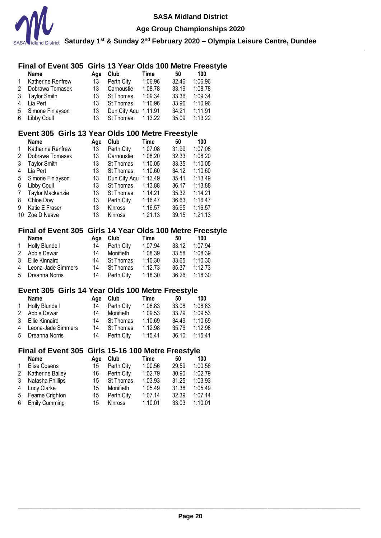

**Age Group Championships 2020**

**Saturday 1st & Sunday 2nd February 2020 – Olympia Leisure Centre, Dundee**

# **Final of Event 305 Girls 13 Year Olds 100 Metre Freestyle**

|              | <b>Name</b>              | Aae | Club                 | Time    | 50    | 100     |
|--------------|--------------------------|-----|----------------------|---------|-------|---------|
| $\mathbf{1}$ | <b>Katherine Renfrew</b> | 13  | Perth City           | 1:06.96 | 32.46 | 1:06.96 |
| 2            | Dobrawa Tomasek          | 13  | Carnoustie           | 1:08.78 | 33.19 | 1:08.78 |
|              | 3 Taylor Smith           | 13  | <b>St Thomas</b>     | 1:09.34 | 33.36 | 1:09.34 |
| 4            | Lia Pert                 | 13  | St Thomas            | 1:10.96 | 33.96 | 1:10.96 |
|              | 5 Simone Finlayson       | 13  | Dun City Agu 1:11.91 |         | 34.21 | 1:11.91 |
|              | 6 Libby Coull            | 13  | St Thomas 1:13.22    |         | 35.09 | 1:13.22 |

# **Event 305 Girls 13 Year Olds 100 Metre Freestyle**

|    | <b>Name</b>             | Age | Club         | Time    | 50    | 100     |
|----|-------------------------|-----|--------------|---------|-------|---------|
| 1  | Katherine Renfrew       | 13  | Perth City   | 1:07.08 | 31.99 | 1:07.08 |
| 2  | Dobrawa Tomasek         | 13  | Carnoustie   | 1:08.20 | 32.33 | 1:08.20 |
| 3  | <b>Taylor Smith</b>     | 13  | St Thomas    | 1:10.05 | 33.35 | 1:10.05 |
| 4  | Lia Pert                | 13  | St Thomas    | 1:10.60 | 34.12 | 1:10.60 |
| 5  | Simone Finlayson        | 13  | Dun City Aqu | 1:13.49 | 35.41 | 1:13.49 |
| 6  | <b>Libby Coull</b>      | 13  | St Thomas    | 1:13.88 | 36.17 | 1:13.88 |
| 7  | <b>Taylor Mackenzie</b> | 13  | St Thomas    | 1:14.21 | 35.32 | 1:14.21 |
| 8  | Chloe Dow               | 13  | Perth City   | 1:16.47 | 36.63 | 1:16.47 |
| 9  | Katie E Fraser          | 13  | Kinross      | 1:16.57 | 35.95 | 1:16.57 |
| 10 | Zoe D Neave             | 13  | Kinross      | 1:21.13 | 39.15 | 1:21.13 |

# **Final of Event 305 Girls 14 Year Olds 100 Metre Freestyle**

| Name                 | Aae | Club             | Time    | 50    | 100     |
|----------------------|-----|------------------|---------|-------|---------|
| 1 Holly Blundell     | 14  | Perth City       | 1:07.94 | 33.12 | 1:07.94 |
| 2 Abbie Dewar        | 14  | Monifieth        | 1:08.39 | 33.58 | 1:08.39 |
| 3 Ellie Kinnaird     | 14  | St Thomas        | 1:10.30 | 33.65 | 1:10.30 |
| 4 Leona-Jade Simmers | 14  | <b>St Thomas</b> | 1:12.73 | 35.37 | 1:12.73 |
| 5 Dreanna Norris     | 14  | Perth City       | 1:18.30 | 36.26 | 1:18.30 |

# **Event 305 Girls 14 Year Olds 100 Metre Freestyle**

| Name                 | Aae | Club       | Time    | 50    | 100     |
|----------------------|-----|------------|---------|-------|---------|
| 1 Holly Blundell     | 14  | Perth City | 1:08.83 | 33.08 | 1:08.83 |
| 2 Abbie Dewar        | 14  | Monifieth  | 1:09.53 | 33.79 | 1:09.53 |
| 3 Ellie Kinnaird     | 14  | St Thomas  | 1:10.69 | 34.49 | 1:10.69 |
| 4 Leona-Jade Simmers | 14  | St Thomas  | 1:12.98 | 35.76 | 1:12.98 |
| 5 Dreanna Norris     | 14  | Perth City | 1:15.41 | 36.10 | 1:15.41 |

# **Final of Event 305 Girls 15-16 100 Metre Freestyle**

|   | <b>Name</b>      | Aae | Club       | Time    | 50    | 100     |
|---|------------------|-----|------------|---------|-------|---------|
| 1 | Elise Cosens     | 15  | Perth City | 1:00.56 | 29.59 | 1:00.56 |
| 2 | Katherine Bailey | 16  | Perth City | 1:02.79 | 30.90 | 1:02.79 |
| 3 | Natasha Phillips | 15  | St Thomas  | 1:03.93 | 31.25 | 1:03.93 |
| 4 | Lucy Clarke      | 15  | Monifieth  | 1:05.49 | 31.38 | 1:05.49 |
| 5 | Fearne Crighton  | 15  | Perth City | 1:07.14 | 32.39 | 1:07.14 |
|   | 6 Emily Cumming  | 15  | Kinross    | 1:10.01 | 33.03 | 1:10.01 |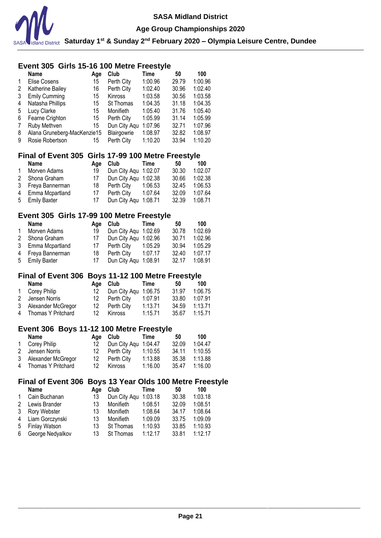

### **Event 305 Girls 15-16 100 Metre Freestyle**

|   | <b>Name</b>                 | Age | Club         | Time    | 50    | 100     |
|---|-----------------------------|-----|--------------|---------|-------|---------|
|   | Elise Cosens                | 15  | Perth City   | 1:00.96 | 29.79 | 1:00.96 |
| 2 | Katherine Bailey            | 16  | Perth City   | 1:02.40 | 30.96 | 1:02.40 |
| 3 | <b>Emily Cumming</b>        | 15  | Kinross      | 1:03.58 | 30.56 | 1:03.58 |
| 4 | Natasha Phillips            | 15  | St Thomas    | 1:04.35 | 31.18 | 1:04.35 |
| 5 | Lucy Clarke                 | 15  | Monifieth    | 1:05.40 | 31.76 | 1:05.40 |
| 6 | Fearne Crighton             | 15  | Perth City   | 1:05.99 | 31.14 | 1:05.99 |
| 7 | Ruby Methven                | 15  | Dun City Aqu | 1:07.96 | 32.71 | 1:07.96 |
| 8 | Alana Gruneberg-MacKenzie15 |     | Blairgowrie  | 1:08.97 | 32.82 | 1:08.97 |
| 9 | Rosie Robertson             | 15  | Perth City   | 1:10.20 | 33.94 | 1:10.20 |

### **Final of Event 305 Girls 17-99 100 Metre Freestyle**

|   | <b>Name</b>       | Aae | Club                 | Time    | 50    | 100     |
|---|-------------------|-----|----------------------|---------|-------|---------|
| 1 | Morven Adams      | 19  | Dun City Agu 1:02.07 |         | 30.30 | 1:02.07 |
|   | 2 Shona Graham    | 17  | Dun City Aqu 1:02.38 |         | 30.66 | 1:02.38 |
|   | 3 Freya Bannerman | 18. | Perth City           | 1:06.53 | 32.45 | 1:06.53 |
| 4 | Emma Mcpartland   | 17  | Perth City           | 1:07.64 | 32.09 | 1:07.64 |
|   | 5 Emily Baxter    | 17  | Dun City Aqu 1:08.71 |         | 32.39 | 1:08.71 |

### **Event 305 Girls 17-99 100 Metre Freestyle**

|              | <b>Name</b>       | Aae | Club                   | Time    | 50    | 100     |
|--------------|-------------------|-----|------------------------|---------|-------|---------|
| $\mathbf{1}$ | Morven Adams      | 19  | Dun City Agu 1:02.69   |         | 30.78 | 1:02.69 |
|              | 2 Shona Graham    | 17  | Dun City Aqu 1:02.96   |         | 30.71 | 1:02.96 |
|              | 3 Emma Mcpartland |     | 17 Perth City  1:05.29 |         | 30.94 | 1:05.29 |
|              | 4 Freya Bannerman | 18  | Perth City             | 1:07.17 | 32.40 | 1:07.17 |
|              | 5 Emily Baxter    | 17  | Dun City Aqu 1:08.91   |         | 32.17 | 1:08.91 |

### **Final of Event 306 Boys 11-12 100 Metre Freestyle**

| Name                 |     | Age Club             | Time    | 50            | 100     |
|----------------------|-----|----------------------|---------|---------------|---------|
| 1 Corey Philip       | 12. | Dun City Agu 1:06.75 |         | 31.97         | 1:06.75 |
| 2 Jensen Norris      | 12  | Perth City           | 1:07.91 | 33.80         | 1:07.91 |
| 3 Alexander McGregor | 12  | Perth City           | 1:13.71 | 34.59         | 1:13.71 |
| 4 Thomas Y Pritchard | 12  | Kinross              | 1:15.71 | 35.67 1:15.71 |         |

### **Event 306 Boys 11-12 100 Metre Freestyle**

| Name                 |     | Age Club             | Time    | 50    | 100     |
|----------------------|-----|----------------------|---------|-------|---------|
| 1 Corey Philip       | 12. | Dun City Agu 1:04.47 |         | 32.09 | 1:04.47 |
| 2 Jensen Norris      | 12  | Perth City           | 1:10.55 | 34.11 | 1:10.55 |
| 3 Alexander McGregor | 12  | Perth City           | 1:13.88 | 35.38 | 1:13.88 |
| 4 Thomas Y Pritchard | 12  | Kinross              | 1:16.00 | 35.47 | 1:16.00 |

### **Final of Event 306 Boys 13 Year Olds 100 Metre Freestyle**

|                | <b>Name</b>          | Age | Club         | Time    | 50    | 100     |
|----------------|----------------------|-----|--------------|---------|-------|---------|
| $\mathbf{1}$   | Cain Buchanan        | 13  | Dun City Aqu | 1:03.18 | 30.38 | 1:03.18 |
| 2              | Lewis Brander        | 13  | Monifieth    | 1:08.51 | 32.09 | 1:08.51 |
| 3              | Rory Webster         | 13  | Monifieth    | 1:08.64 | 34.17 | 1:08.64 |
| $\overline{4}$ | Liam Gorczynski      | 13  | Monifieth    | 1:09.09 | 33.75 | 1:09.09 |
| 5              | <b>Finlay Watson</b> | 13  | St Thomas    | 1:10.93 | 33.85 | 1:10.93 |
| 6              | George Nedyalkov     | 13  | St Thomas    | 1:12.17 | 33.81 | 1:12.17 |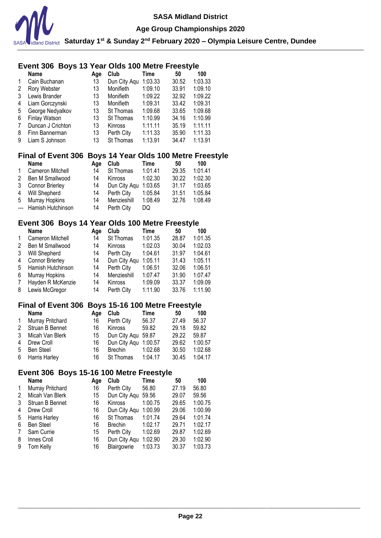

**Age Group Championships 2020**

**Saturday 1st & Sunday 2nd February 2020 – Olympia Leisure Centre, Dundee**

# **Event 306 Boys 13 Year Olds 100 Metre Freestyle**

|              | Name                 | Age | Club             | Time    | 50    | 100     |
|--------------|----------------------|-----|------------------|---------|-------|---------|
| $\mathbf{1}$ | Cain Buchanan        | 13  | Dun City Aqu     | 1:03.33 | 30.52 | 1:03.33 |
| 2            | Rory Webster         | 13  | Monifieth        | 1:09.10 | 33.91 | 1:09.10 |
| 3            | Lewis Brander        | 13  | Monifieth        | 1:09.22 | 32.92 | 1:09.22 |
| 4            | Liam Gorczynski      | 13  | Monifieth        | 1:09.31 | 33.42 | 1:09.31 |
| 5            | George Nedyalkov     | 13  | <b>St Thomas</b> | 1:09.68 | 33.65 | 1:09.68 |
| 6            | <b>Finlay Watson</b> | 13  | St Thomas        | 1:10.99 | 34.16 | 1:10.99 |
| 7            | Duncan J Crichton    | 13  | <b>Kinross</b>   | 1:11.11 | 35.19 | 1:11.11 |
| 8            | Finn Bannerman       | 13  | Perth City       | 1:11.33 | 35.90 | 1:11.33 |
| 9            | Liam S Johnson       | 13  | St Thomas        | 1:13.91 | 34.47 | 1:13.91 |

# **Final of Event 306 Boys 14 Year Olds 100 Metre Freestyle**

|   | <b>Name</b>           | Aae | Club           | Time    | 50    | 100     |
|---|-----------------------|-----|----------------|---------|-------|---------|
| 1 | Cameron Mitchell      | 14  | St Thomas      | 1:01.41 | 29.35 | 1:01.41 |
| 2 | Ben M Smallwood       | 14  | <b>Kinross</b> | 1:02.30 | 30.22 | 1:02.30 |
| 3 | Connor Brierley       | 14  | Dun City Agu   | 1:03.65 | 31.17 | 1:03.65 |
| 4 | Will Shepherd         | 14  | Perth City     | 1:05.84 | 31.51 | 1:05.84 |
| 5 | <b>Murray Hopkins</b> | 14  | Menzieshill    | 1:08.49 | 32.76 | 1:08.49 |
|   | --- Hamish Hutchinson | 14  | Perth City     | DQ      |       |         |

# **Event 306 Boys 14 Year Olds 100 Metre Freestyle**

|   | <b>Name</b>            | Age | Club         | Time    | 50    | 100     |
|---|------------------------|-----|--------------|---------|-------|---------|
| 1 | Cameron Mitchell       | 14  | St Thomas    | 1:01.35 | 28.87 | 1:01.35 |
| 2 | Ben M Smallwood        | 14  | Kinross      | 1:02.03 | 30.04 | 1:02.03 |
| 3 | Will Shepherd          | 14  | Perth City   | 1:04.61 | 31.97 | 1:04.61 |
| 4 | <b>Connor Brierley</b> | 14  | Dun City Aqu | 1:05.11 | 31.43 | 1:05.11 |
| 5 | Hamish Hutchinson      | 14  | Perth City   | 1:06.51 | 32.06 | 1:06.51 |
| 6 | Murray Hopkins         | 14  | Menzieshill  | 1:07.47 | 31.90 | 1:07.47 |
| 7 | Hayden R McKenzie      | 14  | Kinross      | 1:09.09 | 33.37 | 1:09.09 |
| 8 | Lewis McGregor         | 14  | Perth City   | 1:11.90 | 33.76 | 1:11.90 |

### **Final of Event 306 Boys 15-16 100 Metre Freestyle**

|              | <b>Name</b>       | Aae | Club                 | Time    | 50    | 100     |
|--------------|-------------------|-----|----------------------|---------|-------|---------|
| $\mathbf{1}$ | Murray Pritchard  | 16  | Perth City           | 56.37   | 27.49 | 56.37   |
|              | 2 Struan B Bennet | 16  | Kinross              | 59.82   | 29.18 | 59.82   |
| 3            | Micah Van Blerk   | 15  | Dun City Agu 59.87   |         | 29.22 | 59.87   |
| 4            | Drew Croll        | 16  | Dun City Agu 1:00.57 |         | 29.62 | 1:00.57 |
| 5            | Ben Steel         | 16  | Brechin              | 1:02.68 | 30.50 | 1:02.68 |
|              | 6 Harris Harley   | 16  | St Thomas            | 1:04.17 | 30.45 | 1:04.17 |

#### **Event 306 Boys 15-16 100 Metre Freestyle**

|   | <b>Name</b>      | Age | Club               | Time    | 50    | 100     |
|---|------------------|-----|--------------------|---------|-------|---------|
| 1 | Murray Pritchard | 16  | Perth City         | 56.80   | 27.19 | 56.80   |
| 2 | Micah Van Blerk  | 15  | Dun City Aqu 59.56 |         | 29.07 | 59.56   |
| 3 | Struan B Bennet  | 16  | Kinross            | 1:00.75 | 29.65 | 1:00.75 |
| 4 | Drew Croll       | 16  | Dun City Agu       | 1:00.99 | 29.06 | 1:00.99 |
| 5 | Harris Harley    | 16  | St Thomas          | 1:01.74 | 29.64 | 1:01.74 |
| 6 | <b>Ben Steel</b> | 16  | Brechin            | 1:02.17 | 29.71 | 1:02.17 |
| 7 | Sam Currie       | 15  | Perth City         | 1:02.69 | 29.87 | 1:02.69 |
| 8 | Innes Croll      | 16  | Dun City Aqu       | 1:02.90 | 29.30 | 1:02.90 |
| 9 | Tom Kelly        | 16  | Blairgowrie        | 1:03.73 | 30.37 | 1:03.73 |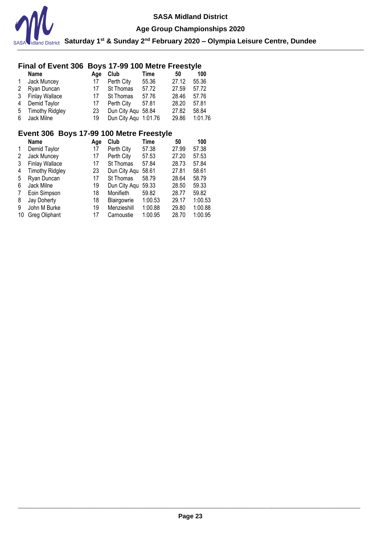

**Age Group Championships 2020**

### **Final of Event 306 Boys 17-99 100 Metre Freestyle**

|              | <b>Name</b>       | Aae | Club                 | Time  | 50    | 100     |
|--------------|-------------------|-----|----------------------|-------|-------|---------|
| $\mathbf{1}$ | Jack Muncey       | 17  | Perth City           | 55.36 | 27.12 | 55.36   |
|              | 2 Ryan Duncan     | 17  | St Thomas            | 57.72 | 27.59 | 57.72   |
|              | 3 Finlay Wallace  | 17  | St Thomas            | 57.76 | 28.46 | 57.76   |
| 4            | Demid Taylor      | 17  | Perth City           | 57.81 | 28.20 | 57.81   |
|              | 5 Timothy Ridgley | 23  | Dun City Agu 58.84   |       | 27.82 | 58.84   |
| 6            | Jack Milne        | 19  | Dun City Aqu 1:01.76 |       | 29.86 | 1:01.76 |

# **Event 306 Boys 17-99 100 Metre Freestyle**

|    | Name                   | Age | Club         | Time    | 50    | 100     |
|----|------------------------|-----|--------------|---------|-------|---------|
|    | Demid Taylor           | 17  | Perth City   | 57.38   | 27.99 | 57.38   |
| 2  | Jack Muncey            | 17  | Perth City   | 57.53   | 27.20 | 57.53   |
| 3  | <b>Finlay Wallace</b>  | 17  | St Thomas    | 57.84   | 28.73 | 57.84   |
| 4  | <b>Timothy Ridgley</b> | 23  | Dun City Aqu | 58.61   | 27.81 | 58.61   |
| 5  | Ryan Duncan            | 17  | St Thomas    | 58.79   | 28.64 | 58.79   |
| 6  | Jack Milne             | 19  | Dun City Aqu | 59.33   | 28.50 | 59.33   |
|    | Eoin Simpson           | 18  | Monifieth    | 59.82   | 28.77 | 59.82   |
| 8  | Jay Doherty            | 18  | Blairgowrie  | 1:00.53 | 29.17 | 1:00.53 |
| 9  | John M Burke           | 19  | Menzieshill  | 1:00.88 | 29.80 | 1:00.88 |
| 10 | <b>Greg Oliphant</b>   | 17  | Carnoustie   | 1:00.95 | 28.70 | 1:00.95 |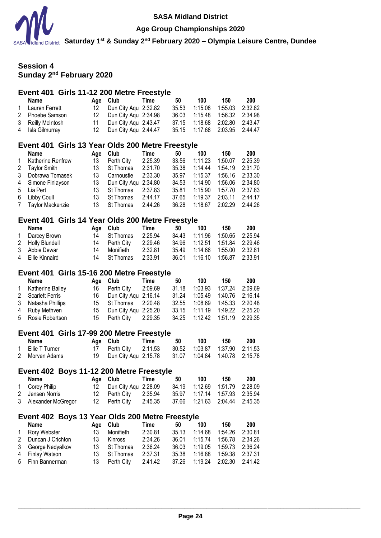

#### **Age Group Championships 2020**

**Saturday 1st & Sunday 2nd February 2020 – Olympia Leisure Centre, Dundee**

# **Session 4 Sunday 2 nd February 2020**

### **Event 401 Girls 11-12 200 Metre Freestyle**

|   | Name                                             | Age | Club                 | Time    | 50    | 100     | 150     | 200     |
|---|--------------------------------------------------|-----|----------------------|---------|-------|---------|---------|---------|
| 1 | Lauren Ferrett                                   | 12  | Dun City Aqu         | 2:32.82 | 35.53 | 1:15.08 | 1:55.03 | 2:32.82 |
| 2 | Phoebe Samson                                    | 12  | Dun City Agu 2:34.98 |         | 36.03 | 1:15.48 | 1:56.32 | 2:34.98 |
| 3 | Reilly McIntosh                                  | 11  | Dun City Agu 2:43.47 |         | 37.15 | 1:18.68 | 2:02.80 | 2:43.47 |
| 4 | Isla Gilmurray                                   | 12  | Dun City Aqu 2:44.47 |         | 35.15 | 1:17.68 | 2:03.95 | 2:44.47 |
|   |                                                  |     |                      |         |       |         |         |         |
|   | Event 401 Girls 13 Year Olds 200 Metre Freestyle |     |                      |         |       |         |         |         |
|   | Name                                             | Age | Club                 | Time    | 50    | 100     | 150     | 200     |
|   | <b>Katherine Renfrew</b>                         | 13  | Perth City           | 2:25.39 | 33.56 | 1:11.23 | 1:50.07 | 2:25.39 |
| 2 | <b>Taylor Smith</b>                              | 13  | St Thomas            | 2:31.70 | 35.38 | 1:14.44 | 1:54.19 | 2:31.70 |
| 3 | Dobrawa Tomasek                                  | 13  | Carnoustie           | 2:33.30 | 35.97 | 1:15.37 | 1:56.16 | 2:33.30 |
| 4 | Simone Finlayson                                 | 13  | Dun City Aqu         | 2:34.80 | 34.53 | 1:14.90 | 1:56.06 | 2:34.80 |
| 5 | Lia Pert                                         | 13  | St Thomas            | 2:37.83 | 35.81 | 1:15.90 | 1:57.70 | 2:37.83 |
| 6 | Libby Coull                                      | 13  | St Thomas            | 2:44.17 | 37.65 | 1:19.37 | 2:03.11 | 2:44.17 |
|   | Taylor Mackenzie                                 | 13  | St Thomas            | 2:44.26 | 36.28 | 1:18.67 | 2:02.29 | 2:44.26 |
|   | Event 401 Girls 14 Year Olds 200 Metre Freestyle |     |                      |         |       |         |         |         |

#### **Name Age Club Time 50 100 150 200**<br>Darcey Brown 14 St Thomas 2:25.94 34.43 1:11.96 1:50.65 2:25.94 1 Darcey Brown 14 St Thomas 2:25.94 34.43 1:11.96 1:50.65<br>2 Holly Blundell 14 Perth City 2:29.46 34.96 1:12.51 1:51.84 2 Holly Blundell 14 Perth City 2:29.46 34.96 1:12.51 1:51.84 2:29.46 3 Abbie Dewar 14 Monifieth 2:32.81 35.49 1:14.66 1:55.00 2:32.81 14 St Thomas 2:33.91 36.01 1:16.10 1:56.87 2:33.91

### **Event 401 Girls 15-16 200 Metre Freestyle**

| Name               | Age Club                | Time | 50    | 100                              | 150 | 200 |
|--------------------|-------------------------|------|-------|----------------------------------|-----|-----|
| 1 Katherine Bailey | 16 Perth City 2:09.69   |      | 31.18 | 1:03.93  1:37.24  2:09.69        |     |     |
| 2 Scarlett Ferris  | 16 Dun City Agu 2:16.14 |      |       | 31.24  1:05.49  1:40.76  2:16.14 |     |     |
| 3 Natasha Phillips | 15 St Thomas 2:20.48    |      |       | 32.55  1:08.69  1:45.33  2:20.48 |     |     |
| 4 Ruby Methven     | 15 Dun City Agu 2:25.20 |      |       | 33.15 1:11.19 1:49.22 2:25.20    |     |     |
| 5 Rosie Robertson  | 15 Perth City 2:29.35   |      |       | 34.25  1:12.42  1:51.19  2:29.35 |     |     |

### **Event 401 Girls 17-99 200 Metre Freestyle**

| Name             | Age Club                                              | Time | -50                              | 100 | 150 | -200 |
|------------------|-------------------------------------------------------|------|----------------------------------|-----|-----|------|
| 1 Ellie T Turner | 17 Perth City 2:11.53                                 |      | 30.52  1:03.87  1:37.90  2:11.53 |     |     |      |
| 2 Morven Adams   | 19 Dun City Agu 2:15.78 31.07 1:04.84 1:40.78 2:15.78 |      |                                  |     |     |      |

#### **Event 402 Boys 11-12 200 Metre Freestyle**

| Name                 | Age Club Time           | 50 | 100 | 150                              | 200 |
|----------------------|-------------------------|----|-----|----------------------------------|-----|
| 1 Corey Philip       | 12 Dun City Agu 2:28.09 |    |     | 34.19  1:12.69  1:51.79  2:28.09 |     |
| 2 Jensen Norris      | 12 Perth City 2:35.94   |    |     |                                  |     |
| 3 Alexander McGregor | 12 Perth City 2:45.35   |    |     |                                  |     |

### **Event 402 Boys 13 Year Olds 200 Metre Freestyle**

|              | Name                |     | Age Club   | Time    | 50    | 100                              | 150                       | 200             |
|--------------|---------------------|-----|------------|---------|-------|----------------------------------|---------------------------|-----------------|
| $\mathbf{1}$ | Rory Webster        | 13  | Monifieth  | 2:30.81 | 35.13 | 1:14.68                          | 1:54.26                   | 2:30.81         |
|              | 2 Duncan J Crichton | 13  | Kinross    | 2:34.26 | 36.01 | 1:15.74                          |                           | 1:56.78 2:34.26 |
|              | 3 George Nedyalkov  | 13. | St Thomas  | 2:36.24 | 36.03 |                                  | 1:19.05  1:59.73  2:36.24 |                 |
|              | 4 Finlay Watson     | 13. | St Thomas  | 2:37.31 | 35.38 |                                  | 1:16.88  1:59.38  2:37.31 |                 |
|              | 5 Finn Bannerman    | 13. | Perth Citv | 2:41.42 |       | 37.26  1:19.24  2:02.30  2:41.42 |                           |                 |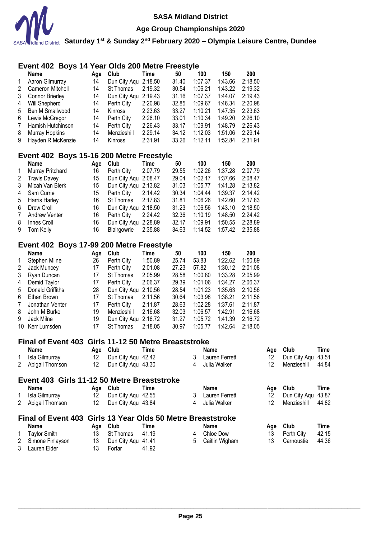

**Age Group Championships 2020**

**Saturday 1st & Sunday 2nd February 2020 – Olympia Leisure Centre, Dundee**

# **Event 402 Boys 14 Year Olds 200 Metre Freestyle**

|                 | <b>Name</b>            | Aae | Club                 | Time    | 50    | 100     | 150     | 200     |
|-----------------|------------------------|-----|----------------------|---------|-------|---------|---------|---------|
| 1               | Aaron Gilmurray        | 14  | Dun City Agu 2:18.50 |         | 31.40 | 1:07.37 | 1:43.66 | 2:18.50 |
| 2               | Cameron Mitchell       | 14  | St Thomas            | 2:19.32 | 30.54 | 1:06.21 | 1:43.22 | 2:19.32 |
| 3               | <b>Connor Brierley</b> | 14  | Dun City Aqu 2:19.43 |         | 31.16 | 1:07.37 | 1:44.07 | 2:19.43 |
| 4               | Will Shepherd          | 14  | Perth City           | 2:20.98 | 32.85 | 1:09.67 | 1:46.34 | 2:20.98 |
| 5               | Ben M Smallwood        | 14  | Kinross              | 2:23.63 | 33.27 | 1:10.21 | 1:47.35 | 2:23.63 |
| 6               | Lewis McGregor         | 14  | Perth City           | 2:26.10 | 33.01 | 1:10.34 | 1:49.20 | 2:26.10 |
| $7\phantom{.0}$ | Hamish Hutchinson      | 14  | Perth City           | 2:26.43 | 33.17 | 1:09.91 | 1:48.79 | 2:26.43 |
| 8               | Murray Hopkins         | 14  | Menzieshill          | 2:29.14 | 34.12 | 1:12.03 | 1:51.06 | 2:29.14 |
| 9               | Hayden R McKenzie      | 14  | Kinross              | 2:31.91 | 33.26 | 1:12.11 | 1:52.84 | 2:31.91 |

### **Event 402 Boys 15-16 200 Metre Freestyle**

|              | Name                 | Age | Club                 | Time    | 50    | 100     | 150     | 200     |
|--------------|----------------------|-----|----------------------|---------|-------|---------|---------|---------|
| $\mathbf{1}$ | Murray Pritchard     | 16  | Perth City           | 2:07.79 | 29.55 | 1:02.26 | 1:37.28 | 2:07.79 |
| 2            | <b>Travis Davey</b>  | 15  | Dun City Agu 2:08.47 |         | 29.04 | 1:02.17 | 1:37.66 | 2:08.47 |
| 3            | Micah Van Blerk      | 15  | Dun City Agu 2:13.82 |         | 31.03 | 1:05.77 | 1:41.28 | 2:13.82 |
| 4            | Sam Currie           | 15  | Perth City           | 2:14.42 | 30.34 | 1:04.44 | 1:39.37 | 2:14.42 |
| 5            | <b>Harris Harley</b> | 16  | St Thomas            | 2:17.83 | 31.81 | 1:06.26 | 1:42.60 | 2:17.83 |
| 6.           | Drew Croll           | 16  | Dun City Agu 2:18.50 |         | 31.23 | 1:06.56 | 1:43.10 | 2:18.50 |
| 7            | <b>Andrew Venter</b> | 16  | Perth City           | 2:24.42 | 32.36 | 1:10.19 | 1:48.50 | 2:24.42 |
| 8            | Innes Croll          | 16  | Dun City Agu 2:28.89 |         | 32.17 | 1:09.91 | 1:50.55 | 2:28.89 |
| 9            | Tom Kelly            | 16  | Blairgowrie          | 2:35.88 | 34.63 | 1:14.52 | 1:57.42 | 2:35.88 |

# **Event 402 Boys 17-99 200 Metre Freestyle**

|              | Name             | Age | Club         | Time    | 50    | 100     | 150     | 200     |
|--------------|------------------|-----|--------------|---------|-------|---------|---------|---------|
| $\mathbf{1}$ | Stephen Milne    | 26  | Perth City   | 1:50.89 | 25.74 | 53.83   | 1:22.62 | 1:50.89 |
| 2            | Jack Muncey      | 17  | Perth City   | 2:01.08 | 27.23 | 57.82   | 1:30.12 | 2:01.08 |
| 3            | Ryan Duncan      | 17  | St Thomas    | 2:05.99 | 28.58 | 1:00.80 | 1:33.28 | 2:05.99 |
| 4            | Demid Taylor     | 17  | Perth City   | 2:06.37 | 29.39 | 1:01.06 | 1:34.27 | 2:06.37 |
| 5            | Donald Griffiths | 28  | Dun City Agu | 2:10.56 | 28.54 | 1:01.23 | 1:35.63 | 2:10.56 |
| 6            | Ethan Brown      | 17  | St Thomas    | 2:11.56 | 30.64 | 1:03.98 | 1:38.21 | 2:11.56 |
| 7            | Jonathan Venter  | 17  | Perth City   | 2:11.87 | 28.63 | 1:02.28 | 1:37.61 | 2:11.87 |
| 8            | John M Burke     | 19  | Menzieshill  | 2:16.68 | 32.03 | 1:06.57 | 1:42.91 | 2:16.68 |
| 9            | Jack Milne       | 19  | Dun City Aqu | 2:16.72 | 31.27 | 1:05.72 | 1:41.39 | 2:16.72 |
| 10           | Kerr Lumsden     | 17  | St Thomas    | 2:18.05 | 30.97 | 1:05.77 | 1:42.64 | 2:18.05 |

### **Final of Event 403 Girls 11-12 50 Metre Breaststroke**

| Name                                                        | Age | Club                   | Time |   | Name                 | Age | <b>Club</b>        | Time  |
|-------------------------------------------------------------|-----|------------------------|------|---|----------------------|-----|--------------------|-------|
| 1 Isla Gilmurray                                            | 12  | Dun City Agu 42.42     |      | 3 | Lauren Ferrett       | 12  | Dun City Agu 43.51 |       |
| 2 Abigail Thomson                                           | 12  | Dun City Aqu 43.30     |      | 4 | Julia Walker         | 12  | Menzieshill        | 44.84 |
| Event 403 Girls 11-12 50 Metre Breaststroke                 |     |                        |      |   |                      |     |                    |       |
| Name                                                        | Aae | Club                   | Time |   | <b>Name</b>          | Aae | Club               | Time  |
| 1 Isla Gilmurray                                            | 12  | Dun City Agu 42.55     |      |   | Lauren Ferrett       | 12  | Dun City Agu 43.87 |       |
| 2 Abigail Thomson                                           | 12  | Dun City Aqu 43.84     |      | 4 | Julia Walker         | 12  | Menzieshill        | 44.82 |
| Final of Event 403 Girls 13 Year Olds 50 Metre Breaststroke |     |                        |      |   |                      |     |                    |       |
| Name                                                        | Age | Club                   | Time |   | Name                 | Age | Club               | Time  |
| 1 Taylor Craith                                             |     | $12 \tO+Thamge$ $1110$ |      |   | $\Lambda$ Chloo Doug | 12. | $D = H_1 \cap H_2$ | 10.15 |

| <b>Taylor Smith</b> | 13 St Thomas 41.19    |       | 4 Chloe Dow      | 13 Perth City | 42.15 |
|---------------------|-----------------------|-------|------------------|---------------|-------|
| 2 Simone Finlayson  | 13 Dun City Agu 41.41 |       | 5 Caitlin Wigham | 13 Carnoustie | 44.36 |
| 3 Lauren Elder      | Forfar                | 41.92 |                  |               |       |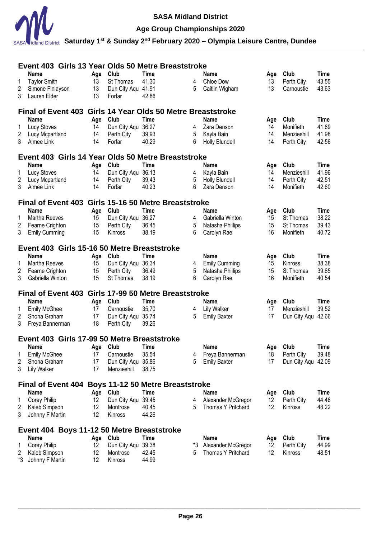

# **Age Group Championships 2020**

|    | Event 403 Girls 13 Year Olds 50 Metre Breaststroke          |     |                    |             |    |                       |     |                    |             |
|----|-------------------------------------------------------------|-----|--------------------|-------------|----|-----------------------|-----|--------------------|-------------|
|    | Name                                                        | Age | Club               | <b>Time</b> |    | Name                  | Age | Club               | <b>Time</b> |
| 1  | <b>Taylor Smith</b>                                         | 13  | St Thomas          | 41.30       | 4  | Chloe Dow             | 13  | Perth City         | 43.55       |
| 2  | Simone Finlayson                                            | 13  | Dun City Aqu 41.91 |             | 5  | Caitlin Wigham        | 13  | Carnoustie         | 43.63       |
| 3  | Lauren Elder                                                | 13  | Forfar             | 42.86       |    |                       |     |                    |             |
|    | Final of Event 403 Girls 14 Year Olds 50 Metre Breaststroke |     |                    |             |    |                       |     |                    |             |
|    | Name                                                        | Age | Club               | <b>Time</b> |    | Name                  | Age | Club               | Time        |
| 1  | <b>Lucy Stoves</b>                                          | 14  | Dun City Aqu       | 36.27       | 4  | Zara Denson           | 14  | Monifieth          | 41.69       |
| 2  | Lucy Mcpartland                                             | 14  | Perth City         | 39.93       | 5  | Kayla Bain            | 14  | Menzieshill        | 41.98       |
| 3  | Aimee Link                                                  | 14  | Forfar             | 40.29       | 6  | Holly Blundell        | 14  | Perth City         | 42.56       |
|    | Event 403 Girls 14 Year Olds 50 Metre Breaststroke          |     |                    |             |    |                       |     |                    |             |
|    | Name                                                        | Age | Club               | <b>Time</b> |    | <b>Name</b>           | Age | Club               | <b>Time</b> |
| 1  | <b>Lucy Stoves</b>                                          | 14  | Dun City Aqu       | 36.13       | 4  | Kayla Bain            | 14  | Menzieshill        | 41.96       |
| 2  | Lucy Mcpartland                                             | 14  | Perth City         | 39.43       | 5  | <b>Holly Blundell</b> | 14  | Perth City         | 42.51       |
| 3  | Aimee Link                                                  | 14  | Forfar             | 40.23       | 6  | Zara Denson           | 14  | Monifieth          | 42.60       |
|    | Final of Event 403 Girls 15-16 50 Metre Breaststroke        |     |                    |             |    |                       |     |                    |             |
|    | <b>Name</b>                                                 | Age | Club               | <b>Time</b> |    | <b>Name</b>           | Age | Club               | <b>Time</b> |
| 1  | Martha Reeves                                               | 15  | Dun City Agu       | 36.27       | 4  | Gabriella Winton      | 15  | St Thomas          | 38.22       |
| 2  | Fearne Crighton                                             | 15  | Perth City         | 36.45       | 5  | Natasha Phillips      | 15  | St Thomas          | 39.43       |
| 3  | <b>Emily Cumming</b>                                        | 15  | Kinross            | 38.19       | 6  | Carolyn Rae           | 16  | Monifieth          | 40.72       |
|    | Event 403 Girls 15-16 50 Metre Breaststroke                 |     |                    |             |    |                       |     |                    |             |
|    | <b>Name</b>                                                 | Age | Club               | Time        |    | <b>Name</b>           | Age | Club               | <b>Time</b> |
| 1  | Martha Reeves                                               | 15  | Dun City Aqu       | 36.34       | 4  | <b>Emily Cumming</b>  | 15  | Kinross            | 38.38       |
| 2  | Fearne Crighton                                             | 15  | Perth City         | 36.49       | 5  | Natasha Phillips      | 15  | St Thomas          | 39.65       |
| 3  | Gabriella Winton                                            | 15  | St Thomas          | 38.19       | 6  | Carolyn Rae           | 16  | Monifieth          | 40.54       |
|    | Final of Event 403 Girls 17-99 50 Metre Breaststroke        |     |                    |             |    |                       |     |                    |             |
|    | Name                                                        | Age | Club               | Time        |    | <b>Name</b>           | Age | Club               | <b>Time</b> |
| 1  | <b>Emily McGhee</b>                                         | 17  | Carnoustie         | 35.70       | 4  | <b>Lily Walker</b>    | 17  | Menzieshill        | 39.52       |
| 2  | Shona Graham                                                | 17  | Dun City Aqu 35.74 |             | 5  | <b>Emily Baxter</b>   | 17  | Dun City Aqu 42.66 |             |
| 3  | Freya Bannerman                                             | 18  | Perth City         | 39.26       |    |                       |     |                    |             |
|    | Event 403 Girls 17-99 50 Metre Breaststroke                 |     |                    |             |    |                       |     |                    |             |
|    | Name                                                        |     | Age Club           | Time        |    | Name                  | Age | Club               | Time        |
| 1  | <b>Emily McGhee</b>                                         | 17  | Carnoustie         | 35.54       | 4  | Freya Bannerman       | 18  | Perth City         | 39.48       |
| 2  | Shona Graham                                                | 17  | Dun City Aqu 35.86 |             | 5  | <b>Emily Baxter</b>   | 17  | Dun City Aqu       | 42.09       |
| 3  | <b>Lily Walker</b>                                          | 17  | Menzieshill        | 38.75       |    |                       |     |                    |             |
|    | Final of Event 404 Boys 11-12 50 Metre Breaststroke         |     |                    |             |    |                       |     |                    |             |
|    | <b>Name</b>                                                 | Age | Club               | Time        |    | <b>Name</b>           | Age | Club               | Time        |
| 1  | <b>Corey Philip</b>                                         | 12  | Dun City Aqu       | 39.45       | 4  | Alexander McGregor    | 12  | Perth City         | 44.46       |
| 2  | Kaleb Simpson                                               | 12  | Montrose           | 40.45       | 5  | Thomas Y Pritchard    | 12  | Kinross            | 48.22       |
| 3  | Johnny F Martin                                             | 12  | Kinross            | 44.26       |    |                       |     |                    |             |
|    | Event 404 Boys 11-12 50 Metre Breaststroke                  |     |                    |             |    |                       |     |                    |             |
|    | Name                                                        | Age | Club               | Time        |    | <b>Name</b>           | Age | Club               | Time        |
|    | <b>Corey Philip</b>                                         | 12  | Dun City Aqu       | 39.38       | *3 | Alexander McGregor    | 12  | Perth City         | 44.99       |
| 2  | Kaleb Simpson                                               | 12  | Montrose           | 42.45       | 5  | Thomas Y Pritchard    | 12  | Kinross            | 48.51       |
| *3 | Johnny F Martin                                             | 12  | Kinross            | 44.99       |    |                       |     |                    |             |
|    |                                                             |     |                    |             |    |                       |     |                    |             |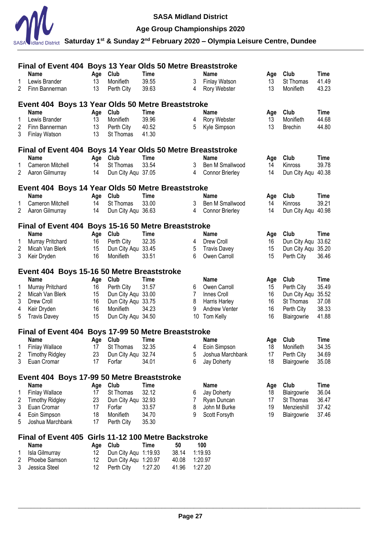

**Age Group Championships 2020**

|        | Final of Event 404 Boys 13 Year Olds 50 Metre Breaststroke |           |                                  |                    |                |                        |           |                    |                |
|--------|------------------------------------------------------------|-----------|----------------------------------|--------------------|----------------|------------------------|-----------|--------------------|----------------|
|        | <b>Name</b>                                                | Age       | Club                             | <b>Time</b>        |                | <b>Name</b>            | Age       | Club               | <b>Time</b>    |
| 1      | Lewis Brander                                              | 13        | Monifieth                        | 39.55              | 3              | Finlay Watson          | 13        | St Thomas          | 41.49          |
| 2      | Finn Bannerman                                             | 13        | Perth City                       | 39.63              | 4              | Rory Webster           | 13        | Monifieth          | 43.23          |
|        | Event 404 Boys 13 Year Olds 50 Metre Breaststroke          |           |                                  |                    |                |                        |           |                    |                |
|        | <b>Name</b>                                                |           | Club                             | <b>Time</b>        |                | <b>Name</b>            |           | Club               | <b>Time</b>    |
| 1      | Lewis Brander                                              | Age<br>13 | Monifieth                        | 39.96              | 4              | Rory Webster           | Age<br>13 | Monifieth          | 44.68          |
| 2      | Finn Bannerman                                             | 13        | Perth City                       | 40.52              | 5              | Kyle Simpson           | 13        | <b>Brechin</b>     | 44.80          |
| 3      | <b>Finlay Watson</b>                                       | 13        | St Thomas                        | 41.30              |                |                        |           |                    |                |
|        |                                                            |           |                                  |                    |                |                        |           |                    |                |
|        | Final of Event 404 Boys 14 Year Olds 50 Metre Breaststroke |           |                                  |                    |                |                        |           |                    |                |
|        | Name                                                       | Age       | Club                             | <b>Time</b>        |                | Name                   | Age       | Club               | <b>Time</b>    |
|        | <b>Cameron Mitchell</b>                                    | 14        | St Thomas                        | 33.54              | 3              | Ben M Smallwood        | 14        | Kinross            | 39.78          |
| 2      | Aaron Gilmurray                                            | 14        | Dun City Aqu 37.05               |                    | 4              | <b>Connor Brierley</b> | 14        | Dun City Aqu 40.38 |                |
|        | Event 404 Boys 14 Year Olds 50 Metre Breaststroke          |           |                                  |                    |                |                        |           |                    |                |
|        | Name                                                       | Age       | Club                             | Time               |                | Name                   | Age       | Club               | Time           |
|        | Cameron Mitchell                                           | 14        | St Thomas                        | 33.00              | 3              | Ben M Smallwood        | 14        | Kinross            | 39.21          |
| 2      | Aaron Gilmurray                                            | 14        | Dun City Aqu 36.63               |                    | 4              | <b>Connor Brierley</b> | 14        | Dun City Aqu 40.98 |                |
|        |                                                            |           |                                  |                    |                |                        |           |                    |                |
|        | Final of Event 404 Boys 15-16 50 Metre Breaststroke        |           |                                  |                    |                |                        |           |                    |                |
|        | <b>Name</b>                                                | Age       | Club                             | <b>Time</b>        |                | Name                   | Age       | Club               | <b>Time</b>    |
| 1      | Murray Pritchard                                           | 16        | Perth City                       | 32.35              | 4              | Drew Croll             | 16        | Dun City Aqu       | 33.62          |
| 2      | Micah Van Blerk                                            | 15        | Dun City Aqu                     | 33.45              | 5              | <b>Travis Davey</b>    | 15        | Dun City Aqu 35.20 |                |
| 3      | Keir Dryden                                                | 16        | Monifieth                        | 33.51              | 6              | Owen Carroll           | 15        | Perth City         | 36.46          |
|        | Event 404 Boys 15-16 50 Metre Breaststroke                 |           |                                  |                    |                |                        |           |                    |                |
|        | <b>Name</b>                                                | Age       | Club                             | Time               |                | <b>Name</b>            | Age       | Club               | <b>Time</b>    |
|        |                                                            |           |                                  | 31.57              |                | Owen Carroll           |           | Perth City         | 35.49          |
|        |                                                            |           |                                  |                    | 6              |                        |           |                    |                |
| 1      | Murray Pritchard                                           | 16        | Perth City                       |                    |                |                        | 15        |                    |                |
| 2      | Micah Van Blerk                                            | 15        | Dun City Aqu 33.00               |                    | 7              | Innes Croll            | 16        | Dun City Aqu 35.52 |                |
| 3      | Drew Croll                                                 | 16        | Dun City Aqu 33.75               |                    | 8              | Harris Harley          | 16        | St Thomas          | 37.08          |
| 4<br>5 | Keir Dryden                                                | 16<br>15  | Monifieth                        | 34.23              | 9<br>10        | Andrew Venter          | 16<br>16  | Perth City         | 38.33<br>41.88 |
|        | <b>Travis Davey</b>                                        |           | Dun City Aqu 34.50               |                    |                | Tom Kelly              |           | Blairgowrie        |                |
|        | Final of Event 404 Boys 17-99 50 Metre Breaststroke        |           |                                  |                    |                |                        |           |                    |                |
|        | <b>Name</b>                                                | Age       | Club                             | Time               |                | <b>Name</b>            | Age       | Club               | Time           |
|        | 1 Finlay Wallace                                           | 17        | St Thomas                        | 32.35              |                | 4 Eoin Simpson         | 18        | Monifieth          | 34.35          |
| 2      | <b>Timothy Ridgley</b>                                     | 23        | Dun City Aqu                     | 32.74              | 5              | Joshua Marchbank       | 17        | Perth City         | 34.69          |
| 3      | Euan Cromar                                                | 17        | Forfar                           | 34.01              | 6              | Jay Doherty            | 18        | Blairgowrie        | 35.08          |
|        |                                                            |           |                                  |                    |                |                        |           |                    |                |
|        | Event 404 Boys 17-99 50 Metre Breaststroke                 |           |                                  |                    |                |                        |           |                    |                |
|        | <b>Name</b>                                                | Age       | Club                             | <b>Time</b>        |                | <b>Name</b>            | Age       | Club               | Time           |
| 1      | <b>Finlay Wallace</b>                                      | 17        | St Thomas                        | 32.12              | 6              | Jay Doherty            | 18        | Blairgowrie        | 36.04          |
| 2      | <b>Timothy Ridgley</b>                                     | 23        | Dun City Aqu                     | 32.93              | 7              | Ryan Duncan            | 17        | St Thomas          | 36.47          |
| 3      | Euan Cromar                                                | 17        | Forfar                           | 33.57              | 8<br>9         | John M Burke           | 19        | Menzieshill        | 37.42          |
| 4<br>5 | Eoin Simpson<br>Joshua Marchbank                           | 18<br>17  | Monifieth<br>Perth City          | 34.70<br>35.30     |                | Scott Forsyth          | 19        | Blairgowrie        | 37.46          |
|        |                                                            |           |                                  |                    |                |                        |           |                    |                |
|        | <b>Final of Event 405</b>                                  |           | Girls 11-12 100 Metre Backstroke |                    |                |                        |           |                    |                |
|        | <b>Name</b>                                                | Age       | Club                             | <b>Time</b>        | 50             | 100                    |           |                    |                |
| 1      | Isla Gilmurray                                             | 12        | Dun City Aqu                     | 1:19.93            | 38.14          | 1:19.93                |           |                    |                |
| 2<br>3 | Phoebe Samson<br>Jessica Steel                             | 12<br>12  | Dun City Aqu<br>Perth City       | 1:20.97<br>1:27.20 | 40.08<br>41.96 | 1:20.97<br>1:27.20     |           |                    |                |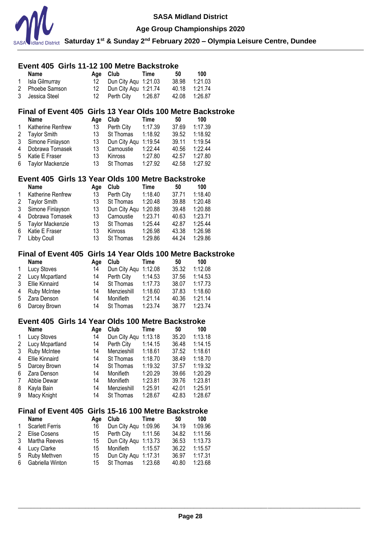

#### **Age Group Championships 2020**

**Saturday 1st & Sunday 2nd February 2020 – Olympia Leisure Centre, Dundee**

#### **Event 405 Girls 11-12 100 Metre Backstroke Name Age Club Time 50 100**

| 1 Isla Gilmurray | 12 Dun City Agu 1:21.03 | 38.98 1:21.03 |  |
|------------------|-------------------------|---------------|--|
| 2 Phoebe Samson  | 12 Dun City Agu 1:21.74 | 40.18 1:21.74 |  |
| 3 Jessica Steel  |                         | 42.08 1:26.87 |  |

### **Final of Event 405 Girls 13 Year Olds 100 Metre Backstroke**

|             | <b>Name</b>         | Age | Club                 | Time    | 50    | 100     |
|-------------|---------------------|-----|----------------------|---------|-------|---------|
| 1           | Katherine Renfrew   | 13  | Perth City           | 1:17.39 | 37.69 | 1:17.39 |
| $2^{\circ}$ | <b>Taylor Smith</b> | 13  | St Thomas            | 1:18.92 | 39.52 | 1:18.92 |
|             | 3 Simone Finlayson  | 13  | Dun City Agu 1:19.54 |         | 39.11 | 1:19.54 |
| 4           | Dobrawa Tomasek     | 13  | Carnoustie           | 1:22.44 | 40.56 | 1:22.44 |
| 5           | Katie E Fraser      | 13  | Kinross              | 1:27.80 | 42.57 | 1:27.80 |
|             | 6 Taylor Mackenzie  | 13  | St Thomas            | 1:27.92 | 42.58 | 1:27.92 |

### **Event 405 Girls 13 Year Olds 100 Metre Backstroke**

|              | <b>Name</b>             | Age | Club           | Time    | 50    | 100     |
|--------------|-------------------------|-----|----------------|---------|-------|---------|
| $\mathbf{1}$ | Katherine Renfrew       | 13  | Perth City     | 1:18.40 | 37.71 | 1:18.40 |
| 2            | <b>Taylor Smith</b>     | 13  | St Thomas      | 1:20.48 | 39.88 | 1:20.48 |
| 3            | Simone Finlayson        | 13  | Dun City Agu   | 1:20.88 | 39.48 | 1:20.88 |
| 4            | Dobrawa Tomasek         | 13  | Carnoustie     | 1:23.71 | 40.63 | 1:23.71 |
| 5            | <b>Taylor Mackenzie</b> | 13  | St Thomas      | 1:25.44 | 42.87 | 1:25.44 |
| 6            | Katie E Fraser          | 13  | <b>Kinross</b> | 1:26.98 | 43.38 | 1:26.98 |
| 7            | Libby Coull             | 13  | St Thomas      | 1:29.86 | 44.24 | 1:29.86 |

### **Final of Event 405 Girls 14 Year Olds 100 Metre Backstroke**

|   | <b>Name</b>        | Aae | Club                 | Time    | 50    | 100     |
|---|--------------------|-----|----------------------|---------|-------|---------|
| 1 | <b>Lucy Stoves</b> | 14  | Dun City Aqu 1:12.08 |         | 35.32 | 1:12.08 |
|   | 2 Lucy Mcpartland  | 14  | Perth City           | 1:14.53 | 37.56 | 1:14.53 |
| 3 | Ellie Kinnaird     | 14  | St Thomas            | 1:17.73 | 38.07 | 1:17.73 |
|   | 4 Ruby McIntee     | 14  | Menzieshill          | 1:18.60 | 37.83 | 1:18.60 |
|   | 5 Zara Denson      | 14  | Monifieth            | 1:21.14 | 40.36 | 1:21.14 |
|   | 6 Darcey Brown     | 14  | St Thomas            | 1:23.74 | 38.77 | 1:23.74 |

### **Event 405 Girls 14 Year Olds 100 Metre Backstroke**

|   | <b>Name</b>         | Age | Club         | Time    | 50    | 100     |
|---|---------------------|-----|--------------|---------|-------|---------|
| 1 | Lucy Stoves         | 14  | Dun City Agu | 1:13.18 | 35.20 | 1:13.18 |
| 2 | Lucy Mcpartland     | 14  | Perth City   | 1:14.15 | 36.48 | 1:14.15 |
| 3 | <b>Ruby McIntee</b> | 14  | Menzieshill  | 1:18.61 | 37.52 | 1:18.61 |
| 4 | Ellie Kinnaird      | 14  | St Thomas    | 1:18.70 | 38.49 | 1:18.70 |
| 5 | Darcey Brown        | 14  | St Thomas    | 1:19.32 | 37.57 | 1:19.32 |
| 6 | Zara Denson         | 14  | Monifieth    | 1:20.29 | 39.66 | 1:20.29 |
| 7 | Abbie Dewar         | 14  | Monifieth    | 1:23.81 | 39.76 | 1:23.81 |
| 8 | Kayla Bain          | 14  | Menzieshill  | 1:25.91 | 42.01 | 1:25.91 |
| 9 | Macy Knight         | 14  | St Thomas    | 1:28.67 | 42.83 | 1:28.67 |

### **Final of Event 405 Girls 15-16 100 Metre Backstroke**

|              | <b>Name</b>            | Aae | Club                    | Time | 50            | 100     |
|--------------|------------------------|-----|-------------------------|------|---------------|---------|
| $\mathbf{1}$ | <b>Scarlett Ferris</b> | 16  | Dun City Agu 1:09.96    |      | 34.19         | 1:09.96 |
|              | 2 Elise Cosens         |     | 15 Perth City 1:11.56   |      | 34.82         | 1:11.56 |
|              | 3 Martha Reeves        |     | 15 Dun City Agu 1:13.73 |      | 36.53         | 1:13.73 |
|              | 4 Lucy Clarke          | 15  | Monifieth 1:15.57       |      | 36.22         | 1:15.57 |
|              | 5 Ruby Methven         | 15  | Dun City Agu 1:17.31    |      | 36.97 1:17.31 |         |
|              | 6 Gabriella Winton     |     | 15 St Thomas 1:23.68    |      | 40.80         | 1:23.68 |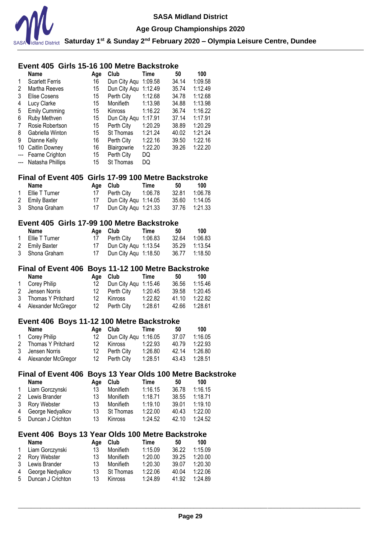

# **Event 405 Girls 15-16 100 Metre Backstroke**

|                   | <b>Name</b>            | Age | Club         | Time    | 50    | 100     |
|-------------------|------------------------|-----|--------------|---------|-------|---------|
| 1                 | <b>Scarlett Ferris</b> | 16  | Dun City Aqu | 1:09.58 | 34.14 | 1:09.58 |
| 2                 | Martha Reeves          | 15  | Dun City Aqu | 1:12.49 | 35.74 | 1:12.49 |
| 3                 | Elise Cosens           | 15  | Perth City   | 1:12.68 | 34.78 | 1:12.68 |
| 4                 | Lucy Clarke            | 15  | Monifieth    | 1:13.98 | 34.88 | 1:13.98 |
| 5                 | <b>Emily Cumming</b>   | 15  | Kinross      | 1:16.22 | 36.74 | 1:16.22 |
| 6                 | Ruby Methven           | 15  | Dun City Aqu | 1:17.91 | 37.14 | 1:17.91 |
| 7                 | Rosie Robertson        | 15  | Perth City   | 1:20.29 | 38.89 | 1:20.29 |
| 8                 | Gabriella Winton       | 15  | St Thomas    | 1:21.24 | 40.02 | 1:21.24 |
| 9                 | Dianne Kelly           | 16  | Perth City   | 1:22.16 | 39.50 | 1:22.16 |
| 10                | Caitlin Downey         | 16  | Blairgowrie  | 1:22.20 | 39.26 | 1:22.20 |
|                   | Fearne Crighton        | 15  | Perth City   | DQ      |       |         |
| $\qquad \qquad -$ | Natasha Phillips       | 15  | St Thomas    | DQ      |       |         |

#### **Final of Event 405 Girls 17-99 100 Metre Backstroke**

| <b>Name</b>      |    | Age Club             | Time    | 50    | 100           |
|------------------|----|----------------------|---------|-------|---------------|
| 1 Ellie T Turner |    | 17 Perth City        | 1:06.78 | 32.81 | 1:06.78       |
| 2 Emily Baxter   |    | Dun City Agu 1:14.05 |         |       | 35.60 1:14.05 |
| 3 Shona Graham   | 17 | Dun City Agu 1:21.33 |         | 37.76 | 1:21.33       |

### **Event 405 Girls 17-99 100 Metre Backstroke**

| Name             |    | Age Club             | Time | 50    | 100     |
|------------------|----|----------------------|------|-------|---------|
| 1 Ellie T Turner |    | Perth City 1:06.83   |      | 32.64 | 1:06.83 |
| 2 Emily Baxter   |    | Dun City Agu 1:13.54 |      | 35.29 | 1:13.54 |
| 3 Shona Graham   | 17 | Dun City Agu 1:18.50 |      |       |         |

#### **Final of Event 406 Boys 11-12 100 Metre Backstroke**

| Name                 |     | Age Club             | Time    | 50    | 100     |
|----------------------|-----|----------------------|---------|-------|---------|
| 1 Corey Philip       | 12. | Dun City Agu 1:15.46 |         | 36.56 | 1:15.46 |
| 2 Jensen Norris      | 12  | Perth City           | 1:20.45 | 39.58 | 1:20.45 |
| 3 Thomas Y Pritchard | 12  | Kinross              | 1:22.82 | 41.10 | 1:22.82 |
| 4 Alexander McGregor | 12  | Perth Citv           | 1:28.61 | 42.66 | 1:28.61 |

#### **Event 406 Boys 11-12 100 Metre Backstroke**

| Name                 |    | Age Club                | <b>Time</b> | -50           | 100     |
|----------------------|----|-------------------------|-------------|---------------|---------|
| 1 Corey Philip       |    | 12 Dun City Agu 1:16.05 |             | 37.07         | 1:16.05 |
| 2 Thomas Y Pritchard | 12 | Kinross                 | 1:22.93     | 40.79         | 1:22.93 |
| 3 Jensen Norris      |    | 12 Perth City           | 1:26.80     | 42.14         | 1:26.80 |
| 4 Alexander McGregor |    | 12 Perth City           | 1:28.51     | 43.43 1:28.51 |         |

### **Final of Event 406 Boys 13 Year Olds 100 Metre Backstroke**

|   | Name                | Aae | Club           | Time    | 50    | 100     |
|---|---------------------|-----|----------------|---------|-------|---------|
| 1 | Liam Gorczynski     | 13  | Monifieth      | 1:16.15 | 36.78 | 1:16.15 |
|   | 2 Lewis Brander     | 13. | Monifieth      | 1:18.71 | 38.55 | 1:18.71 |
|   | 3 Rory Webster      | 13  | Monifieth      | 1:19.10 | 39.01 | 1:19.10 |
|   | 4 George Nedyalkov  | 13  | St Thomas      | 1:22.00 | 40.43 | 1:22.00 |
|   | 5 Duncan J Crichton | 13. | <b>Kinross</b> | 1:24.52 | 42 10 | 1:24.52 |

### **Event 406 Boys 13 Year Olds 100 Metre Backstroke**

|             | <b>Name</b>         | Aae | Club           | Time    | 50    | 100     |
|-------------|---------------------|-----|----------------|---------|-------|---------|
| $\mathbf 1$ | Liam Gorczynski     | 13  | Monifieth      | 1:15.09 | 36.22 | 1:15.09 |
|             | 2 Rory Webster      | 13  | Monifieth      | 1:20.00 | 39.25 | 1:20.00 |
|             | 3 Lewis Brander     | 13  | Monifieth      | 1:20.30 | 39.07 | 1:20.30 |
| 4           | George Nedyalkov    | 13. | St Thomas      | 1:22.06 | 40.04 | 1:22.06 |
|             | 5 Duncan J Crichton | 13. | <b>Kinross</b> | 1:24.89 | 41.92 | 1:24.89 |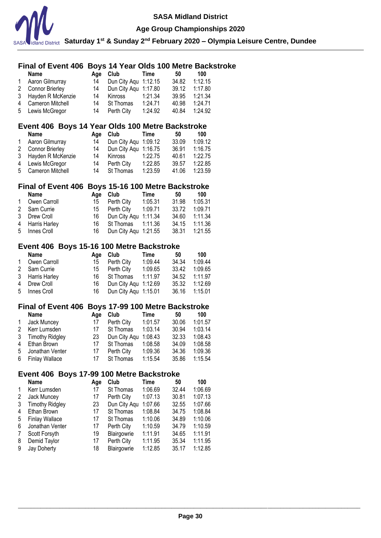

### **Age Group Championships 2020**

**Saturday 1st & Sunday 2nd February 2020 – Olympia Leisure Centre, Dundee**

# **Final of Event 406 Boys 14 Year Olds 100 Metre Backstroke**

|              | <b>Name</b>         | Aae | Club                 | Time    | 50    | 100     |
|--------------|---------------------|-----|----------------------|---------|-------|---------|
| $\mathbf{1}$ | Aaron Gilmurray     | 14  | Dun City Agu 1:12.15 |         | 34.82 | 1:12.15 |
|              | 2 Connor Brierley   | 14  | Dun City Agu 1:17.80 |         | 39.12 | 1:17.80 |
|              | 3 Hayden R McKenzie | 14  | Kinross              | 1:21.34 | 39.95 | 1:21.34 |
|              | 4 Cameron Mitchell  | 14  | St Thomas            | 1:24.71 | 40.98 | 1:24.71 |
|              | 5 Lewis McGregor    | 14  | Perth City           | 1:24.92 | 40.84 | 1:24.92 |

### **Event 406 Boys 14 Year Olds 100 Metre Backstroke**

|              | <b>Name</b>         | Aae | Club                 | Time    | 50    | 100     |
|--------------|---------------------|-----|----------------------|---------|-------|---------|
| $\mathbf{1}$ | Aaron Gilmurray     | 14  | Dun City Agu 1:09.12 |         | 33.09 | 1:09.12 |
|              | 2 Connor Brierley   | 14  | Dun City Agu 1:16.75 |         | 36.91 | 1:16.75 |
|              | 3 Hayden R McKenzie | 14  | Kinross              | 1:22.75 | 40.61 | 1:22.75 |
|              | 4 Lewis McGregor    | 14  | Perth City           | 1:22.85 | 39.57 | 1:22.85 |
|              | 5 Cameron Mitchell  | 14  | <b>St Thomas</b>     | 1:23.59 | 41.06 | 1:23.59 |

# **Final of Event 406 Boys 15-16 100 Metre Backstroke**

|              | Name            |    | Age Club                | Time    | 50    | 100           |
|--------------|-----------------|----|-------------------------|---------|-------|---------------|
| $\mathbf{1}$ | Owen Carroll    | 15 | Perth City              | 1:05.31 | 31.98 | 1:05.31       |
|              | 2 Sam Currie    |    | 15 Perth City           | 1:09.71 | 33.72 | 1:09.71       |
|              | 3 Drew Croll    |    | 16 Dun City Agu 1:11.34 |         |       | 34.60 1:11.34 |
|              | 4 Harris Harley |    | 16 St Thomas 1:11.36    |         | 34.15 | 1:11.36       |
|              | 5 Innes Croll   |    | 16 Dun City Aqu 1:21.55 |         |       | 38.31 1:21.55 |

### **Event 406 Boys 15-16 100 Metre Backstroke**

|              | <b>Name</b>     |    | Age Club                | Time    | 50            | 100           |
|--------------|-----------------|----|-------------------------|---------|---------------|---------------|
| $\mathbf{1}$ | Owen Carroll    | 15 | Perth City              | 1:09.44 | 34.34         | 1:09.44       |
|              | 2 Sam Currie    |    | 15 Perth City           | 1:09.65 | 33.42         | 1:09.65       |
|              | 3 Harris Harley |    | 16 St Thomas            | 1:11.97 | 34.52         | 1:11.97       |
|              | 4 Drew Croll    |    | 16 Dun City Agu 1:12.69 |         |               | 35.32 1:12.69 |
|              | 5 Innes Croll   |    | 16 Dun City Agu 1:15.01 |         | 36.16 1:15.01 |               |

### **Final of Event 406 Boys 17-99 100 Metre Backstroke**

|              | <b>Name</b>       | Aae | Club                 | Time    | 50    | 100     |
|--------------|-------------------|-----|----------------------|---------|-------|---------|
| $\mathbf{1}$ | Jack Muncey       | 17  | Perth City           | 1:01.57 | 30.06 | 1:01.57 |
| 2            | Kerr Lumsden      | 17  | St Thomas            | 1:03.14 | 30.94 | 1:03.14 |
|              | 3 Timothy Ridgley | 23  | Dun City Agu 1:08.43 |         | 32.33 | 1:08.43 |
| 4            | Ethan Brown       | 17  | St Thomas            | 1:08.58 | 34.09 | 1:08.58 |
|              | 5 Jonathan Venter | 17  | Perth City           | 1:09.36 | 34.36 | 1:09.36 |
|              | 6 Finlay Wallace  | 17  | St Thomas            | 1:15.54 | 35.86 | 1:15.54 |

# **Event 406 Boys 17-99 100 Metre Backstroke**

|              | <b>Name</b>            | Age | Club         | Time    | 50    | 100     |
|--------------|------------------------|-----|--------------|---------|-------|---------|
| $\mathbf{1}$ | Kerr Lumsden           | 17  | St Thomas    | 1:06.69 | 32.44 | 1:06.69 |
| 2            | Jack Muncey            | 17  | Perth City   | 1:07.13 | 30.81 | 1:07.13 |
| 3            | <b>Timothy Ridgley</b> | 23  | Dun City Aqu | 1:07.66 | 32.55 | 1:07.66 |
| 4            | Ethan Brown            | 17  | St Thomas    | 1:08.84 | 34.75 | 1:08.84 |
| 5            | <b>Finlay Wallace</b>  | 17  | St Thomas    | 1:10.06 | 34.89 | 1:10.06 |
| 6            | Jonathan Venter        | 17  | Perth City   | 1:10.59 | 34.79 | 1:10.59 |
| 7            | Scott Forsyth          | 19  | Blairgowrie  | 1:11.91 | 34.65 | 1:11.91 |
| 8            | Demid Taylor           | 17  | Perth City   | 1:11.95 | 35.34 | 1:11.95 |
| 9            | Jay Doherty            | 18  | Blairgowrie  | 1:12.85 | 35.17 | 1:12.85 |